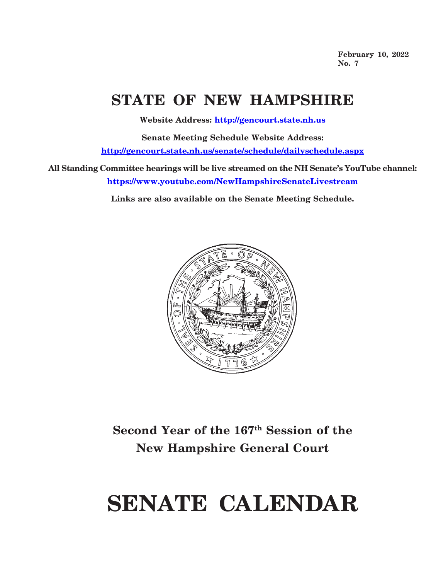**February 10, 2022 No. 7**

# **STATE OF NEW HAMPSHIRE**

**Website Address: http://gencourt.state.nh.us**

**Senate Meeting Schedule Website Address: http://gencourt.state.nh.us/senate/schedule/dailyschedule.aspx**

**All Standing Committee hearings will be live streamed on the NH Senate's YouTube channel: https://www.youtube.com/NewHampshireSenateLivestream**

**Links are also available on the Senate Meeting Schedule.**



### **Second Year of the 167th Session of the New Hampshire General Court**

# **SENATE CALENDAR**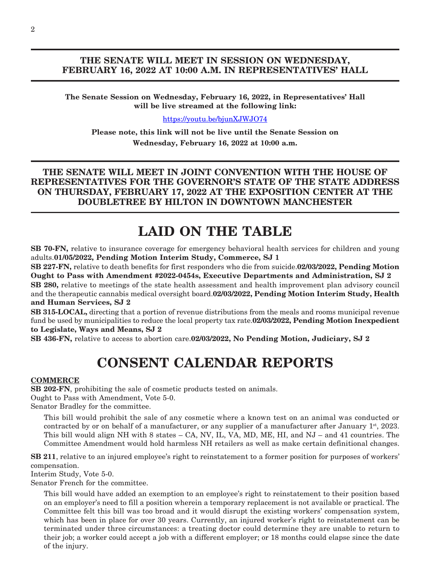#### **THE SENATE WILL MEET IN SESSION ON WEDNESDAY, FEBRUARY 16, 2022 AT 10:00 A.M. IN REPRESENTATIVES' HALL**

**The Senate Session on Wednesday, February 16, 2022, in Representatives' Hall will be live streamed at the following link:**

<https://youtu.be/bjunXJWJO74>

**Please note, this link will not be live until the Senate Session on Wednesday, February 16, 2022 at 10:00 a.m.**

**THE SENATE WILL MEET IN JOINT CONVENTION WITH THE HOUSE OF REPRESENTATIVES FOR THE GOVERNOR'S STATE OF THE STATE ADDRESS ON THURSDAY, FEBRUARY 17, 2022 AT THE EXPOSITION CENTER AT THE DOUBLETREE BY HILTON IN DOWNTOWN MANCHESTER**

### **LAID ON THE TABLE**

**SB 70-FN,** relative to insurance coverage for emergency behavioral health services for children and young adults.**01/05/2022, Pending Motion Interim Study, Commerce, SJ 1**

**SB 227-FN,** relative to death benefits for first responders who die from suicide.**02/03/2022, Pending Motion Ought to Pass with Amendment #2022-0454s, Executive Departments and Administration, SJ 2**

**SB 280,** relative to meetings of the state health assessment and health improvement plan advisory council and the therapeutic cannabis medical oversight board.**02/03/2022, Pending Motion Interim Study, Health and Human Services, SJ 2**

**SB 315-LOCAL,** directing that a portion of revenue distributions from the meals and rooms municipal revenue fund be used by municipalities to reduce the local property tax rate.**02/03/2022, Pending Motion Inexpedient to Legislate, Ways and Means, SJ 2**

**SB 436-FN,** relative to access to abortion care.**02/03/2022, No Pending Motion, Judiciary, SJ 2**

## **CONSENT CALENDAR REPORTS**

#### **COMMERCE**

**SB 202-FN**, prohibiting the sale of cosmetic products tested on animals. Ought to Pass with Amendment, Vote 5-0. Senator Bradley for the committee.

This bill would prohibit the sale of any cosmetic where a known test on an animal was conducted or contracted by or on behalf of a manufacturer, or any supplier of a manufacturer after January 1st, 2023. This bill would align NH with 8 states – CA, NV, IL, VA, MD, ME, HI, and NJ – and 41 countries. The Committee Amendment would hold harmless NH retailers as well as make certain definitional changes.

**SB 211**, relative to an injured employee's right to reinstatement to a former position for purposes of workers' compensation.

Interim Study, Vote 5-0.

Senator French for the committee.

This bill would have added an exemption to an employee's right to reinstatement to their position based on an employer's need to fill a position wherein a temporary replacement is not available or practical. The Committee felt this bill was too broad and it would disrupt the existing workers' compensation system, which has been in place for over 30 years. Currently, an injured worker's right to reinstatement can be terminated under three circumstances: a treating doctor could determine they are unable to return to their job; a worker could accept a job with a different employer; or 18 months could elapse since the date of the injury.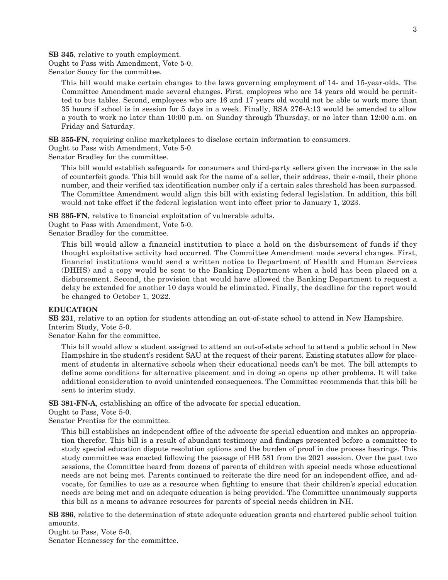**SB 345**, relative to youth employment.

Ought to Pass with Amendment, Vote 5-0.

Senator Soucy for the committee.

This bill would make certain changes to the laws governing employment of 14- and 15-year-olds. The Committee Amendment made several changes. First, employees who are 14 years old would be permitted to bus tables. Second, employees who are 16 and 17 years old would not be able to work more than 35 hours if school is in session for 5 days in a week. Finally, RSA 276-A:13 would be amended to allow a youth to work no later than 10:00 p.m. on Sunday through Thursday, or no later than 12:00 a.m. on Friday and Saturday.

**SB 355-FN**, requiring online marketplaces to disclose certain information to consumers.

Ought to Pass with Amendment, Vote 5-0.

Senator Bradley for the committee.

This bill would establish safeguards for consumers and third-party sellers given the increase in the sale of counterfeit goods. This bill would ask for the name of a seller, their address, their e-mail, their phone number, and their verified tax identification number only if a certain sales threshold has been surpassed. The Committee Amendment would align this bill with existing federal legislation. In addition, this bill would not take effect if the federal legislation went into effect prior to January 1, 2023.

**SB 385-FN**, relative to financial exploitation of vulnerable adults.

Ought to Pass with Amendment, Vote 5-0.

Senator Bradley for the committee.

This bill would allow a financial institution to place a hold on the disbursement of funds if they thought exploitative activity had occurred. The Committee Amendment made several changes. First, financial institutions would send a written notice to Department of Health and Human Services (DHHS) and a copy would be sent to the Banking Department when a hold has been placed on a disbursement. Second, the provision that would have allowed the Banking Department to request a delay be extended for another 10 days would be eliminated. Finally, the deadline for the report would be changed to October 1, 2022.

#### **EDUCATION**

**SB 231**, relative to an option for students attending an out-of-state school to attend in New Hampshire. Interim Study, Vote 5-0.

Senator Kahn for the committee.

This bill would allow a student assigned to attend an out-of-state school to attend a public school in New Hampshire in the student's resident SAU at the request of their parent. Existing statutes allow for placement of students in alternative schools when their educational needs can't be met. The bill attempts to define some conditions for alternative placement and in doing so opens up other problems. It will take additional consideration to avoid unintended consequences. The Committee recommends that this bill be sent to interim study.

**SB 381-FN-A**, establishing an office of the advocate for special education.

Ought to Pass, Vote 5-0.

Senator Prentiss for the committee.

This bill establishes an independent office of the advocate for special education and makes an appropriation therefor. This bill is a result of abundant testimony and findings presented before a committee to study special education dispute resolution options and the burden of proof in due process hearings. This study committee was enacted following the passage of HB 581 from the 2021 session. Over the past two sessions, the Committee heard from dozens of parents of children with special needs whose educational needs are not being met. Parents continued to reiterate the dire need for an independent office, and advocate, for families to use as a resource when fighting to ensure that their children's special education needs are being met and an adequate education is being provided. The Committee unanimously supports this bill as a means to advance resources for parents of special needs children in NH.

**SB 386**, relative to the determination of state adequate education grants and chartered public school tuition amounts.

Ought to Pass, Vote 5-0. Senator Hennessey for the committee.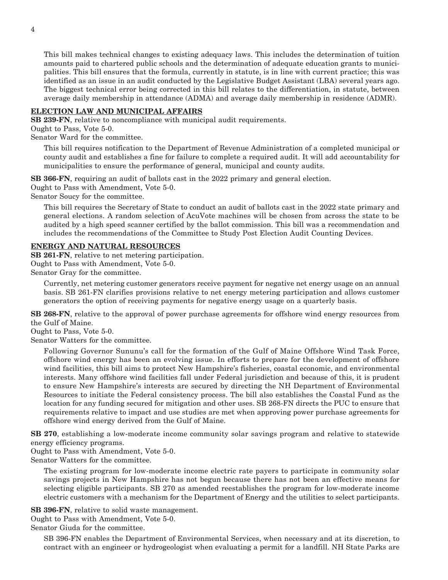This bill makes technical changes to existing adequacy laws. This includes the determination of tuition amounts paid to chartered public schools and the determination of adequate education grants to municipalities. This bill ensures that the formula, currently in statute, is in line with current practice; this was identified as an issue in an audit conducted by the Legislative Budget Assistant (LBA) several years ago. The biggest technical error being corrected in this bill relates to the differentiation, in statute, between average daily membership in attendance (ADMA) and average daily membership in residence (ADMR).

#### **ELECTION LAW AND MUNICIPAL AFFAIRS**

**SB 239-FN**, relative to noncompliance with municipal audit requirements.

Ought to Pass, Vote 5-0.

Senator Ward for the committee.

This bill requires notification to the Department of Revenue Administration of a completed municipal or county audit and establishes a fine for failure to complete a required audit. It will add accountability for municipalities to ensure the performance of general, municipal and county audits.

**SB 366-FN**, requiring an audit of ballots cast in the 2022 primary and general election.

Ought to Pass with Amendment, Vote 5-0.

Senator Soucy for the committee.

This bill requires the Secretary of State to conduct an audit of ballots cast in the 2022 state primary and general elections. A random selection of AcuVote machines will be chosen from across the state to be audited by a high speed scanner certified by the ballot commission. This bill was a recommendation and includes the recommendations of the Committee to Study Post Election Audit Counting Devices.

#### **ENERGY AND NATURAL RESOURCES**

**SB 261-FN**, relative to net metering participation. Ought to Pass with Amendment, Vote 5-0. Senator Gray for the committee.

Currently, net metering customer generators receive payment for negative net energy usage on an annual basis. SB 261-FN clarifies provisions relative to net energy metering participation and allows customer generators the option of receiving payments for negative energy usage on a quarterly basis.

**SB 268-FN**, relative to the approval of power purchase agreements for offshore wind energy resources from the Gulf of Maine.

Ought to Pass, Vote 5-0.

Senator Watters for the committee.

Following Governor Sununu's call for the formation of the Gulf of Maine Offshore Wind Task Force, offshore wind energy has been an evolving issue. In efforts to prepare for the development of offshore wind facilities, this bill aims to protect New Hampshire's fisheries, coastal economic, and environmental interests. Many offshore wind facilities fall under Federal jurisdiction and because of this, it is prudent to ensure New Hampshire's interests are secured by directing the NH Department of Environmental Resources to initiate the Federal consistency process. The bill also establishes the Coastal Fund as the location for any funding secured for mitigation and other uses. SB 268-FN directs the PUC to ensure that requirements relative to impact and use studies are met when approving power purchase agreements for offshore wind energy derived from the Gulf of Maine.

**SB 270**, establishing a low-moderate income community solar savings program and relative to statewide energy efficiency programs.

Ought to Pass with Amendment, Vote 5-0.

Senator Watters for the committee.

The existing program for low-moderate income electric rate payers to participate in community solar savings projects in New Hampshire has not begun because there has not been an effective means for selecting eligible participants. SB 270 as amended reestablishes the program for low-moderate income electric customers with a mechanism for the Department of Energy and the utilities to select participants.

**SB 396-FN**, relative to solid waste management.

Ought to Pass with Amendment, Vote 5-0.

Senator Giuda for the committee.

SB 396-FN enables the Department of Environmental Services, when necessary and at its discretion, to contract with an engineer or hydrogeologist when evaluating a permit for a landfill. NH State Parks are

4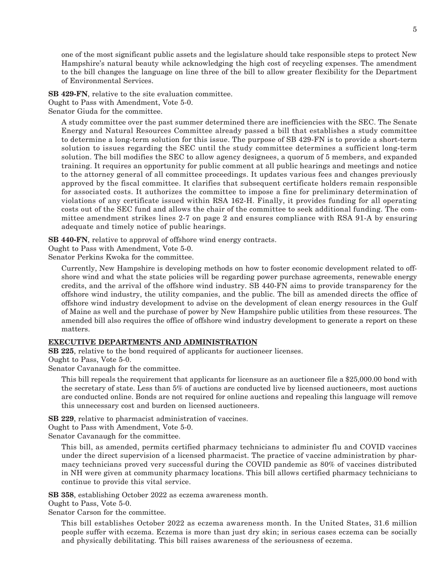one of the most significant public assets and the legislature should take responsible steps to protect New Hampshire's natural beauty while acknowledging the high cost of recycling expenses. The amendment to the bill changes the language on line three of the bill to allow greater flexibility for the Department of Environmental Services.

**SB 429-FN**, relative to the site evaluation committee. Ought to Pass with Amendment, Vote 5-0. Senator Giuda for the committee.

A study committee over the past summer determined there are inefficiencies with the SEC. The Senate Energy and Natural Resources Committee already passed a bill that establishes a study committee to determine a long-term solution for this issue. The purpose of SB 429-FN is to provide a short-term solution to issues regarding the SEC until the study committee determines a sufficient long-term solution. The bill modifies the SEC to allow agency designees, a quorum of 5 members, and expanded training. It requires an opportunity for public comment at all public hearings and meetings and notice to the attorney general of all committee proceedings. It updates various fees and changes previously approved by the fiscal committee. It clarifies that subsequent certificate holders remain responsible for associated costs. It authorizes the committee to impose a fine for preliminary determination of violations of any certificate issued within RSA 162-H. Finally, it provides funding for all operating costs out of the SEC fund and allows the chair of the committee to seek additional funding. The committee amendment strikes lines 2-7 on page 2 and ensures compliance with RSA 91-A by ensuring adequate and timely notice of public hearings.

**SB 440-FN**, relative to approval of offshore wind energy contracts.

Ought to Pass with Amendment, Vote 5-0.

Senator Perkins Kwoka for the committee.

Currently, New Hampshire is developing methods on how to foster economic development related to offshore wind and what the state policies will be regarding power purchase agreements, renewable energy credits, and the arrival of the offshore wind industry. SB 440-FN aims to provide transparency for the offshore wind industry, the utility companies, and the public. The bill as amended directs the office of offshore wind industry development to advise on the development of clean energy resources in the Gulf of Maine as well and the purchase of power by New Hampshire public utilities from these resources. The amended bill also requires the office of offshore wind industry development to generate a report on these matters.

#### **EXECUTIVE DEPARTMENTS AND ADMINISTRATION**

**SB 225**, relative to the bond required of applicants for auctioneer licenses.

Ought to Pass, Vote 5-0.

Senator Cavanaugh for the committee.

This bill repeals the requirement that applicants for licensure as an auctioneer file a \$25,000.00 bond with the secretary of state. Less than 5% of auctions are conducted live by licensed auctioneers, most auctions are conducted online. Bonds are not required for online auctions and repealing this language will remove this unnecessary cost and burden on licensed auctioneers.

**SB 229**, relative to pharmacist administration of vaccines.

Ought to Pass with Amendment, Vote 5-0.

Senator Cavanaugh for the committee.

This bill, as amended, permits certified pharmacy technicians to administer flu and COVID vaccines under the direct supervision of a licensed pharmacist. The practice of vaccine administration by pharmacy technicians proved very successful during the COVID pandemic as 80% of vaccines distributed in NH were given at community pharmacy locations. This bill allows certified pharmacy technicians to continue to provide this vital service.

**SB 358**, establishing October 2022 as eczema awareness month.

Ought to Pass, Vote 5-0.

Senator Carson for the committee.

This bill establishes October 2022 as eczema awareness month. In the United States, 31.6 million people suffer with eczema. Eczema is more than just dry skin; in serious cases eczema can be socially and physically debilitating. This bill raises awareness of the seriousness of eczema.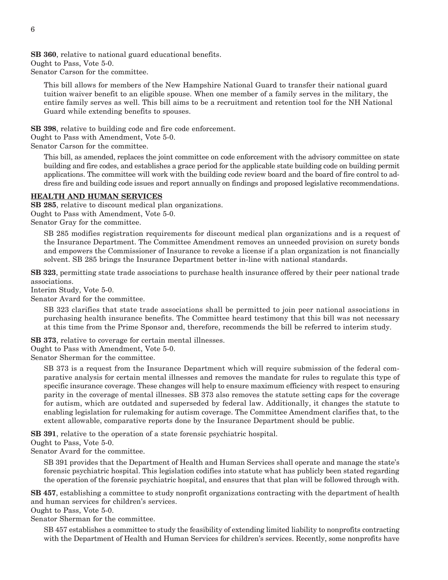**SB 360**, relative to national guard educational benefits. Ought to Pass, Vote 5-0. Senator Carson for the committee.

This bill allows for members of the New Hampshire National Guard to transfer their national guard tuition waiver benefit to an eligible spouse. When one member of a family serves in the military, the entire family serves as well. This bill aims to be a recruitment and retention tool for the NH National Guard while extending benefits to spouses.

**SB 398**, relative to building code and fire code enforcement.

Ought to Pass with Amendment, Vote 5-0.

Senator Carson for the committee.

This bill, as amended, replaces the joint committee on code enforcement with the advisory committee on state building and fire codes, and establishes a grace period for the applicable state building code on building permit applications. The committee will work with the building code review board and the board of fire control to address fire and building code issues and report annually on findings and proposed legislative recommendations.

#### **HEALTH AND HUMAN SERVICES**

**SB 285**, relative to discount medical plan organizations. Ought to Pass with Amendment, Vote 5-0. Senator Gray for the committee.

SB 285 modifies registration requirements for discount medical plan organizations and is a request of the Insurance Department. The Committee Amendment removes an unneeded provision on surety bonds and empowers the Commissioner of Insurance to revoke a license if a plan organization is not financially solvent. SB 285 brings the Insurance Department better in-line with national standards.

**SB 323**, permitting state trade associations to purchase health insurance offered by their peer national trade associations.

Interim Study, Vote 5-0.

Senator Avard for the committee.

SB 323 clarifies that state trade associations shall be permitted to join peer national associations in purchasing health insurance benefits. The Committee heard testimony that this bill was not necessary at this time from the Prime Sponsor and, therefore, recommends the bill be referred to interim study.

**SB 373**, relative to coverage for certain mental illnesses.

Ought to Pass with Amendment, Vote 5-0.

Senator Sherman for the committee.

SB 373 is a request from the Insurance Department which will require submission of the federal comparative analysis for certain mental illnesses and removes the mandate for rules to regulate this type of specific insurance coverage. These changes will help to ensure maximum efficiency with respect to ensuring parity in the coverage of mental illnesses. SB 373 also removes the statute setting caps for the coverage for autism, which are outdated and superseded by federal law. Additionally, it changes the statute to enabling legislation for rulemaking for autism coverage. The Committee Amendment clarifies that, to the extent allowable, comparative reports done by the Insurance Department should be public.

**SB 391**, relative to the operation of a state forensic psychiatric hospital.

Ought to Pass, Vote 5-0.

Senator Avard for the committee.

SB 391 provides that the Department of Health and Human Services shall operate and manage the state's forensic psychiatric hospital. This legislation codifies into statute what has publicly been stated regarding the operation of the forensic psychiatric hospital, and ensures that that plan will be followed through with.

**SB 457**, establishing a committee to study nonprofit organizations contracting with the department of health and human services for children's services.

Ought to Pass, Vote 5-0.

Senator Sherman for the committee.

SB 457 establishes a committee to study the feasibility of extending limited liability to nonprofits contracting with the Department of Health and Human Services for children's services. Recently, some nonprofits have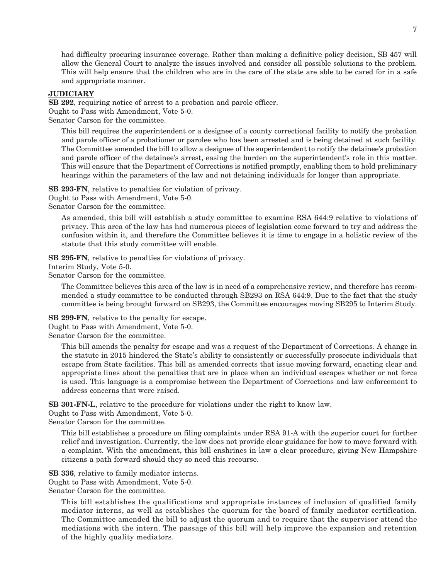had difficulty procuring insurance coverage. Rather than making a definitive policy decision, SB 457 will allow the General Court to analyze the issues involved and consider all possible solutions to the problem. This will help ensure that the children who are in the care of the state are able to be cared for in a safe and appropriate manner.

#### **JUDICIARY**

**SB 292**, requiring notice of arrest to a probation and parole officer.

Ought to Pass with Amendment, Vote 5-0.

Senator Carson for the committee.

This bill requires the superintendent or a designee of a county correctional facility to notify the probation and parole officer of a probationer or parolee who has been arrested and is being detained at such facility. The Committee amended the bill to allow a designee of the superintendent to notify the detainee's probation and parole officer of the detainee's arrest, easing the burden on the superintendent's role in this matter. This will ensure that the Department of Corrections is notified promptly, enabling them to hold preliminary hearings within the parameters of the law and not detaining individuals for longer than appropriate.

**SB 293-FN**, relative to penalties for violation of privacy. Ought to Pass with Amendment, Vote 5-0. Senator Carson for the committee.

As amended, this bill will establish a study committee to examine RSA 644:9 relative to violations of privacy. This area of the law has had numerous pieces of legislation come forward to try and address the confusion within it, and therefore the Committee believes it is time to engage in a holistic review of the statute that this study committee will enable.

**SB 295-FN**, relative to penalties for violations of privacy.

Interim Study, Vote 5-0.

Senator Carson for the committee.

The Committee believes this area of the law is in need of a comprehensive review, and therefore has recommended a study committee to be conducted through SB293 on RSA 644:9. Due to the fact that the study committee is being brought forward on SB293, the Committee encourages moving SB295 to Interim Study.

**SB 299-FN**, relative to the penalty for escape.

Ought to Pass with Amendment, Vote 5-0.

Senator Carson for the committee.

This bill amends the penalty for escape and was a request of the Department of Corrections. A change in the statute in 2015 hindered the State's ability to consistently or successfully prosecute individuals that escape from State facilities. This bill as amended corrects that issue moving forward, enacting clear and appropriate lines about the penalties that are in place when an individual escapes whether or not force is used. This language is a compromise between the Department of Corrections and law enforcement to address concerns that were raised.

**SB 301-FN-L**, relative to the procedure for violations under the right to know law.

Ought to Pass with Amendment, Vote 5-0.

Senator Carson for the committee.

This bill establishes a procedure on filing complaints under RSA 91-A with the superior court for further relief and investigation. Currently, the law does not provide clear guidance for how to move forward with a complaint. With the amendment, this bill enshrines in law a clear procedure, giving New Hampshire citizens a path forward should they so need this recourse.

**SB 336**, relative to family mediator interns. Ought to Pass with Amendment, Vote 5-0. Senator Carson for the committee.

This bill establishes the qualifications and appropriate instances of inclusion of qualified family mediator interns, as well as establishes the quorum for the board of family mediator certification. The Committee amended the bill to adjust the quorum and to require that the supervisor attend the mediations with the intern. The passage of this bill will help improve the expansion and retention of the highly quality mediators.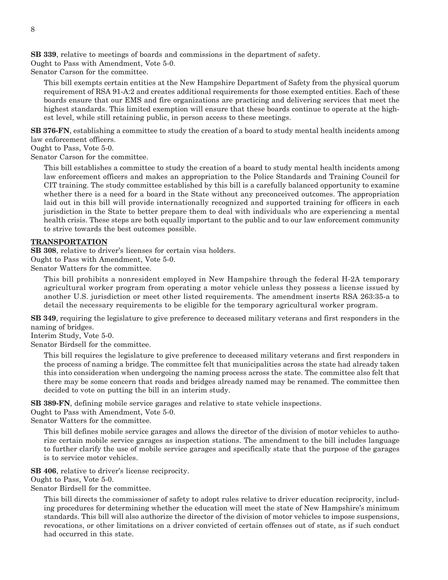**SB 339**, relative to meetings of boards and commissions in the department of safety. Ought to Pass with Amendment, Vote 5-0.

Senator Carson for the committee.

This bill exempts certain entities at the New Hampshire Department of Safety from the physical quorum requirement of RSA 91-A:2 and creates additional requirements for those exempted entities. Each of these boards ensure that our EMS and fire organizations are practicing and delivering services that meet the highest standards. This limited exemption will ensure that these boards continue to operate at the highest level, while still retaining public, in person access to these meetings.

**SB 376-FN**, establishing a committee to study the creation of a board to study mental health incidents among law enforcement officers.

Ought to Pass, Vote 5-0.

Senator Carson for the committee.

This bill establishes a committee to study the creation of a board to study mental health incidents among law enforcement officers and makes an appropriation to the Police Standards and Training Council for CIT training. The study committee established by this bill is a carefully balanced opportunity to examine whether there is a need for a board in the State without any preconceived outcomes. The appropriation laid out in this bill will provide internationally recognized and supported training for officers in each jurisdiction in the State to better prepare them to deal with individuals who are experiencing a mental health crisis. These steps are both equally important to the public and to our law enforcement community to strive towards the best outcomes possible.

#### **TRANSPORTATION**

**SB 308**, relative to driver's licenses for certain visa holders.

Ought to Pass with Amendment, Vote 5-0.

Senator Watters for the committee.

This bill prohibits a nonresident employed in New Hampshire through the federal H-2A temporary agricultural worker program from operating a motor vehicle unless they possess a license issued by another U.S. jurisdiction or meet other listed requirements. The amendment inserts RSA 263:35-a to detail the necessary requirements to be eligible for the temporary agricultural worker program.

**SB 349**, requiring the legislature to give preference to deceased military veterans and first responders in the naming of bridges.

Interim Study, Vote 5-0.

Senator Birdsell for the committee.

This bill requires the legislature to give preference to deceased military veterans and first responders in the process of naming a bridge. The committee felt that municipalities across the state had already taken this into consideration when undergoing the naming process across the state. The committee also felt that there may be some concern that roads and bridges already named may be renamed. The committee then decided to vote on putting the bill in an interim study.

**SB 389-FN**, defining mobile service garages and relative to state vehicle inspections.

Ought to Pass with Amendment, Vote 5-0.

Senator Watters for the committee.

This bill defines mobile service garages and allows the director of the division of motor vehicles to authorize certain mobile service garages as inspection stations. The amendment to the bill includes language to further clarify the use of mobile service garages and specifically state that the purpose of the garages is to service motor vehicles.

**SB 406**, relative to driver's license reciprocity.

Ought to Pass, Vote 5-0.

Senator Birdsell for the committee.

This bill directs the commissioner of safety to adopt rules relative to driver education reciprocity, including procedures for determining whether the education will meet the state of New Hampshire's minimum standards. This bill will also authorize the director of the division of motor vehicles to impose suspensions, revocations, or other limitations on a driver convicted of certain offenses out of state, as if such conduct had occurred in this state.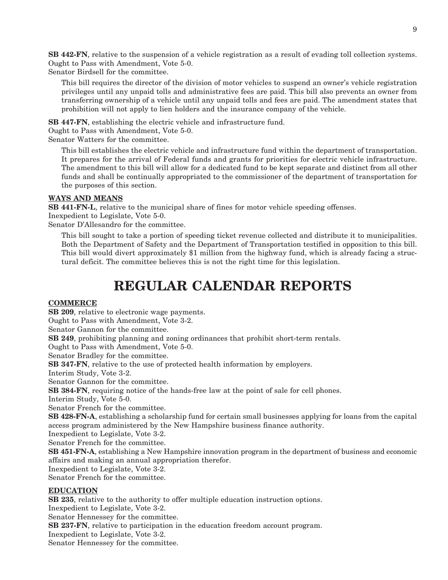**SB 442-FN**, relative to the suspension of a vehicle registration as a result of evading toll collection systems. Ought to Pass with Amendment, Vote 5-0.

Senator Birdsell for the committee.

This bill requires the director of the division of motor vehicles to suspend an owner's vehicle registration privileges until any unpaid tolls and administrative fees are paid. This bill also prevents an owner from transferring ownership of a vehicle until any unpaid tolls and fees are paid. The amendment states that prohibition will not apply to lien holders and the insurance company of the vehicle.

**SB 447-FN**, establishing the electric vehicle and infrastructure fund.

Ought to Pass with Amendment, Vote 5-0.

Senator Watters for the committee.

This bill establishes the electric vehicle and infrastructure fund within the department of transportation. It prepares for the arrival of Federal funds and grants for priorities for electric vehicle infrastructure. The amendment to this bill will allow for a dedicated fund to be kept separate and distinct from all other funds and shall be continually appropriated to the commissioner of the department of transportation for the purposes of this section.

#### **WAYS AND MEANS**

**SB 441-FN-L**, relative to the municipal share of fines for motor vehicle speeding offenses. Inexpedient to Legislate, Vote 5-0. Senator D'Allesandro for the committee.

This bill sought to take a portion of speeding ticket revenue collected and distribute it to municipalities. Both the Department of Safety and the Department of Transportation testified in opposition to this bill. This bill would divert approximately \$1 million from the highway fund, which is already facing a structural deficit. The committee believes this is not the right time for this legislation.

### **REGULAR CALENDAR REPORTS**

#### **COMMERCE**

**SB 209**, relative to electronic wage payments. Ought to Pass with Amendment, Vote 3-2. Senator Gannon for the committee. **SB 249**, prohibiting planning and zoning ordinances that prohibit short-term rentals. Ought to Pass with Amendment, Vote 5-0. Senator Bradley for the committee. **SB 347-FN**, relative to the use of protected health information by employers. Interim Study, Vote 3-2. Senator Gannon for the committee. **SB 384-FN**, requiring notice of the hands-free law at the point of sale for cell phones. Interim Study, Vote 5-0. Senator French for the committee. **SB 428-FN-A**, establishing a scholarship fund for certain small businesses applying for loans from the capital access program administered by the New Hampshire business finance authority. Inexpedient to Legislate, Vote 3-2. Senator French for the committee. **SB 451-FN-A**, establishing a New Hampshire innovation program in the department of business and economic affairs and making an annual appropriation therefor. Inexpedient to Legislate, Vote 3-2. Senator French for the committee. **EDUCATION SB 235**, relative to the authority to offer multiple education instruction options. Inexpedient to Legislate, Vote 3-2. Senator Hennessey for the committee.

**SB 237-FN**, relative to participation in the education freedom account program.

Inexpedient to Legislate, Vote 3-2.

Senator Hennessey for the committee.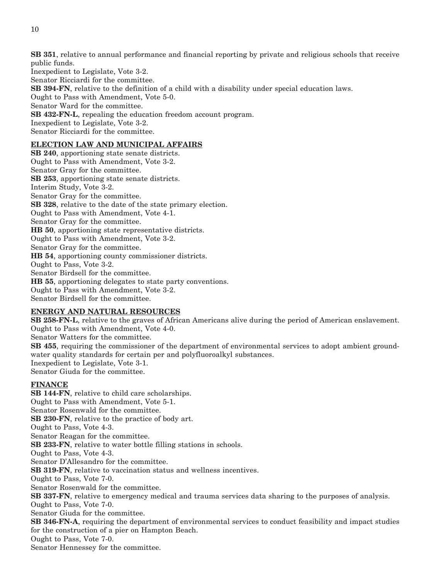**SB 351**, relative to annual performance and financial reporting by private and religious schools that receive public funds.

Inexpedient to Legislate, Vote 3-2.

Senator Ricciardi for the committee.

**SB 394-FN**, relative to the definition of a child with a disability under special education laws.

Ought to Pass with Amendment, Vote 5-0.

Senator Ward for the committee.

**SB 432-FN-L**, repealing the education freedom account program.

Inexpedient to Legislate, Vote 3-2.

Senator Ricciardi for the committee.

#### **ELECTION LAW AND MUNICIPAL AFFAIRS**

**SB 240**, apportioning state senate districts. Ought to Pass with Amendment, Vote 3-2. Senator Gray for the committee. **SB 253**, apportioning state senate districts. Interim Study, Vote 3-2. Senator Gray for the committee. **SB 328**, relative to the date of the state primary election. Ought to Pass with Amendment, Vote 4-1. Senator Gray for the committee. **HB 50**, apportioning state representative districts. Ought to Pass with Amendment, Vote 3-2. Senator Gray for the committee. **HB 54**, apportioning county commissioner districts. Ought to Pass, Vote 3-2. Senator Birdsell for the committee. **HB 55**, apportioning delegates to state party conventions. Ought to Pass with Amendment, Vote 3-2. Senator Birdsell for the committee.

#### **ENERGY AND NATURAL RESOURCES**

**SB 258-FN-L**, relative to the graves of African Americans alive during the period of American enslavement. Ought to Pass with Amendment, Vote 4-0. Senator Watters for the committee. **SB 455**, requiring the commissioner of the department of environmental services to adopt ambient groundwater quality standards for certain per and polyfluoroalkyl substances. Inexpedient to Legislate, Vote 3-1. Senator Giuda for the committee.

#### **FINANCE**

**SB 144-FN**, relative to child care scholarships. Ought to Pass with Amendment, Vote 5-1. Senator Rosenwald for the committee. **SB 230-FN**, relative to the practice of body art. Ought to Pass, Vote 4-3. Senator Reagan for the committee. **SB 233-FN**, relative to water bottle filling stations in schools. Ought to Pass, Vote 4-3. Senator D'Allesandro for the committee. **SB 319-FN**, relative to vaccination status and wellness incentives. Ought to Pass, Vote 7-0. Senator Rosenwald for the committee. **SB 337-FN**, relative to emergency medical and trauma services data sharing to the purposes of analysis. Ought to Pass, Vote 7-0. Senator Giuda for the committee. **SB 346-FN-A**, requiring the department of environmental services to conduct feasibility and impact studies for the construction of a pier on Hampton Beach. Ought to Pass, Vote 7-0. Senator Hennessey for the committee.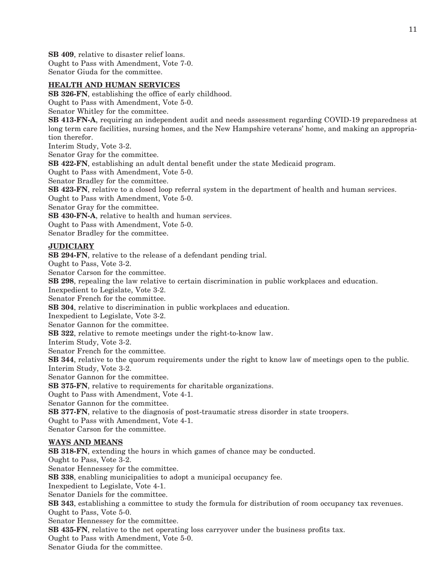**SB 409**, relative to disaster relief loans. Ought to Pass with Amendment, Vote 7-0. Senator Giuda for the committee.

#### **HEALTH AND HUMAN SERVICES**

**SB 326-FN**, establishing the office of early childhood.

Ought to Pass with Amendment, Vote 5-0.

Senator Whitley for the committee.

**SB 413-FN-A**, requiring an independent audit and needs assessment regarding COVID-19 preparedness at long term care facilities, nursing homes, and the New Hampshire veterans' home, and making an appropriation therefor.

Interim Study, Vote 3-2.

Senator Gray for the committee.

**SB 422-FN**, establishing an adult dental benefit under the state Medicaid program.

Ought to Pass with Amendment, Vote 5-0.

Senator Bradley for the committee.

**SB 423-FN**, relative to a closed loop referral system in the department of health and human services.

Ought to Pass with Amendment, Vote 5-0.

Senator Gray for the committee.

**SB 430-FN-A**, relative to health and human services.

Ought to Pass with Amendment, Vote 5-0.

Senator Bradley for the committee.

#### **JUDICIARY**

**SB 294-FN**, relative to the release of a defendant pending trial.

Ought to Pass, Vote 3-2.

Senator Carson for the committee.

**SB 298**, repealing the law relative to certain discrimination in public workplaces and education.

Inexpedient to Legislate, Vote 3-2.

Senator French for the committee.

**SB 304**, relative to discrimination in public workplaces and education.

Inexpedient to Legislate, Vote 3-2.

Senator Gannon for the committee.

**SB 322**, relative to remote meetings under the right-to-know law.

Interim Study, Vote 3-2.

Senator French for the committee.

**SB 344**, relative to the quorum requirements under the right to know law of meetings open to the public. Interim Study, Vote 3-2.

Senator Gannon for the committee.

**SB 375-FN**, relative to requirements for charitable organizations.

Ought to Pass with Amendment, Vote 4-1.

Senator Gannon for the committee.

**SB 377-FN**, relative to the diagnosis of post-traumatic stress disorder in state troopers.

Ought to Pass with Amendment, Vote 4-1.

Senator Carson for the committee.

#### **WAYS AND MEANS**

**SB 318-FN**, extending the hours in which games of chance may be conducted. Ought to Pass, Vote 3-2. Senator Hennessey for the committee. **SB 338**, enabling municipalities to adopt a municipal occupancy fee. Inexpedient to Legislate, Vote 4-1. Senator Daniels for the committee. **SB 343**, establishing a committee to study the formula for distribution of room occupancy tax revenues. Ought to Pass, Vote 5-0. Senator Hennessey for the committee. **SB 435-FN**, relative to the net operating loss carryover under the business profits tax. Ought to Pass with Amendment, Vote 5-0. Senator Giuda for the committee.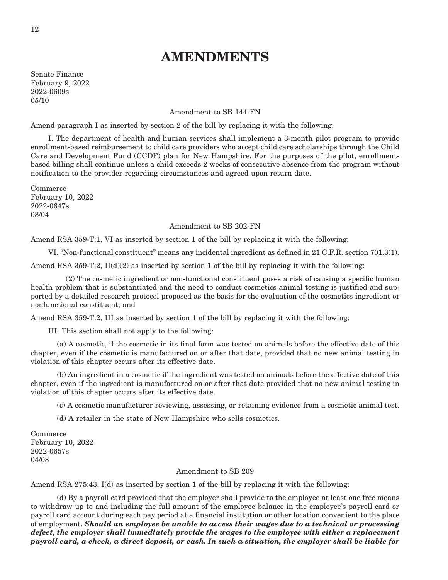### **AMENDMENTS**

Senate Finance February 9, 2022 2022-0609s 05/10

#### Amendment to SB 144-FN

Amend paragraph I as inserted by section 2 of the bill by replacing it with the following:

 I. The department of health and human services shall implement a 3-month pilot program to provide enrollment-based reimbursement to child care providers who accept child care scholarships through the Child Care and Development Fund (CCDF) plan for New Hampshire. For the purposes of the pilot, enrollmentbased billing shall continue unless a child exceeds 2 weeks of consecutive absence from the program without notification to the provider regarding circumstances and agreed upon return date.

Commerce February 10, 2022 2022-0647s 08/04

#### Amendment to SB 202-FN

Amend RSA 359-T:1, VI as inserted by section 1 of the bill by replacing it with the following:

VI. "Non-functional constituent" means any incidental ingredient as defined in 21 C.F.R. section 701.3(1).

Amend RSA 359-T:2,  $II(d)(2)$  as inserted by section 1 of the bill by replacing it with the following:

 (2) The cosmetic ingredient or non-functional constituent poses a risk of causing a specific human health problem that is substantiated and the need to conduct cosmetics animal testing is justified and supported by a detailed research protocol proposed as the basis for the evaluation of the cosmetics ingredient or nonfunctional constituent; and

Amend RSA 359-T:2, III as inserted by section 1 of the bill by replacing it with the following:

III. This section shall not apply to the following:

 (a) A cosmetic, if the cosmetic in its final form was tested on animals before the effective date of this chapter, even if the cosmetic is manufactured on or after that date, provided that no new animal testing in violation of this chapter occurs after its effective date.

 (b) An ingredient in a cosmetic if the ingredient was tested on animals before the effective date of this chapter, even if the ingredient is manufactured on or after that date provided that no new animal testing in violation of this chapter occurs after its effective date.

(c) A cosmetic manufacturer reviewing, assessing, or retaining evidence from a cosmetic animal test.

(d) A retailer in the state of New Hampshire who sells cosmetics.

Commerce February 10, 2022 2022-0657s 04/08

#### Amendment to SB 209

Amend RSA 275:43, I(d) as inserted by section 1 of the bill by replacing it with the following:

 (d) By a payroll card provided that the employer shall provide to the employee at least one free means to withdraw up to and including the full amount of the employee balance in the employee's payroll card or payroll card account during each pay period at a financial institution or other location convenient to the place of employment. *Should an employee be unable to access their wages due to a technical or processing defect, the employer shall immediately provide the wages to the employee with either a replacement payroll card, a check, a direct deposit, or cash. In such a situation, the employer shall be liable for*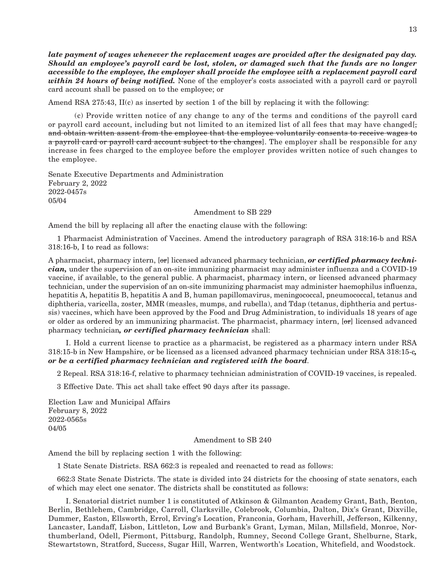*late payment of wages whenever the replacement wages are provided after the designated pay day. Should an employee's payroll card be lost, stolen, or damaged such that the funds are no longer accessible to the employee, the employer shall provide the employee with a replacement payroll card within 24 hours of being notified.* None of the employer's costs associated with a payroll card or payroll card account shall be passed on to the employee; or

Amend RSA 275:43, II(c) as inserted by section 1 of the bill by replacing it with the following:

 (c) Provide written notice of any change to any of the terms and conditions of the payroll card or payroll card account, including but not limited to an itemized list of all fees that may have changed[; and obtain written assent from the employee that the employee voluntarily consents to receive wages to a payroll card or payroll card account subject to the changes. The employer shall be responsible for any increase in fees charged to the employee before the employer provides written notice of such changes to the employee.

Senate Executive Departments and Administration February 2, 2022 2022-0457s 05/04

Amendment to SB 229

Amend the bill by replacing all after the enacting clause with the following:

1 Pharmacist Administration of Vaccines. Amend the introductory paragraph of RSA 318:16-b and RSA 318:16-b, I to read as follows:

A pharmacist, pharmacy intern, [or] licensed advanced pharmacy technician, *or certified pharmacy technician,* under the supervision of an on-site immunizing pharmacist may administer influenza and a COVID-19 vaccine, if available, to the general public. A pharmacist, pharmacy intern, or licensed advanced pharmacy technician, under the supervision of an on-site immunizing pharmacist may administer haemophilus influenza, hepatitis A, hepatitis B, hepatitis A and B, human papillomavirus, meningococcal, pneumococcal, tetanus and diphtheria, varicella, zoster, MMR (measles, mumps, and rubella), and Tdap (tetanus, diphtheria and pertussis) vaccines, which have been approved by the Food and Drug Administration, to individuals 18 years of age or older as ordered by an immunizing pharmacist. The pharmacist, pharmacy intern, [or] licensed advanced pharmacy technician*, or certified pharmacy technician* shall:

 I. Hold a current license to practice as a pharmacist, be registered as a pharmacy intern under RSA 318:15-b in New Hampshire, or be licensed as a licensed advanced pharmacy technician under RSA 318:15-c*, or be a certified pharmacy technician and registered with the board*.

2 Repeal. RSA 318:16-f, relative to pharmacy technician administration of COVID-19 vaccines, is repealed.

3 Effective Date. This act shall take effect 90 days after its passage.

Election Law and Municipal Affairs February 8, 2022 2022-0565s 04/05

Amendment to SB 240

Amend the bill by replacing section 1 with the following:

1 State Senate Districts. RSA 662:3 is repealed and reenacted to read as follows:

662:3 State Senate Districts. The state is divided into 24 districts for the choosing of state senators, each of which may elect one senator. The districts shall be constituted as follows:

 I. Senatorial district number 1 is constituted of Atkinson & Gilmanton Academy Grant, Bath, Benton, Berlin, Bethlehem, Cambridge, Carroll, Clarksville, Colebrook, Columbia, Dalton, Dix's Grant, Dixville, Dummer, Easton, Ellsworth, Errol, Erving's Location, Franconia, Gorham, Haverhill, Jefferson, Kilkenny, Lancaster, Landaff, Lisbon, Littleton, Low and Burbank's Grant, Lyman, Milan, Millsfield, Monroe, Northumberland, Odell, Piermont, Pittsburg, Randolph, Rumney, Second College Grant, Shelburne, Stark, Stewartstown, Stratford, Success, Sugar Hill, Warren, Wentworth's Location, Whitefield, and Woodstock.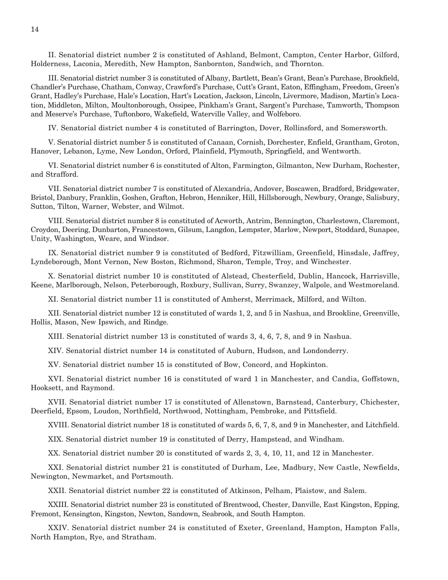II. Senatorial district number 2 is constituted of Ashland, Belmont, Campton, Center Harbor, Gilford, Holderness, Laconia, Meredith, New Hampton, Sanbornton, Sandwich, and Thornton.

 III. Senatorial district number 3 is constituted of Albany, Bartlett, Bean's Grant, Bean's Purchase, Brookfield, Chandler's Purchase, Chatham, Conway, Crawford's Purchase, Cutt's Grant, Eaton, Effingham, Freedom, Green's Grant, Hadley's Purchase, Hale's Location, Hart's Location, Jackson, Lincoln, Livermore, Madison, Martin's Location, Middleton, Milton, Moultonborough, Ossipee, Pinkham's Grant, Sargent's Purchase, Tamworth, Thompson and Meserve's Purchase, Tuftonboro, Wakefield, Waterville Valley, and Wolfeboro.

IV. Senatorial district number 4 is constituted of Barrington, Dover, Rollinsford, and Somersworth.

 V. Senatorial district number 5 is constituted of Canaan, Cornish, Dorchester, Enfield, Grantham, Groton, Hanover, Lebanon, Lyme, New London, Orford, Plainfield, Plymouth, Springfield, and Wentworth.

 VI. Senatorial district number 6 is constituted of Alton, Farmington, Gilmanton, New Durham, Rochester, and Strafford.

 VII. Senatorial district number 7 is constituted of Alexandria, Andover, Boscawen, Bradford, Bridgewater, Bristol, Danbury, Franklin, Goshen, Grafton, Hebron, Henniker, Hill, Hillsborough, Newbury, Orange, Salisbury, Sutton, Tilton, Warner, Webster, and Wilmot.

 VIII. Senatorial district number 8 is constituted of Acworth, Antrim, Bennington, Charlestown, Claremont, Croydon, Deering, Dunbarton, Francestown, Gilsum, Langdon, Lempster, Marlow, Newport, Stoddard, Sunapee, Unity, Washington, Weare, and Windsor.

 IX. Senatorial district number 9 is constituted of Bedford, Fitzwilliam, Greenfield, Hinsdale, Jaffrey, Lyndeborough, Mont Vernon, New Boston, Richmond, Sharon, Temple, Troy, and Winchester.

 X. Senatorial district number 10 is constituted of Alstead, Chesterfield, Dublin, Hancock, Harrisville, Keene, Marlborough, Nelson, Peterborough, Roxbury, Sullivan, Surry, Swanzey, Walpole, and Westmoreland.

XI. Senatorial district number 11 is constituted of Amherst, Merrimack, Milford, and Wilton.

 XII. Senatorial district number 12 is constituted of wards 1, 2, and 5 in Nashua, and Brookline, Greenville, Hollis, Mason, New Ipswich, and Rindge.

XIII. Senatorial district number 13 is constituted of wards 3, 4, 6, 7, 8, and 9 in Nashua.

XIV. Senatorial district number 14 is constituted of Auburn, Hudson, and Londonderry.

XV. Senatorial district number 15 is constituted of Bow, Concord, and Hopkinton.

 XVI. Senatorial district number 16 is constituted of ward 1 in Manchester, and Candia, Goffstown, Hooksett, and Raymond.

 XVII. Senatorial district number 17 is constituted of Allenstown, Barnstead, Canterbury, Chichester, Deerfield, Epsom, Loudon, Northfield, Northwood, Nottingham, Pembroke, and Pittsfield.

XVIII. Senatorial district number 18 is constituted of wards 5, 6, 7, 8, and 9 in Manchester, and Litchfield.

XIX. Senatorial district number 19 is constituted of Derry, Hampstead, and Windham.

XX. Senatorial district number 20 is constituted of wards 2, 3, 4, 10, 11, and 12 in Manchester.

 XXI. Senatorial district number 21 is constituted of Durham, Lee, Madbury, New Castle, Newfields, Newington, Newmarket, and Portsmouth.

XXII. Senatorial district number 22 is constituted of Atkinson, Pelham, Plaistow, and Salem.

 XXIII. Senatorial district number 23 is constituted of Brentwood, Chester, Danville, East Kingston, Epping, Fremont, Kensington, Kingston, Newton, Sandown, Seabrook, and South Hampton.

 XXIV. Senatorial district number 24 is constituted of Exeter, Greenland, Hampton, Hampton Falls, North Hampton, Rye, and Stratham.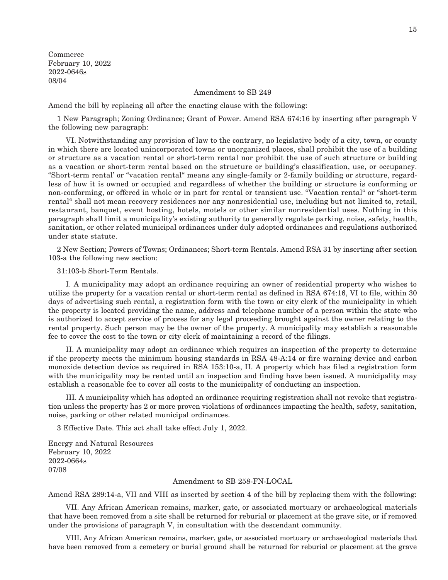Commerce February 10, 2022 2022-0646s 08/04

#### Amendment to SB 249

Amend the bill by replacing all after the enacting clause with the following:

1 New Paragraph; Zoning Ordinance; Grant of Power. Amend RSA 674:16 by inserting after paragraph V the following new paragraph:

 VI. Notwithstanding any provision of law to the contrary, no legislative body of a city, town, or county in which there are located unincorporated towns or unorganized places, shall prohibit the use of a building or structure as a vacation rental or short-term rental nor prohibit the use of such structure or building as a vacation or short-term rental based on the structure or building's classification, use, or occupancy. "Short-term rental' or "vacation rental" means any single-family or 2-family building or structure, regardless of how it is owned or occupied and regardless of whether the building or structure is conforming or non-conforming, or offered in whole or in part for rental or transient use. "Vacation rental" or "short-term rental" shall not mean recovery residences nor any nonresidential use, including but not limited to, retail, restaurant, banquet, event hosting, hotels, motels or other similar nonresidential uses. Nothing in this paragraph shall limit a municipality's existing authority to generally regulate parking, noise, safety, health, sanitation, or other related municipal ordinances under duly adopted ordinances and regulations authorized under state statute.

2 New Section; Powers of Towns; Ordinances; Short-term Rentals. Amend RSA 31 by inserting after section 103-a the following new section:

31:103-b Short-Term Rentals.

 I. A municipality may adopt an ordinance requiring an owner of residential property who wishes to utilize the property for a vacation rental or short-term rental as defined in RSA 674:16, VI to file, within 30 days of advertising such rental, a registration form with the town or city clerk of the municipality in which the property is located providing the name, address and telephone number of a person within the state who is authorized to accept service of process for any legal proceeding brought against the owner relating to the rental property. Such person may be the owner of the property. A municipality may establish a reasonable fee to cover the cost to the town or city clerk of maintaining a record of the filings.

 II. A municipality may adopt an ordinance which requires an inspection of the property to determine if the property meets the minimum housing standards in RSA 48-A:14 or fire warning device and carbon monoxide detection device as required in RSA 153:10-a, II. A property which has filed a registration form with the municipality may be rented until an inspection and finding have been issued. A municipality may establish a reasonable fee to cover all costs to the municipality of conducting an inspection.

 III. A municipality which has adopted an ordinance requiring registration shall not revoke that registration unless the property has 2 or more proven violations of ordinances impacting the health, safety, sanitation, noise, parking or other related municipal ordinances.

3 Effective Date. This act shall take effect July 1, 2022.

Energy and Natural Resources February 10, 2022 2022-0664s 07/08

#### Amendment to SB 258-FN-LOCAL

Amend RSA 289:14-a, VII and VIII as inserted by section 4 of the bill by replacing them with the following:

 VII. Any African American remains, marker, gate, or associated mortuary or archaeological materials that have been removed from a site shall be returned for reburial or placement at the grave site, or if removed under the provisions of paragraph V, in consultation with the descendant community.

 VIII. Any African American remains, marker, gate, or associated mortuary or archaeological materials that have been removed from a cemetery or burial ground shall be returned for reburial or placement at the grave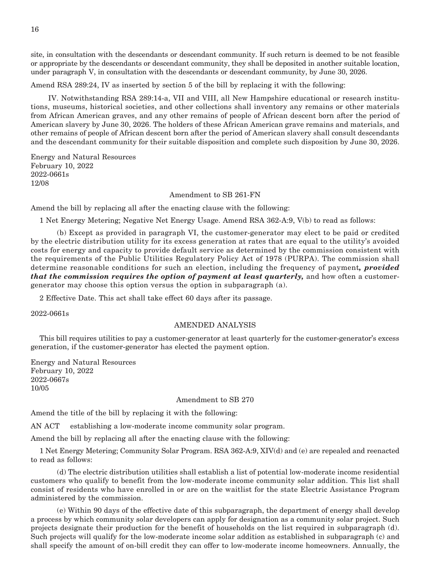site, in consultation with the descendants or descendant community. If such return is deemed to be not feasible or appropriate by the descendants or descendant community, they shall be deposited in another suitable location, under paragraph V, in consultation with the descendants or descendant community, by June 30, 2026.

Amend RSA 289:24, IV as inserted by section 5 of the bill by replacing it with the following:

 IV. Notwithstanding RSA 289:14-a, VII and VIII, all New Hampshire educational or research institutions, museums, historical societies, and other collections shall inventory any remains or other materials from African American graves, and any other remains of people of African descent born after the period of American slavery by June 30, 2026. The holders of these African American grave remains and materials, and other remains of people of African descent born after the period of American slavery shall consult descendants and the descendant community for their suitable disposition and complete such disposition by June 30, 2026.

Energy and Natural Resources February 10, 2022 2022-0661s 12/08

#### Amendment to SB 261-FN

Amend the bill by replacing all after the enacting clause with the following:

1 Net Energy Metering; Negative Net Energy Usage. Amend RSA 362-A:9, V(b) to read as follows:

 (b) Except as provided in paragraph VI, the customer-generator may elect to be paid or credited by the electric distribution utility for its excess generation at rates that are equal to the utility's avoided costs for energy and capacity to provide default service as determined by the commission consistent with the requirements of the Public Utilities Regulatory Policy Act of 1978 (PURPA). The commission shall determine reasonable conditions for such an election, including the frequency of payment*, provided that the commission requires the option of payment at least quarterly,* and how often a customergenerator may choose this option versus the option in subparagraph (a).

2 Effective Date. This act shall take effect 60 days after its passage.

2022-0661s

#### AMENDED ANALYSIS

This bill requires utilities to pay a customer-generator at least quarterly for the customer-generator's excess generation, if the customer-generator has elected the payment option.

Energy and Natural Resources February 10, 2022 2022-0667s 10/05

#### Amendment to SB 270

Amend the title of the bill by replacing it with the following:

AN ACT establishing a low-moderate income community solar program.

Amend the bill by replacing all after the enacting clause with the following:

1 Net Energy Metering; Community Solar Program. RSA 362-A:9, XIV(d) and (e) are repealed and reenacted to read as follows:

 (d) The electric distribution utilities shall establish a list of potential low-moderate income residential customers who qualify to benefit from the low-moderate income community solar addition. This list shall consist of residents who have enrolled in or are on the waitlist for the state Electric Assistance Program administered by the commission.

 (e) Within 90 days of the effective date of this subparagraph, the department of energy shall develop a process by which community solar developers can apply for designation as a community solar project. Such projects designate their production for the benefit of households on the list required in subparagraph (d). Such projects will qualify for the low-moderate income solar addition as established in subparagraph (c) and shall specify the amount of on-bill credit they can offer to low-moderate income homeowners. Annually, the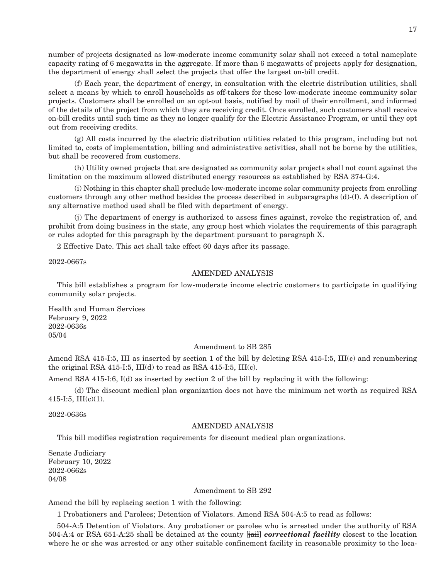number of projects designated as low-moderate income community solar shall not exceed a total nameplate capacity rating of 6 megawatts in the aggregate. If more than 6 megawatts of projects apply for designation, the department of energy shall select the projects that offer the largest on-bill credit.

 (f) Each year, the department of energy, in consultation with the electric distribution utilities, shall select a means by which to enroll households as off-takers for these low-moderate income community solar projects. Customers shall be enrolled on an opt-out basis, notified by mail of their enrollment, and informed of the details of the project from which they are receiving credit. Once enrolled, such customers shall receive on-bill credits until such time as they no longer qualify for the Electric Assistance Program, or until they opt out from receiving credits.

 (g) All costs incurred by the electric distribution utilities related to this program, including but not limited to, costs of implementation, billing and administrative activities, shall not be borne by the utilities, but shall be recovered from customers.

 (h) Utility owned projects that are designated as community solar projects shall not count against the limitation on the maximum allowed distributed energy resources as established by RSA 374-G:4.

 (i) Nothing in this chapter shall preclude low-moderate income solar community projects from enrolling customers through any other method besides the process described in subparagraphs (d)-(f). A description of any alternative method used shall be filed with department of energy.

 (j) The department of energy is authorized to assess fines against, revoke the registration of, and prohibit from doing business in the state, any group host which violates the requirements of this paragraph or rules adopted for this paragraph by the department pursuant to paragraph X.

2 Effective Date. This act shall take effect 60 days after its passage.

2022-0667s

#### AMENDED ANALYSIS

This bill establishes a program for low-moderate income electric customers to participate in qualifying community solar projects.

Health and Human Services February 9, 2022 2022-0636s 05/04

#### Amendment to SB 285

Amend RSA 415-I:5, III as inserted by section 1 of the bill by deleting RSA 415-I:5, III(c) and renumbering the original RSA 415-I:5,  $III(d)$  to read as RSA 415-I:5,  $III(c)$ .

Amend RSA 415-I:6, I(d) as inserted by section 2 of the bill by replacing it with the following:

 (d) The discount medical plan organization does not have the minimum net worth as required RSA 415-I:5, III(c)(1).

2022-0636s

#### AMENDED ANALYSIS

This bill modifies registration requirements for discount medical plan organizations.

Senate Judiciary February 10, 2022 2022-0662s 04/08

#### Amendment to SB 292

Amend the bill by replacing section 1 with the following:

1 Probationers and Parolees; Detention of Violators. Amend RSA 504-A:5 to read as follows:

504-A:5 Detention of Violators. Any probationer or parolee who is arrested under the authority of RSA 504-A:4 or RSA 651-A:25 shall be detained at the county [jail] *correctional facility* closest to the location where he or she was arrested or any other suitable confinement facility in reasonable proximity to the loca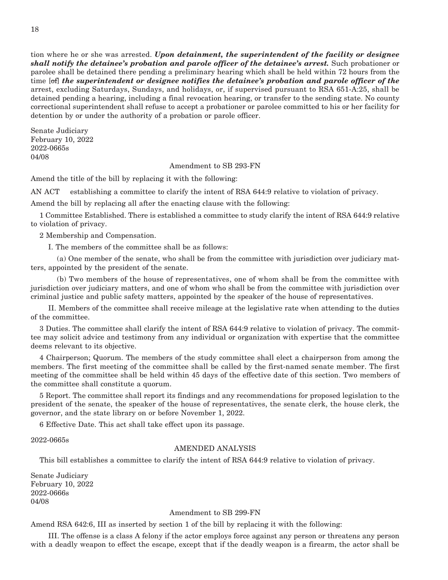tion where he or she was arrested. *Upon detainment, the superintendent of the facility or designee shall notify the detainee's probation and parole officer of the detainee's arrest.* Such probationer or parolee shall be detained there pending a preliminary hearing which shall be held within 72 hours from the time [of] *the superintendent or designee notifies the detainee's probation and parole officer of the* arrest, excluding Saturdays, Sundays, and holidays, or, if supervised pursuant to RSA 651-A:25, shall be detained pending a hearing, including a final revocation hearing, or transfer to the sending state. No county correctional superintendent shall refuse to accept a probationer or parolee committed to his or her facility for detention by or under the authority of a probation or parole officer.

Senate Judiciary February 10, 2022 2022-0665s 04/08

#### Amendment to SB 293-FN

Amend the title of the bill by replacing it with the following:

AN ACT establishing a committee to clarify the intent of RSA 644:9 relative to violation of privacy.

Amend the bill by replacing all after the enacting clause with the following:

1 Committee Established. There is established a committee to study clarify the intent of RSA 644:9 relative to violation of privacy.

2 Membership and Compensation.

I. The members of the committee shall be as follows:

 (a) One member of the senate, who shall be from the committee with jurisdiction over judiciary matters, appointed by the president of the senate.

 (b) Two members of the house of representatives, one of whom shall be from the committee with jurisdiction over judiciary matters, and one of whom who shall be from the committee with jurisdiction over criminal justice and public safety matters, appointed by the speaker of the house of representatives.

 II. Members of the committee shall receive mileage at the legislative rate when attending to the duties of the committee.

3 Duties. The committee shall clarify the intent of RSA 644:9 relative to violation of privacy. The committee may solicit advice and testimony from any individual or organization with expertise that the committee deems relevant to its objective.

4 Chairperson; Quorum. The members of the study committee shall elect a chairperson from among the members. The first meeting of the committee shall be called by the first-named senate member. The first meeting of the committee shall be held within 45 days of the effective date of this section. Two members of the committee shall constitute a quorum.

5 Report. The committee shall report its findings and any recommendations for proposed legislation to the president of the senate, the speaker of the house of representatives, the senate clerk, the house clerk, the governor, and the state library on or before November 1, 2022.

6 Effective Date. This act shall take effect upon its passage.

2022-0665s

#### AMENDED ANALYSIS

This bill establishes a committee to clarify the intent of RSA 644:9 relative to violation of privacy.

Senate Judiciary February 10, 2022 2022-0666s 04/08

#### Amendment to SB 299-FN

Amend RSA 642:6, III as inserted by section 1 of the bill by replacing it with the following:

 III. The offense is a class A felony if the actor employs force against any person or threatens any person with a deadly weapon to effect the escape, except that if the deadly weapon is a firearm, the actor shall be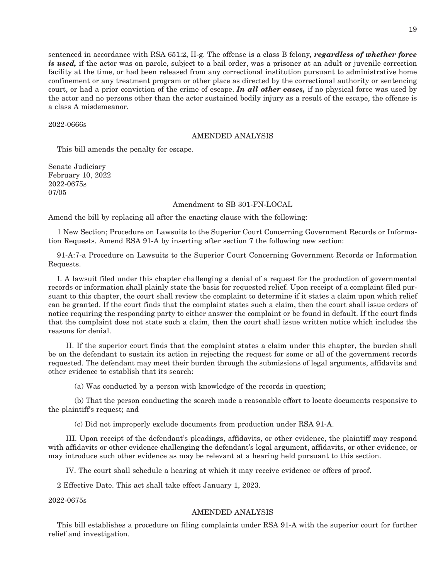sentenced in accordance with RSA 651:2, II-g. The offense is a class B felony*, regardless of whether force is used,* if the actor was on parole, subject to a bail order, was a prisoner at an adult or juvenile correction facility at the time, or had been released from any correctional institution pursuant to administrative home confinement or any treatment program or other place as directed by the correctional authority or sentencing court, or had a prior conviction of the crime of escape. *In all other cases,* if no physical force was used by the actor and no persons other than the actor sustained bodily injury as a result of the escape, the offense is a class A misdemeanor.

#### 2022-0666s

#### AMENDED ANALYSIS

This bill amends the penalty for escape.

Senate Judiciary February 10, 2022 2022-0675s 07/05

#### Amendment to SB 301-FN-LOCAL

Amend the bill by replacing all after the enacting clause with the following:

1 New Section; Procedure on Lawsuits to the Superior Court Concerning Government Records or Information Requests. Amend RSA 91-A by inserting after section 7 the following new section:

91-A:7-a Procedure on Lawsuits to the Superior Court Concerning Government Records or Information Requests.

I. A lawsuit filed under this chapter challenging a denial of a request for the production of governmental records or information shall plainly state the basis for requested relief. Upon receipt of a complaint filed pursuant to this chapter, the court shall review the complaint to determine if it states a claim upon which relief can be granted. If the court finds that the complaint states such a claim, then the court shall issue orders of notice requiring the responding party to either answer the complaint or be found in default. If the court finds that the complaint does not state such a claim, then the court shall issue written notice which includes the reasons for denial.

 II. If the superior court finds that the complaint states a claim under this chapter, the burden shall be on the defendant to sustain its action in rejecting the request for some or all of the government records requested. The defendant may meet their burden through the submissions of legal arguments, affidavits and other evidence to establish that its search:

(a) Was conducted by a person with knowledge of the records in question;

 (b) That the person conducting the search made a reasonable effort to locate documents responsive to the plaintiff's request; and

(c) Did not improperly exclude documents from production under RSA 91-A.

 III. Upon receipt of the defendant's pleadings, affidavits, or other evidence, the plaintiff may respond with affidavits or other evidence challenging the defendant's legal argument, affidavits, or other evidence, or may introduce such other evidence as may be relevant at a hearing held pursuant to this section.

IV. The court shall schedule a hearing at which it may receive evidence or offers of proof.

2 Effective Date. This act shall take effect January 1, 2023.

2022-0675s

#### AMENDED ANALYSIS

This bill establishes a procedure on filing complaints under RSA 91-A with the superior court for further relief and investigation.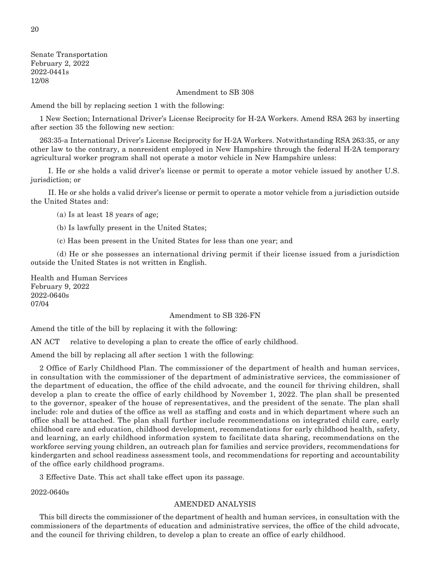Senate Transportation February 2, 2022 2022-0441s 12/08

#### Amendment to SB 308

Amend the bill by replacing section 1 with the following:

1 New Section; International Driver's License Reciprocity for H-2A Workers. Amend RSA 263 by inserting after section 35 the following new section:

263:35-a International Driver's License Reciprocity for H-2A Workers. Notwithstanding RSA 263:35, or any other law to the contrary, a nonresident employed in New Hampshire through the federal H-2A temporary agricultural worker program shall not operate a motor vehicle in New Hampshire unless:

 I. He or she holds a valid driver's license or permit to operate a motor vehicle issued by another U.S. jurisdiction; or

 II. He or she holds a valid driver's license or permit to operate a motor vehicle from a jurisdiction outside the United States and:

(a) Is at least 18 years of age;

(b) Is lawfully present in the United States;

(c) Has been present in the United States for less than one year; and

 (d) He or she possesses an international driving permit if their license issued from a jurisdiction outside the United States is not written in English.

Health and Human Services February 9, 2022 2022-0640s 07/04

#### Amendment to SB 326-FN

Amend the title of the bill by replacing it with the following:

AN ACT relative to developing a plan to create the office of early childhood.

Amend the bill by replacing all after section 1 with the following:

2 Office of Early Childhood Plan. The commissioner of the department of health and human services, in consultation with the commissioner of the department of administrative services, the commissioner of the department of education, the office of the child advocate, and the council for thriving children, shall develop a plan to create the office of early childhood by November 1, 2022. The plan shall be presented to the governor, speaker of the house of representatives, and the president of the senate. The plan shall include: role and duties of the office as well as staffing and costs and in which department where such an office shall be attached. The plan shall further include recommendations on integrated child care, early childhood care and education, childhood development, recommendations for early childhood health, safety, and learning, an early childhood information system to facilitate data sharing, recommendations on the workforce serving young children, an outreach plan for families and service providers, recommendations for kindergarten and school readiness assessment tools, and recommendations for reporting and accountability of the office early childhood programs.

3 Effective Date. This act shall take effect upon its passage.

2022-0640s

#### AMENDED ANALYSIS

This bill directs the commissioner of the department of health and human services, in consultation with the commissioners of the departments of education and administrative services, the office of the child advocate, and the council for thriving children, to develop a plan to create an office of early childhood.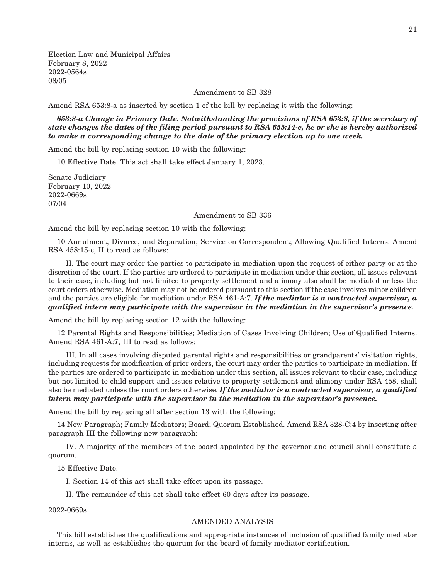Election Law and Municipal Affairs February 8, 2022 2022-0564s 08/05

Amendment to SB 328

Amend RSA 653:8-a as inserted by section 1 of the bill by replacing it with the following:

*653:8-a Change in Primary Date. Notwithstanding the provisions of RSA 653:8, if the secretary of state changes the dates of the filing period pursuant to RSA 655:14-c, he or she is hereby authorized to make a corresponding change to the date of the primary election up to one week.*

Amend the bill by replacing section 10 with the following:

10 Effective Date. This act shall take effect January 1, 2023.

Senate Judiciary February 10, 2022 2022-0669s 07/04

#### Amendment to SB 336

Amend the bill by replacing section 10 with the following:

10 Annulment, Divorce, and Separation; Service on Correspondent; Allowing Qualified Interns. Amend RSA 458:15-c, II to read as follows:

 II. The court may order the parties to participate in mediation upon the request of either party or at the discretion of the court. If the parties are ordered to participate in mediation under this section, all issues relevant to their case, including but not limited to property settlement and alimony also shall be mediated unless the court orders otherwise. Mediation may not be ordered pursuant to this section if the case involves minor children and the parties are eligible for mediation under RSA 461-A:7. *If the mediator is a contracted supervisor, a qualified intern may participate with the supervisor in the mediation in the supervisor's presence.*

Amend the bill by replacing section 12 with the following:

12 Parental Rights and Responsibilities; Mediation of Cases Involving Children; Use of Qualified Interns. Amend RSA 461-A:7, III to read as follows:

 III. In all cases involving disputed parental rights and responsibilities or grandparents' visitation rights, including requests for modification of prior orders, the court may order the parties to participate in mediation. If the parties are ordered to participate in mediation under this section, all issues relevant to their case, including but not limited to child support and issues relative to property settlement and alimony under RSA 458, shall also be mediated unless the court orders otherwise. *If the mediator is a contracted supervisor, a qualified intern may participate with the supervisor in the mediation in the supervisor's presence.*

Amend the bill by replacing all after section 13 with the following:

14 New Paragraph; Family Mediators; Board; Quorum Established. Amend RSA 328-C:4 by inserting after paragraph III the following new paragraph:

 IV. A majority of the members of the board appointed by the governor and council shall constitute a quorum.

15 Effective Date.

I. Section 14 of this act shall take effect upon its passage.

II. The remainder of this act shall take effect 60 days after its passage.

2022-0669s

#### AMENDED ANALYSIS

This bill establishes the qualifications and appropriate instances of inclusion of qualified family mediator interns, as well as establishes the quorum for the board of family mediator certification.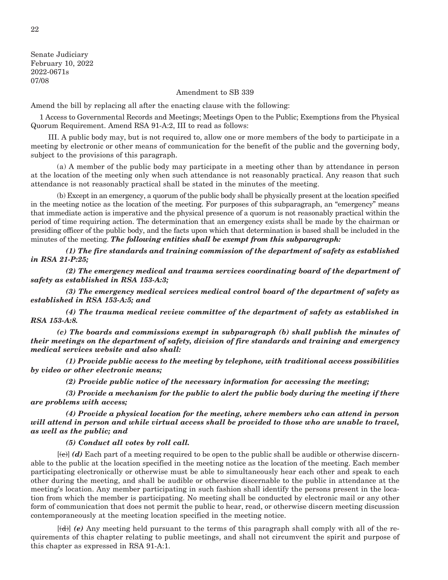Senate Judiciary February 10, 2022 2022-0671s 07/08

#### Amendment to SB 339

Amend the bill by replacing all after the enacting clause with the following:

1 Access to Governmental Records and Meetings; Meetings Open to the Public; Exemptions from the Physical Quorum Requirement. Amend RSA 91-A:2, III to read as follows:

 III. A public body may, but is not required to, allow one or more members of the body to participate in a meeting by electronic or other means of communication for the benefit of the public and the governing body, subject to the provisions of this paragraph.

 (a) A member of the public body may participate in a meeting other than by attendance in person at the location of the meeting only when such attendance is not reasonably practical. Any reason that such attendance is not reasonably practical shall be stated in the minutes of the meeting.

 (b) Except in an emergency, a quorum of the public body shall be physically present at the location specified in the meeting notice as the location of the meeting. For purposes of this subparagraph, an "emergency" means that immediate action is imperative and the physical presence of a quorum is not reasonably practical within the period of time requiring action. The determination that an emergency exists shall be made by the chairman or presiding officer of the public body, and the facts upon which that determination is based shall be included in the minutes of the meeting. *The following entities shall be exempt from this subparagraph:*

 *(1) The fire standards and training commission of the department of safety as established in RSA 21-P:25;*

 *(2) The emergency medical and trauma services coordinating board of the department of safety as established in RSA 153-A:3;*

 *(3) The emergency medical services medical control board of the department of safety as established in RSA 153-A:5; and*

 *(4) The trauma medical review committee of the department of safety as established in RSA 153-A:8.*

 *(c) The boards and commissions exempt in subparagraph (b) shall publish the minutes of their meetings on the department of safety, division of fire standards and training and emergency medical services website and also shall:*

 *(1) Provide public access to the meeting by telephone, with traditional access possibilities by video or other electronic means;*

 *(2) Provide public notice of the necessary information for accessing the meeting;*

 *(3) Provide a mechanism for the public to alert the public body during the meeting if there are problems with access;*

 *(4) Provide a physical location for the meeting, where members who can attend in person will attend in person and while virtual access shall be provided to those who are unable to travel, as well as the public; and*

 *(5) Conduct all votes by roll call.*

 [(c)] *(d)* Each part of a meeting required to be open to the public shall be audible or otherwise discernable to the public at the location specified in the meeting notice as the location of the meeting. Each member participating electronically or otherwise must be able to simultaneously hear each other and speak to each other during the meeting, and shall be audible or otherwise discernable to the public in attendance at the meeting's location. Any member participating in such fashion shall identify the persons present in the location from which the member is participating. No meeting shall be conducted by electronic mail or any other form of communication that does not permit the public to hear, read, or otherwise discern meeting discussion contemporaneously at the meeting location specified in the meeting notice.

 [(d)] *(e)* Any meeting held pursuant to the terms of this paragraph shall comply with all of the requirements of this chapter relating to public meetings, and shall not circumvent the spirit and purpose of this chapter as expressed in RSA 91-A:1.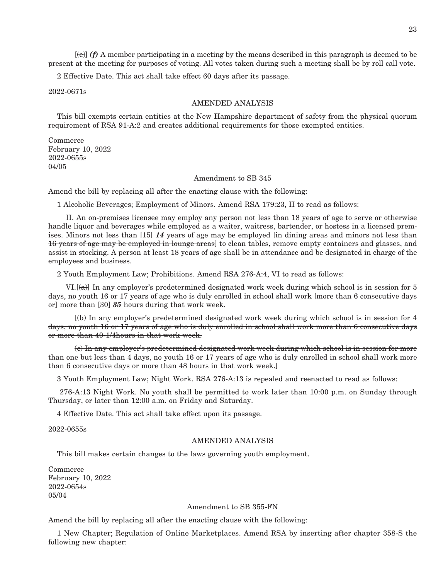[(e)] *(f)* A member participating in a meeting by the means described in this paragraph is deemed to be present at the meeting for purposes of voting. All votes taken during such a meeting shall be by roll call vote.

2 Effective Date. This act shall take effect 60 days after its passage.

2022-0671s

#### AMENDED ANALYSIS

This bill exempts certain entities at the New Hampshire department of safety from the physical quorum requirement of RSA 91-A:2 and creates additional requirements for those exempted entities.

Commerce February 10, 2022 2022-0655s 04/05

#### Amendment to SB 345

Amend the bill by replacing all after the enacting clause with the following:

1 Alcoholic Beverages; Employment of Minors. Amend RSA 179:23, II to read as follows:

 II. An on-premises licensee may employ any person not less than 18 years of age to serve or otherwise handle liquor and beverages while employed as a waiter, waitress, bartender, or hostess in a licensed premises. Minors not less than [15] *14* years of age may be employed [in dining areas and minors not less than 16 years of age may be employed in lounge areas] to clean tables, remove empty containers and glasses, and assist in stocking. A person at least 18 years of age shall be in attendance and be designated in charge of the employees and business.

2 Youth Employment Law; Prohibitions. Amend RSA 276-A:4, VI to read as follows:

VI. $[({\bf a})]$  In any employer's predetermined designated work week during which school is in session for 5 days, no youth 16 or 17 years of age who is duly enrolled in school shall work [more than 6 consecutive days or] more than [30] *35* hours during that work week.

 [(b) In any employer's predetermined designated work week during which school is in session for 4 days, no youth 16 or 17 years of age who is duly enrolled in school shall work more than 6 consecutive days or more than 40-1/4hours in that work week.

 (c) In any employer's predetermined designated work week during which school is in session for more than one but less than 4 days, no youth 16 or 17 years of age who is duly enrolled in school shall work more than 6 consecutive days or more than 48 hours in that work week.]

3 Youth Employment Law; Night Work. RSA 276-A:13 is repealed and reenacted to read as follows:

 276-A:13 Night Work. No youth shall be permitted to work later than 10:00 p.m. on Sunday through Thursday, or later than 12:00 a.m. on Friday and Saturday.

4 Effective Date. This act shall take effect upon its passage.

2022-0655s

#### AMENDED ANALYSIS

This bill makes certain changes to the laws governing youth employment.

Commerce February 10, 2022 2022-0654s 05/04

#### Amendment to SB 355-FN

Amend the bill by replacing all after the enacting clause with the following:

1 New Chapter; Regulation of Online Marketplaces. Amend RSA by inserting after chapter 358-S the following new chapter: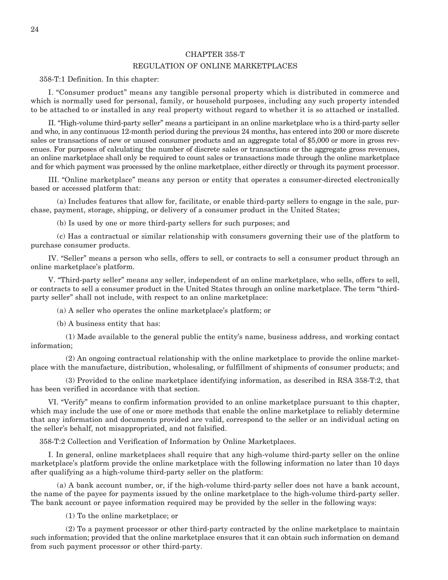#### CHAPTER 358-T

#### REGULATION OF ONLINE MARKETPLACES

358-T:1 Definition. In this chapter:

 I. "Consumer product" means any tangible personal property which is distributed in commerce and which is normally used for personal, family, or household purposes, including any such property intended to be attached to or installed in any real property without regard to whether it is so attached or installed.

 II. "High-volume third-party seller" means a participant in an online marketplace who is a third-party seller and who, in any continuous 12-month period during the previous 24 months, has entered into 200 or more discrete sales or transactions of new or unused consumer products and an aggregate total of \$5,000 or more in gross revenues. For purposes of calculating the number of discrete sales or transactions or the aggregate gross revenues, an online marketplace shall only be required to count sales or transactions made through the online marketplace and for which payment was processed by the online marketplace, either directly or through its payment processor.

 III. "Online marketplace" means any person or entity that operates a consumer-directed electronically based or accessed platform that:

 (a) Includes features that allow for, facilitate, or enable third-party sellers to engage in the sale, purchase, payment, storage, shipping, or delivery of a consumer product in the United States;

(b) Is used by one or more third-party sellers for such purposes; and

 (c) Has a contractual or similar relationship with consumers governing their use of the platform to purchase consumer products.

 IV. "Seller" means a person who sells, offers to sell, or contracts to sell a consumer product through an online marketplace's platform.

 V. "Third-party seller" means any seller, independent of an online marketplace, who sells, offers to sell, or contracts to sell a consumer product in the United States through an online marketplace. The term "thirdparty seller" shall not include, with respect to an online marketplace:

(a) A seller who operates the online marketplace's platform; or

(b) A business entity that has:

 (1) Made available to the general public the entity's name, business address, and working contact information;

 (2) An ongoing contractual relationship with the online marketplace to provide the online marketplace with the manufacture, distribution, wholesaling, or fulfillment of shipments of consumer products; and

 (3) Provided to the online marketplace identifying information, as described in RSA 358-T:2, that has been verified in accordance with that section.

 VI. "Verify" means to confirm information provided to an online marketplace pursuant to this chapter, which may include the use of one or more methods that enable the online marketplace to reliably determine that any information and documents provided are valid, correspond to the seller or an individual acting on the seller's behalf, not misappropriated, and not falsified.

358-T:2 Collection and Verification of Information by Online Marketplaces.

 I. In general, online marketplaces shall require that any high-volume third-party seller on the online marketplace's platform provide the online marketplace with the following information no later than 10 days after qualifying as a high-volume third-party seller on the platform:

 (a) A bank account number, or, if the high-volume third-party seller does not have a bank account, the name of the payee for payments issued by the online marketplace to the high-volume third-party seller. The bank account or payee information required may be provided by the seller in the following ways:

(1) To the online marketplace; or

 (2) To a payment processor or other third-party contracted by the online marketplace to maintain such information; provided that the online marketplace ensures that it can obtain such information on demand from such payment processor or other third-party.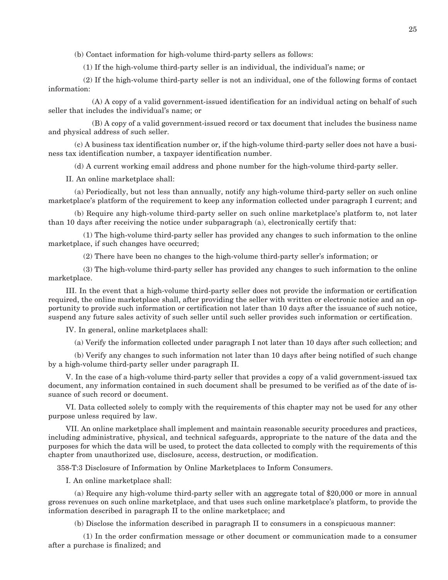(b) Contact information for high-volume third-party sellers as follows:

(1) If the high-volume third-party seller is an individual, the individual's name; or

 (2) If the high-volume third-party seller is not an individual, one of the following forms of contact information:

 (A) A copy of a valid government-issued identification for an individual acting on behalf of such seller that includes the individual's name; or

 (B) A copy of a valid government-issued record or tax document that includes the business name and physical address of such seller.

 (c) A business tax identification number or, if the high-volume third-party seller does not have a business tax identification number, a taxpayer identification number.

(d) A current working email address and phone number for the high-volume third-party seller.

II. An online marketplace shall:

 (a) Periodically, but not less than annually, notify any high-volume third-party seller on such online marketplace's platform of the requirement to keep any information collected under paragraph I current; and

 (b) Require any high-volume third-party seller on such online marketplace's platform to, not later than 10 days after receiving the notice under subparagraph (a), electronically certify that:

 (1) The high-volume third-party seller has provided any changes to such information to the online marketplace, if such changes have occurred;

(2) There have been no changes to the high-volume third-party seller's information; or

 (3) The high-volume third-party seller has provided any changes to such information to the online marketplace.

 III. In the event that a high-volume third-party seller does not provide the information or certification required, the online marketplace shall, after providing the seller with written or electronic notice and an opportunity to provide such information or certification not later than 10 days after the issuance of such notice, suspend any future sales activity of such seller until such seller provides such information or certification.

IV. In general, online marketplaces shall:

(a) Verify the information collected under paragraph I not later than 10 days after such collection; and

 (b) Verify any changes to such information not later than 10 days after being notified of such change by a high-volume third-party seller under paragraph II.

 V. In the case of a high-volume third-party seller that provides a copy of a valid government-issued tax document, any information contained in such document shall be presumed to be verified as of the date of issuance of such record or document.

 VI. Data collected solely to comply with the requirements of this chapter may not be used for any other purpose unless required by law.

 VII. An online marketplace shall implement and maintain reasonable security procedures and practices, including administrative, physical, and technical safeguards, appropriate to the nature of the data and the purposes for which the data will be used, to protect the data collected to comply with the requirements of this chapter from unauthorized use, disclosure, access, destruction, or modification.

358-T:3 Disclosure of Information by Online Marketplaces to Inform Consumers.

I. An online marketplace shall:

 (a) Require any high-volume third-party seller with an aggregate total of \$20,000 or more in annual gross revenues on such online marketplace, and that uses such online marketplace's platform, to provide the information described in paragraph II to the online marketplace; and

(b) Disclose the information described in paragraph II to consumers in a conspicuous manner:

 (1) In the order confirmation message or other document or communication made to a consumer after a purchase is finalized; and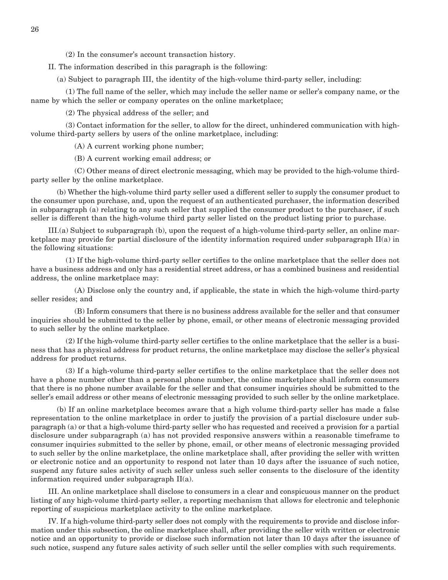(2) In the consumer's account transaction history.

II. The information described in this paragraph is the following:

(a) Subject to paragraph III, the identity of the high-volume third-party seller, including:

 (1) The full name of the seller, which may include the seller name or seller's company name, or the name by which the seller or company operates on the online marketplace;

(2) The physical address of the seller; and

 (3) Contact information for the seller, to allow for the direct, unhindered communication with highvolume third-party sellers by users of the online marketplace, including:

(A) A current working phone number;

(B) A current working email address; or

 (C) Other means of direct electronic messaging, which may be provided to the high-volume thirdparty seller by the online marketplace.

 (b) Whether the high-volume third party seller used a different seller to supply the consumer product to the consumer upon purchase, and, upon the request of an authenticated purchaser, the information described in subparagraph (a) relating to any such seller that supplied the consumer product to the purchaser, if such seller is different than the high-volume third party seller listed on the product listing prior to purchase.

 III.(a) Subject to subparagraph (b), upon the request of a high-volume third-party seller, an online marketplace may provide for partial disclosure of the identity information required under subparagraph II(a) in the following situations:

 (1) If the high-volume third-party seller certifies to the online marketplace that the seller does not have a business address and only has a residential street address, or has a combined business and residential address, the online marketplace may:

 (A) Disclose only the country and, if applicable, the state in which the high-volume third-party seller resides; and

 (B) Inform consumers that there is no business address available for the seller and that consumer inquiries should be submitted to the seller by phone, email, or other means of electronic messaging provided to such seller by the online marketplace.

 (2) If the high-volume third-party seller certifies to the online marketplace that the seller is a business that has a physical address for product returns, the online marketplace may disclose the seller's physical address for product returns.

 (3) If a high-volume third-party seller certifies to the online marketplace that the seller does not have a phone number other than a personal phone number, the online marketplace shall inform consumers that there is no phone number available for the seller and that consumer inquiries should be submitted to the seller's email address or other means of electronic messaging provided to such seller by the online marketplace.

 (b) If an online marketplace becomes aware that a high volume third-party seller has made a false representation to the online marketplace in order to justify the provision of a partial disclosure under subparagraph (a) or that a high-volume third-party seller who has requested and received a provision for a partial disclosure under subparagraph (a) has not provided responsive answers within a reasonable timeframe to consumer inquiries submitted to the seller by phone, email, or other means of electronic messaging provided to such seller by the online marketplace, the online marketplace shall, after providing the seller with written or electronic notice and an opportunity to respond not later than 10 days after the issuance of such notice, suspend any future sales activity of such seller unless such seller consents to the disclosure of the identity information required under subparagraph II(a).

 III. An online marketplace shall disclose to consumers in a clear and conspicuous manner on the product listing of any high-volume third-party seller, a reporting mechanism that allows for electronic and telephonic reporting of suspicious marketplace activity to the online marketplace.

 IV. If a high-volume third-party seller does not comply with the requirements to provide and disclose information under this subsection, the online marketplace shall, after providing the seller with written or electronic notice and an opportunity to provide or disclose such information not later than 10 days after the issuance of such notice, suspend any future sales activity of such seller until the seller complies with such requirements.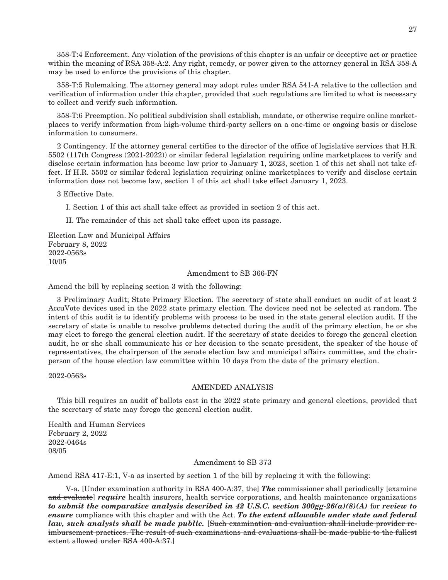358-T:4 Enforcement. Any violation of the provisions of this chapter is an unfair or deceptive act or practice within the meaning of RSA 358-A:2. Any right, remedy, or power given to the attorney general in RSA 358-A may be used to enforce the provisions of this chapter.

358-T:5 Rulemaking. The attorney general may adopt rules under RSA 541-A relative to the collection and verification of information under this chapter, provided that such regulations are limited to what is necessary to collect and verify such information.

358-T:6 Preemption. No political subdivision shall establish, mandate, or otherwise require online marketplaces to verify information from high-volume third-party sellers on a one-time or ongoing basis or disclose information to consumers.

2 Contingency. If the attorney general certifies to the director of the office of legislative services that H.R. 5502 (117th Congress (2021-2022)) or similar federal legislation requiring online marketplaces to verify and disclose certain information has become law prior to January 1, 2023, section 1 of this act shall not take effect. If H.R. 5502 or similar federal legislation requiring online marketplaces to verify and disclose certain information does not become law, section 1 of this act shall take effect January 1, 2023.

3 Effective Date.

I. Section 1 of this act shall take effect as provided in section 2 of this act.

II. The remainder of this act shall take effect upon its passage.

Election Law and Municipal Affairs February 8, 2022 2022-0563s 10/05

#### Amendment to SB 366-FN

Amend the bill by replacing section 3 with the following:

3 Preliminary Audit; State Primary Election. The secretary of state shall conduct an audit of at least 2 AccuVote devices used in the 2022 state primary election. The devices need not be selected at random. The intent of this audit is to identify problems with process to be used in the state general election audit. If the secretary of state is unable to resolve problems detected during the audit of the primary election, he or she may elect to forego the general election audit. If the secretary of state decides to forego the general election audit, he or she shall communicate his or her decision to the senate president, the speaker of the house of representatives, the chairperson of the senate election law and municipal affairs committee, and the chairperson of the house election law committee within 10 days from the date of the primary election.

#### 2022-0563s

#### AMENDED ANALYSIS

This bill requires an audit of ballots cast in the 2022 state primary and general elections, provided that the secretary of state may forego the general election audit.

Health and Human Services February 2, 2022 2022-0464s 08/05

#### Amendment to SB 373

Amend RSA 417-E:1, V-a as inserted by section 1 of the bill by replacing it with the following:

 V-a. [Under examination authority in RSA 400-A:37, the] *The* commissioner shall periodically [examine and evaluate] *require* health insurers, health service corporations, and health maintenance organizations *to submit the comparative analysis described in 42 U.S.C. section 300gg-26(a)(8)(A)* for *review to ensure* compliance with this chapter and with the Act. *To the extent allowable under state and federal law, such analysis shall be made public.* [Such examination and evaluation shall include provider reimbursement practices. The result of such examinations and evaluations shall be made public to the fullest extent allowed under RSA 400-A:37.]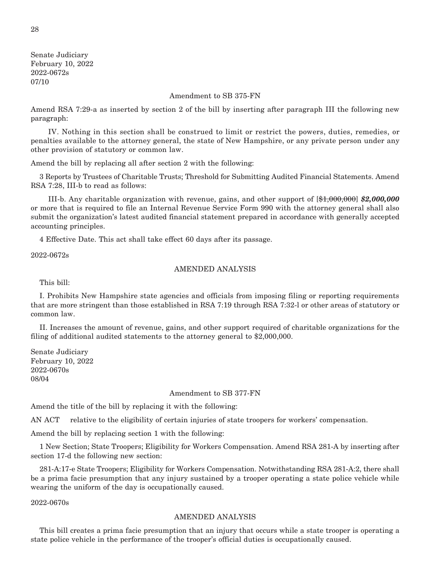Senate Judiciary February 10, 2022 2022-0672s 07/10

#### Amendment to SB 375-FN

Amend RSA 7:29-a as inserted by section 2 of the bill by inserting after paragraph III the following new paragraph:

 IV. Nothing in this section shall be construed to limit or restrict the powers, duties, remedies, or penalties available to the attorney general, the state of New Hampshire, or any private person under any other provision of statutory or common law.

Amend the bill by replacing all after section 2 with the following:

3 Reports by Trustees of Charitable Trusts; Threshold for Submitting Audited Financial Statements. Amend RSA 7:28, III-b to read as follows:

 III-b. Any charitable organization with revenue, gains, and other support of [\$1,000,000] *\$2,000,000* or more that is required to file an Internal Revenue Service Form 990 with the attorney general shall also submit the organization's latest audited financial statement prepared in accordance with generally accepted accounting principles.

4 Effective Date. This act shall take effect 60 days after its passage.

2022-0672s

#### AMENDED ANALYSIS

This bill:

I. Prohibits New Hampshire state agencies and officials from imposing filing or reporting requirements that are more stringent than those established in RSA 7:19 through RSA 7:32-l or other areas of statutory or common law.

II. Increases the amount of revenue, gains, and other support required of charitable organizations for the filing of additional audited statements to the attorney general to \$2,000,000.

Senate Judiciary February 10, 2022 2022-0670s 08/04

#### Amendment to SB 377-FN

Amend the title of the bill by replacing it with the following:

AN ACT relative to the eligibility of certain injuries of state troopers for workers' compensation.

Amend the bill by replacing section 1 with the following:

1 New Section; State Troopers; Eligibility for Workers Compensation. Amend RSA 281-A by inserting after section 17-d the following new section:

281-A:17-e State Troopers; Eligibility for Workers Compensation. Notwithstanding RSA 281-A:2, there shall be a prima facie presumption that any injury sustained by a trooper operating a state police vehicle while wearing the uniform of the day is occupationally caused.

2022-0670s

#### AMENDED ANALYSIS

This bill creates a prima facie presumption that an injury that occurs while a state trooper is operating a state police vehicle in the performance of the trooper's official duties is occupationally caused.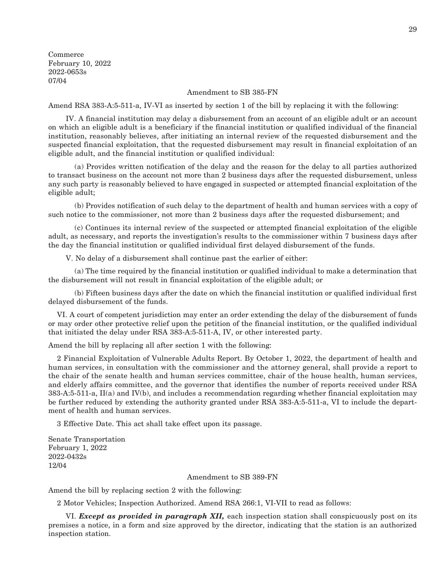Commerce February 10, 2022 2022-0653s 07/04

#### Amendment to SB 385-FN

Amend RSA 383-A:5-511-a, IV-VI as inserted by section 1 of the bill by replacing it with the following:

 IV. A financial institution may delay a disbursement from an account of an eligible adult or an account on which an eligible adult is a beneficiary if the financial institution or qualified individual of the financial institution, reasonably believes, after initiating an internal review of the requested disbursement and the suspected financial exploitation, that the requested disbursement may result in financial exploitation of an eligible adult, and the financial institution or qualified individual:

 (a) Provides written notification of the delay and the reason for the delay to all parties authorized to transact business on the account not more than 2 business days after the requested disbursement, unless any such party is reasonably believed to have engaged in suspected or attempted financial exploitation of the eligible adult;

 (b) Provides notification of such delay to the department of health and human services with a copy of such notice to the commissioner, not more than 2 business days after the requested disbursement; and

 (c) Continues its internal review of the suspected or attempted financial exploitation of the eligible adult, as necessary, and reports the investigation's results to the commissioner within 7 business days after the day the financial institution or qualified individual first delayed disbursement of the funds.

V. No delay of a disbursement shall continue past the earlier of either:

 (a) The time required by the financial institution or qualified individual to make a determination that the disbursement will not result in financial exploitation of the eligible adult; or

 (b) Fifteen business days after the date on which the financial institution or qualified individual first delayed disbursement of the funds.

VI. A court of competent jurisdiction may enter an order extending the delay of the disbursement of funds or may order other protective relief upon the petition of the financial institution, or the qualified individual that initiated the delay under RSA 383-A:5-511-A, IV, or other interested party.

Amend the bill by replacing all after section 1 with the following:

2 Financial Exploitation of Vulnerable Adults Report. By October 1, 2022, the department of health and human services, in consultation with the commissioner and the attorney general, shall provide a report to the chair of the senate health and human services committee, chair of the house health, human services, and elderly affairs committee, and the governor that identifies the number of reports received under RSA 383-A:5-511-a, II(a) and IV(b), and includes a recommendation regarding whether financial exploitation may be further reduced by extending the authority granted under RSA 383-A:5-511-a, VI to include the department of health and human services.

3 Effective Date. This act shall take effect upon its passage.

Senate Transportation February 1, 2022 2022-0432s 12/04

#### Amendment to SB 389-FN

Amend the bill by replacing section 2 with the following:

2 Motor Vehicles; Inspection Authorized. Amend RSA 266:1, VI-VII to read as follows:

 VI. *Except as provided in paragraph XII,* each inspection station shall conspicuously post on its premises a notice, in a form and size approved by the director, indicating that the station is an authorized inspection station.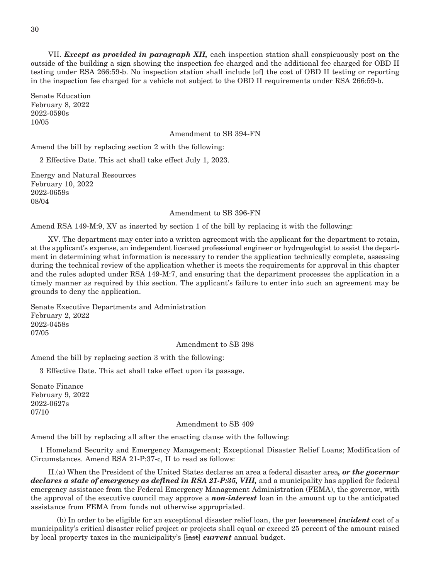VII. *Except as provided in paragraph XII,* each inspection station shall conspicuously post on the outside of the building a sign showing the inspection fee charged and the additional fee charged for OBD II testing under RSA 266:59-b. No inspection station shall include [of] the cost of OBD II testing or reporting in the inspection fee charged for a vehicle not subject to the OBD II requirements under RSA 266:59-b.

Senate Education February 8, 2022 2022-0590s 10/05

Amendment to SB 394-FN

Amend the bill by replacing section 2 with the following:

2 Effective Date. This act shall take effect July 1, 2023.

Energy and Natural Resources February 10, 2022 2022-0659s 08/04

#### Amendment to SB 396-FN

Amend RSA 149-M:9, XV as inserted by section 1 of the bill by replacing it with the following:

 XV. The department may enter into a written agreement with the applicant for the department to retain, at the applicant's expense, an independent licensed professional engineer or hydrogeologist to assist the department in determining what information is necessary to render the application technically complete, assessing during the technical review of the application whether it meets the requirements for approval in this chapter and the rules adopted under RSA 149-M:7, and ensuring that the department processes the application in a timely manner as required by this section. The applicant's failure to enter into such an agreement may be grounds to deny the application.

Senate Executive Departments and Administration February 2, 2022 2022-0458s 07/05

Amendment to SB 398

Amend the bill by replacing section 3 with the following:

3 Effective Date. This act shall take effect upon its passage.

Senate Finance February 9, 2022 2022-0627s 07/10

#### Amendment to SB 409

Amend the bill by replacing all after the enacting clause with the following:

1 Homeland Security and Emergency Management; Exceptional Disaster Relief Loans; Modification of Circumstances. Amend RSA 21-P:37-c, II to read as follows:

 II.(a) When the President of the United States declares an area a federal disaster area*, or the governor declares a state of emergency as defined in RSA 21-P:35, VIII,* and a municipality has applied for federal emergency assistance from the Federal Emergency Management Administration (FEMA), the governor, with the approval of the executive council may approve a *non-interest* loan in the amount up to the anticipated assistance from FEMA from funds not otherwise appropriated.

 (b) In order to be eligible for an exceptional disaster relief loan, the per [occurance] *incident* cost of a municipality's critical disaster relief project or projects shall equal or exceed 25 percent of the amount raised by local property taxes in the municipality's [last] *current* annual budget.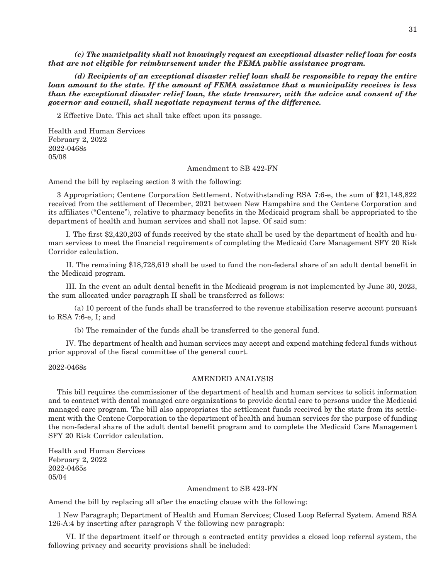*(c) The municipality shall not knowingly request an exceptional disaster relief loan for costs that are not eligible for reimbursement under the FEMA public assistance program.*

 *(d) Recipients of an exceptional disaster relief loan shall be responsible to repay the entire loan amount to the state. If the amount of FEMA assistance that a municipality receives is less than the exceptional disaster relief loan, the state treasurer, with the advice and consent of the governor and council, shall negotiate repayment terms of the difference.*

2 Effective Date. This act shall take effect upon its passage.

Health and Human Services February 2, 2022 2022-0468s 05/08

#### Amendment to SB 422-FN

Amend the bill by replacing section 3 with the following:

3 Appropriation; Centene Corporation Settlement. Notwithstanding RSA 7:6-e, the sum of \$21,148,822 received from the settlement of December, 2021 between New Hampshire and the Centene Corporation and its affiliates ("Centene"), relative to pharmacy benefits in the Medicaid program shall be appropriated to the department of health and human services and shall not lapse. Of said sum:

 I. The first \$2,420,203 of funds received by the state shall be used by the department of health and human services to meet the financial requirements of completing the Medicaid Care Management SFY 20 Risk Corridor calculation.

 II. The remaining \$18,728,619 shall be used to fund the non-federal share of an adult dental benefit in the Medicaid program.

 III. In the event an adult dental benefit in the Medicaid program is not implemented by June 30, 2023, the sum allocated under paragraph II shall be transferred as follows:

 (a) 10 percent of the funds shall be transferred to the revenue stabilization reserve account pursuant to RSA 7:6-e, I; and

(b) The remainder of the funds shall be transferred to the general fund.

 IV. The department of health and human services may accept and expend matching federal funds without prior approval of the fiscal committee of the general court.

2022-0468s

#### AMENDED ANALYSIS

This bill requires the commissioner of the department of health and human services to solicit information and to contract with dental managed care organizations to provide dental care to persons under the Medicaid managed care program. The bill also appropriates the settlement funds received by the state from its settlement with the Centene Corporation to the department of health and human services for the purpose of funding the non-federal share of the adult dental benefit program and to complete the Medicaid Care Management SFY 20 Risk Corridor calculation.

Health and Human Services February 2, 2022 2022-0465s 05/04

#### Amendment to SB 423-FN

Amend the bill by replacing all after the enacting clause with the following:

1 New Paragraph; Department of Health and Human Services; Closed Loop Referral System. Amend RSA 126-A:4 by inserting after paragraph V the following new paragraph:

 VI. If the department itself or through a contracted entity provides a closed loop referral system, the following privacy and security provisions shall be included: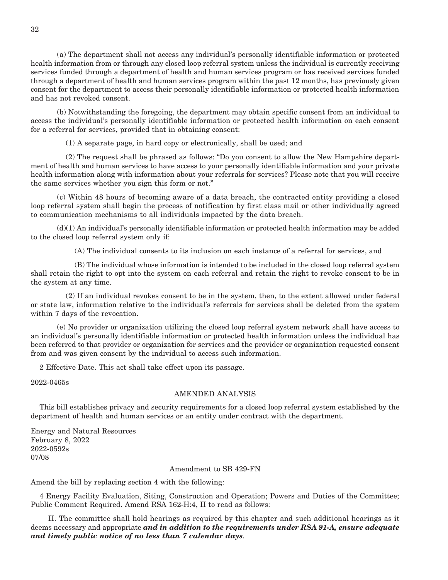(a) The department shall not access any individual's personally identifiable information or protected health information from or through any closed loop referral system unless the individual is currently receiving services funded through a department of health and human services program or has received services funded through a department of health and human services program within the past 12 months, has previously given consent for the department to access their personally identifiable information or protected health information and has not revoked consent.

 (b) Notwithstanding the foregoing, the department may obtain specific consent from an individual to access the individual's personally identifiable information or protected health information on each consent for a referral for services, provided that in obtaining consent:

(1) A separate page, in hard copy or electronically, shall be used; and

 (2) The request shall be phrased as follows: "Do you consent to allow the New Hampshire department of health and human services to have access to your personally identifiable information and your private health information along with information about your referrals for services? Please note that you will receive the same services whether you sign this form or not."

 (c) Within 48 hours of becoming aware of a data breach, the contracted entity providing a closed loop referral system shall begin the process of notification by first class mail or other individually agreed to communication mechanisms to all individuals impacted by the data breach.

 (d)(1) An individual's personally identifiable information or protected health information may be added to the closed loop referral system only if:

(A) The individual consents to its inclusion on each instance of a referral for services, and

 (B) The individual whose information is intended to be included in the closed loop referral system shall retain the right to opt into the system on each referral and retain the right to revoke consent to be in the system at any time.

 (2) If an individual revokes consent to be in the system, then, to the extent allowed under federal or state law, information relative to the individual's referrals for services shall be deleted from the system within 7 days of the revocation.

 (e) No provider or organization utilizing the closed loop referral system network shall have access to an individual's personally identifiable information or protected health information unless the individual has been referred to that provider or organization for services and the provider or organization requested consent from and was given consent by the individual to access such information.

2 Effective Date. This act shall take effect upon its passage.

2022-0465s

#### AMENDED ANALYSIS

This bill establishes privacy and security requirements for a closed loop referral system established by the department of health and human services or an entity under contract with the department.

Energy and Natural Resources February 8, 2022 2022-0592s 07/08

#### Amendment to SB 429-FN

Amend the bill by replacing section 4 with the following:

4 Energy Facility Evaluation, Siting, Construction and Operation; Powers and Duties of the Committee; Public Comment Required. Amend RSA 162-H:4, II to read as follows:

 II. The committee shall hold hearings as required by this chapter and such additional hearings as it deems necessary and appropriate *and in addition to the requirements under RSA 91-A, ensure adequate and timely public notice of no less than 7 calendar days*.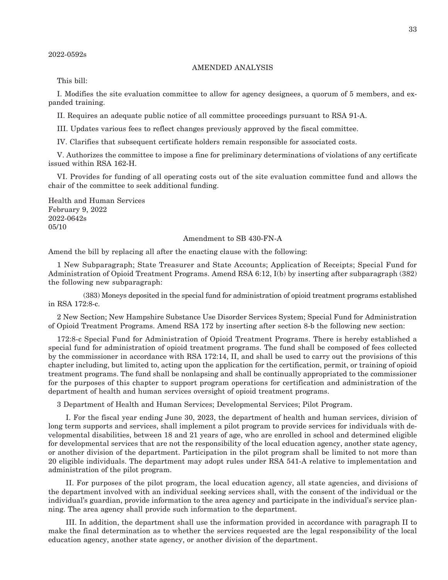#### AMENDED ANALYSIS

This bill:

I. Modifies the site evaluation committee to allow for agency designees, a quorum of 5 members, and expanded training.

II. Requires an adequate public notice of all committee proceedings pursuant to RSA 91-A.

III. Updates various fees to reflect changes previously approved by the fiscal committee.

IV. Clarifies that subsequent certificate holders remain responsible for associated costs.

V. Authorizes the committee to impose a fine for preliminary determinations of violations of any certificate issued within RSA 162-H.

VI. Provides for funding of all operating costs out of the site evaluation committee fund and allows the chair of the committee to seek additional funding.

Health and Human Services February 9, 2022 2022-0642s 05/10

#### Amendment to SB 430-FN-A

Amend the bill by replacing all after the enacting clause with the following:

1 New Subparagraph; State Treasurer and State Accounts; Application of Receipts; Special Fund for Administration of Opioid Treatment Programs. Amend RSA 6:12, I(b) by inserting after subparagraph (382) the following new subparagraph:

 (383) Moneys deposited in the special fund for administration of opioid treatment programs established in RSA 172:8-c.

2 New Section; New Hampshire Substance Use Disorder Services System; Special Fund for Administration of Opioid Treatment Programs. Amend RSA 172 by inserting after section 8-b the following new section:

172:8-c Special Fund for Administration of Opioid Treatment Programs. There is hereby established a special fund for administration of opioid treatment programs. The fund shall be composed of fees collected by the commissioner in accordance with RSA 172:14, II, and shall be used to carry out the provisions of this chapter including, but limited to, acting upon the application for the certification, permit, or training of opioid treatment programs. The fund shall be nonlapsing and shall be continually appropriated to the commissioner for the purposes of this chapter to support program operations for certification and administration of the department of health and human services oversight of opioid treatment programs.

3 Department of Health and Human Services; Developmental Services; Pilot Program.

 I. For the fiscal year ending June 30, 2023, the department of health and human services, division of long term supports and services, shall implement a pilot program to provide services for individuals with developmental disabilities, between 18 and 21 years of age, who are enrolled in school and determined eligible for developmental services that are not the responsibility of the local education agency, another state agency, or another division of the department. Participation in the pilot program shall be limited to not more than 20 eligible individuals. The department may adopt rules under RSA 541-A relative to implementation and administration of the pilot program.

II. For purposes of the pilot program, the local education agency, all state agencies, and divisions of the department involved with an individual seeking services shall, with the consent of the individual or the individual's guardian, provide information to the area agency and participate in the individual's service planning. The area agency shall provide such information to the department.

 III. In addition, the department shall use the information provided in accordance with paragraph II to make the final determination as to whether the services requested are the legal responsibility of the local education agency, another state agency, or another division of the department.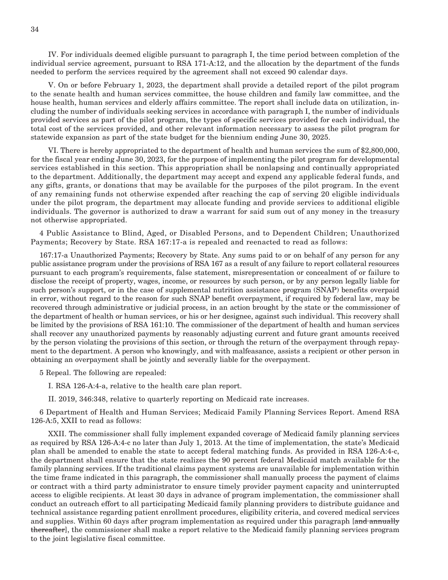IV. For individuals deemed eligible pursuant to paragraph I, the time period between completion of the individual service agreement, pursuant to RSA 171-A:12, and the allocation by the department of the funds needed to perform the services required by the agreement shall not exceed 90 calendar days.

 V. On or before February 1, 2023, the department shall provide a detailed report of the pilot program to the senate health and human services committee, the house children and family law committee, and the house health, human services and elderly affairs committee. The report shall include data on utilization, including the number of individuals seeking services in accordance with paragraph I, the number of individuals provided services as part of the pilot program, the types of specific services provided for each individual, the total cost of the services provided, and other relevant information necessary to assess the pilot program for statewide expansion as part of the state budget for the biennium ending June 30, 2025.

 VI. There is hereby appropriated to the department of health and human services the sum of \$2,800,000, for the fiscal year ending June 30, 2023, for the purpose of implementing the pilot program for developmental services established in this section. This appropriation shall be nonlapsing and continually appropriated to the department. Additionally, the department may accept and expend any applicable federal funds, and any gifts, grants, or donations that may be available for the purposes of the pilot program. In the event of any remaining funds not otherwise expended after reaching the cap of serving 20 eligible individuals under the pilot program, the department may allocate funding and provide services to additional eligible individuals. The governor is authorized to draw a warrant for said sum out of any money in the treasury not otherwise appropriated.

4 Public Assistance to Blind, Aged, or Disabled Persons, and to Dependent Children; Unauthorized Payments; Recovery by State. RSA 167:17-a is repealed and reenacted to read as follows:

167:17-a Unauthorized Payments; Recovery by State. Any sums paid to or on behalf of any person for any public assistance program under the provisions of RSA 167 as a result of any failure to report collateral resources pursuant to each program's requirements, false statement, misrepresentation or concealment of or failure to disclose the receipt of property, wages, income, or resources by such person, or by any person legally liable for such person's support, or in the case of supplemental nutrition assistance program (SNAP) benefits overpaid in error, without regard to the reason for such SNAP benefit overpayment, if required by federal law, may be recovered through administrative or judicial process, in an action brought by the state or the commissioner of the department of health or human services, or his or her designee, against such individual. This recovery shall be limited by the provisions of RSA 161:10. The commissioner of the department of health and human services shall recover any unauthorized payments by reasonably adjusting current and future grant amounts received by the person violating the provisions of this section, or through the return of the overpayment through repayment to the department. A person who knowingly, and with malfeasance, assists a recipient or other person in obtaining an overpayment shall be jointly and severally liable for the overpayment.

5 Repeal. The following are repealed:

I. RSA 126-A:4-a, relative to the health care plan report.

II. 2019, 346:348, relative to quarterly reporting on Medicaid rate increases.

6 Department of Health and Human Services; Medicaid Family Planning Services Report. Amend RSA 126-A:5, XXII to read as follows:

 XXII. The commissioner shall fully implement expanded coverage of Medicaid family planning services as required by RSA 126-A:4-c no later than July 1, 2013. At the time of implementation, the state's Medicaid plan shall be amended to enable the state to accept federal matching funds. As provided in RSA 126-A:4-c, the department shall ensure that the state realizes the 90 percent federal Medicaid match available for the family planning services. If the traditional claims payment systems are unavailable for implementation within the time frame indicated in this paragraph, the commissioner shall manually process the payment of claims or contract with a third party administrator to ensure timely provider payment capacity and uninterrupted access to eligible recipients. At least 30 days in advance of program implementation, the commissioner shall conduct an outreach effort to all participating Medicaid family planning providers to distribute guidance and technical assistance regarding patient enrollment procedures, eligibility criteria, and covered medical services and supplies. Within 60 days after program implementation as required under this paragraph [and annually thereafter], the commissioner shall make a report relative to the Medicaid family planning services program to the joint legislative fiscal committee.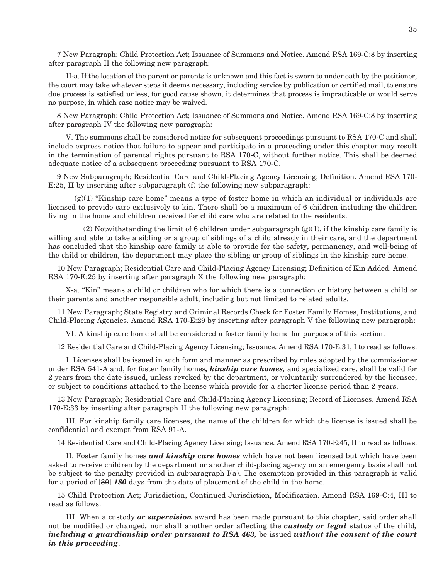7 New Paragraph; Child Protection Act; Issuance of Summons and Notice. Amend RSA 169-C:8 by inserting after paragraph II the following new paragraph:

 II-a. If the location of the parent or parents is unknown and this fact is sworn to under oath by the petitioner, the court may take whatever steps it deems necessary, including service by publication or certified mail, to ensure due process is satisfied unless, for good cause shown, it determines that process is impracticable or would serve no purpose, in which case notice may be waived.

8 New Paragraph; Child Protection Act; Issuance of Summons and Notice. Amend RSA 169-C:8 by inserting after paragraph IV the following new paragraph:

 V. The summons shall be considered notice for subsequent proceedings pursuant to RSA 170-C and shall include express notice that failure to appear and participate in a proceeding under this chapter may result in the termination of parental rights pursuant to RSA 170-C, without further notice. This shall be deemed adequate notice of a subsequent proceeding pursuant to RSA 170-C.

9 New Subparagraph; Residential Care and Child-Placing Agency Licensing; Definition. Amend RSA 170- E:25, II by inserting after subparagraph (f) the following new subparagraph:

 $(g(1)$  "Kinship care home" means a type of foster home in which an individual or individuals are licensed to provide care exclusively to kin. There shall be a maximum of 6 children including the children living in the home and children received for child care who are related to the residents.

(2) Notwithstanding the limit of 6 children under subparagraph  $(g)(1)$ , if the kinship care family is willing and able to take a sibling or a group of siblings of a child already in their care, and the department has concluded that the kinship care family is able to provide for the safety, permanency, and well-being of the child or children, the department may place the sibling or group of siblings in the kinship care home.

10 New Paragraph; Residential Care and Child-Placing Agency Licensing; Definition of Kin Added. Amend RSA 170-E:25 by inserting after paragraph X the following new paragraph:

 X-a. "Kin" means a child or children who for which there is a connection or history between a child or their parents and another responsible adult, including but not limited to related adults.

11 New Paragraph; State Registry and Criminal Records Check for Foster Family Homes, Institutions, and Child-Placing Agencies. Amend RSA 170-E:29 by inserting after paragraph V the following new paragraph:

VI. A kinship care home shall be considered a foster family home for purposes of this section.

12 Residential Care and Child-Placing Agency Licensing; Issuance. Amend RSA 170-E:31, I to read as follows:

 I. Licenses shall be issued in such form and manner as prescribed by rules adopted by the commissioner under RSA 541-A and, for foster family homes*, kinship care homes,* and specialized care, shall be valid for 2 years from the date issued, unless revoked by the department, or voluntarily surrendered by the licensee, or subject to conditions attached to the license which provide for a shorter license period than 2 years.

13 New Paragraph; Residential Care and Child-Placing Agency Licensing; Record of Licenses. Amend RSA 170-E:33 by inserting after paragraph II the following new paragraph:

 III. For kinship family care licenses, the name of the children for which the license is issued shall be confidential and exempt from RSA 91-A.

14 Residential Care and Child-Placing Agency Licensing; Issuance. Amend RSA 170-E:45, II to read as follows:

 II. Foster family homes *and kinship care homes* which have not been licensed but which have been asked to receive children by the department or another child-placing agency on an emergency basis shall not be subject to the penalty provided in subparagraph I(a). The exemption provided in this paragraph is valid for a period of [30] *180* days from the date of placement of the child in the home.

15 Child Protection Act; Jurisdiction, Continued Jurisdiction, Modification. Amend RSA 169-C:4, III to read as follows:

 III. When a custody *or supervision* award has been made pursuant to this chapter, said order shall not be modified or changed*,* nor shall another order affecting the *custody or legal* status of the child*, including a guardianship order pursuant to RSA 463,* be issued *without the consent of the court in this proceeding*.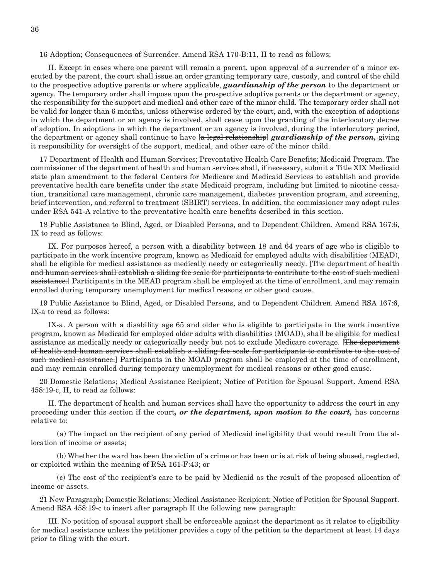#### 16 Adoption; Consequences of Surrender. Amend RSA 170-B:11, II to read as follows:

 II. Except in cases where one parent will remain a parent, upon approval of a surrender of a minor executed by the parent, the court shall issue an order granting temporary care, custody, and control of the child to the prospective adoptive parents or where applicable, *guardianship of the person* to the department or agency. The temporary order shall impose upon the prospective adoptive parents or the department or agency, the responsibility for the support and medical and other care of the minor child. The temporary order shall not be valid for longer than 6 months, unless otherwise ordered by the court, and, with the exception of adoptions in which the department or an agency is involved, shall cease upon the granting of the interlocutory decree of adoption. In adoptions in which the department or an agency is involved, during the interlocutory period, the department or agency shall continue to have [a legal relationship] *guardianship of the person,* giving it responsibility for oversight of the support, medical, and other care of the minor child.

17 Department of Health and Human Services; Preventative Health Care Benefits; Medicaid Program. The commissioner of the department of health and human services shall, if necessary, submit a Title XIX Medicaid state plan amendment to the federal Centers for Medicare and Medicaid Services to establish and provide preventative health care benefits under the state Medicaid program, including but limited to nicotine cessation, transitional care management, chronic care management, diabetes prevention program, and screening, brief intervention, and referral to treatment (SBIRT) services. In addition, the commissioner may adopt rules under RSA 541-A relative to the preventative health care benefits described in this section.

18 Public Assistance to Blind, Aged, or Disabled Persons, and to Dependent Children. Amend RSA 167:6, IX to read as follows:

 IX. For purposes hereof, a person with a disability between 18 and 64 years of age who is eligible to participate in the work incentive program, known as Medicaid for employed adults with disabilities (MEAD), shall be eligible for medical assistance as medically needy or categorically needy. [The department of health and human services shall establish a sliding fee scale for participants to contribute to the cost of such medical assistance.] Participants in the MEAD program shall be employed at the time of enrollment, and may remain enrolled during temporary unemployment for medical reasons or other good cause.

19 Public Assistance to Blind, Aged, or Disabled Persons, and to Dependent Children. Amend RSA 167:6, IX-a to read as follows:

 IX-a. A person with a disability age 65 and older who is eligible to participate in the work incentive program, known as Medicaid for employed older adults with disabilities (MOAD), shall be eligible for medical assistance as medically needy or categorically needy but not to exclude Medicare coverage. [The department of health and human services shall establish a sliding fee scale for participants to contribute to the cost of such medical assistance.] Participants in the MOAD program shall be employed at the time of enrollment, and may remain enrolled during temporary unemployment for medical reasons or other good cause.

20 Domestic Relations; Medical Assistance Recipient; Notice of Petition for Spousal Support. Amend RSA 458:19-c, II, to read as follows:

 II. The department of health and human services shall have the opportunity to address the court in any proceeding under this section if the court*, or the department, upon motion to the court,* has concerns relative to:

 (a) The impact on the recipient of any period of Medicaid ineligibility that would result from the allocation of income or assets;

 (b) Whether the ward has been the victim of a crime or has been or is at risk of being abused, neglected, or exploited within the meaning of RSA 161-F:43; or

 (c) The cost of the recipient's care to be paid by Medicaid as the result of the proposed allocation of income or assets.

21 New Paragraph; Domestic Relations; Medical Assistance Recipient; Notice of Petition for Spousal Support. Amend RSA 458:19-c to insert after paragraph II the following new paragraph:

 III. No petition of spousal support shall be enforceable against the department as it relates to eligibility for medical assistance unless the petitioner provides a copy of the petition to the department at least 14 days prior to filing with the court.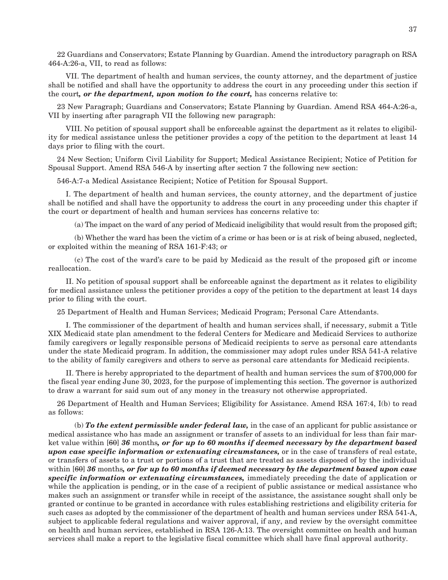22 Guardians and Conservators; Estate Planning by Guardian. Amend the introductory paragraph on RSA 464-A:26-a, VII, to read as follows:

 VII. The department of health and human services, the county attorney, and the department of justice shall be notified and shall have the opportunity to address the court in any proceeding under this section if the court*, or the department, upon motion to the court,* has concerns relative to:

23 New Paragraph; Guardians and Conservators; Estate Planning by Guardian. Amend RSA 464-A:26-a, VII by inserting after paragraph VII the following new paragraph:

 VIII. No petition of spousal support shall be enforceable against the department as it relates to eligibility for medical assistance unless the petitioner provides a copy of the petition to the department at least 14 days prior to filing with the court.

24 New Section; Uniform Civil Liability for Support; Medical Assistance Recipient; Notice of Petition for Spousal Support. Amend RSA 546-A by inserting after section 7 the following new section:

546-A:7-a Medical Assistance Recipient; Notice of Petition for Spousal Support.

 I. The department of health and human services, the county attorney, and the department of justice shall be notified and shall have the opportunity to address the court in any proceeding under this chapter if the court or department of health and human services has concerns relative to:

(a) The impact on the ward of any period of Medicaid ineligibility that would result from the proposed gift;

 (b) Whether the ward has been the victim of a crime or has been or is at risk of being abused, neglected, or exploited within the meaning of RSA 161-F:43; or

 (c) The cost of the ward's care to be paid by Medicaid as the result of the proposed gift or income reallocation.

 II. No petition of spousal support shall be enforceable against the department as it relates to eligibility for medical assistance unless the petitioner provides a copy of the petition to the department at least 14 days prior to filing with the court.

25 Department of Health and Human Services; Medicaid Program; Personal Care Attendants.

 I. The commissioner of the department of health and human services shall, if necessary, submit a Title XIX Medicaid state plan amendment to the federal Centers for Medicare and Medicaid Services to authorize family caregivers or legally responsible persons of Medicaid recipients to serve as personal care attendants under the state Medicaid program. In addition, the commissioner may adopt rules under RSA 541-A relative to the ability of family caregivers and others to serve as personal care attendants for Medicaid recipients.

 II. There is hereby appropriated to the department of health and human services the sum of \$700,000 for the fiscal year ending June 30, 2023, for the purpose of implementing this section. The governor is authorized to draw a warrant for said sum out of any money in the treasury not otherwise appropriated.

26 Department of Health and Human Services; Eligibility for Assistance. Amend RSA 167:4, I(b) to read as follows:

 (b) *To the extent permissible under federal law,* in the case of an applicant for public assistance or medical assistance who has made an assignment or transfer of assets to an individual for less than fair market value within [60] *36* months*, or for up to 60 months if deemed necessary by the department based upon case specific information or extenuating circumstances,* or in the case of transfers of real estate, or transfers of assets to a trust or portions of a trust that are treated as assets disposed of by the individual within [60] *36* months*, or for up to 60 months if deemed necessary by the department based upon case specific information or extenuating circumstances,* immediately preceding the date of application or while the application is pending, or in the case of a recipient of public assistance or medical assistance who makes such an assignment or transfer while in receipt of the assistance, the assistance sought shall only be granted or continue to be granted in accordance with rules establishing restrictions and eligibility criteria for such cases as adopted by the commissioner of the department of health and human services under RSA 541-A, subject to applicable federal regulations and waiver approval, if any, and review by the oversight committee on health and human services, established in RSA 126-A:13. The oversight committee on health and human services shall make a report to the legislative fiscal committee which shall have final approval authority.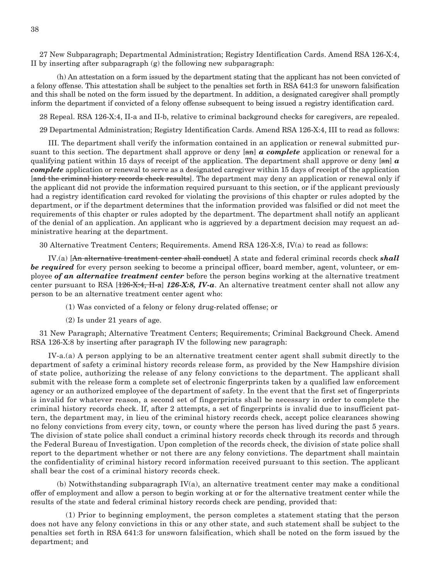27 New Subparagraph; Departmental Administration; Registry Identification Cards. Amend RSA 126-X:4, II by inserting after subparagraph (g) the following new subparagraph:

 (h) An attestation on a form issued by the department stating that the applicant has not been convicted of a felony offense. This attestation shall be subject to the penalties set forth in RSA 641:3 for unsworn falsification and this shall be noted on the form issued by the department. In addition, a designated caregiver shall promptly inform the department if convicted of a felony offense subsequent to being issued a registry identification card.

28 Repeal. RSA 126-X:4, II-a and II-b, relative to criminal background checks for caregivers, are repealed.

29 Departmental Administration; Registry Identification Cards. Amend RSA 126-X:4, III to read as follows:

 III. The department shall verify the information contained in an application or renewal submitted pursuant to this section. The department shall approve or deny [an] *a complete* application or renewal for a qualifying patient within 15 days of receipt of the application. The department shall approve or deny [an] *a complete* application or renewal to serve as a designated caregiver within 15 days of receipt of the application [and the criminal history records check results]. The department may deny an application or renewal only if the applicant did not provide the information required pursuant to this section, or if the applicant previously had a registry identification card revoked for violating the provisions of this chapter or rules adopted by the department, or if the department determines that the information provided was falsified or did not meet the requirements of this chapter or rules adopted by the department. The department shall notify an applicant of the denial of an application. An applicant who is aggrieved by a department decision may request an administrative hearing at the department.

30 Alternative Treatment Centers; Requirements. Amend RSA 126-X:8, IV(a) to read as follows:

 IV.(a) [An alternative treatment center shall conduct] A state and federal criminal records check *shall be required* for every person seeking to become a principal officer, board member, agent, volunteer, or employee *of an alternative treatment center* before the person begins working at the alternative treatment center pursuant to RSA [126-X:4, II-a] *126-X:8, IV-a*. An alternative treatment center shall not allow any person to be an alternative treatment center agent who:

- (1) Was convicted of a felony or felony drug-related offense; or
- (2) Is under 21 years of age.

31 New Paragraph; Alternative Treatment Centers; Requirements; Criminal Background Check. Amend RSA 126-X:8 by inserting after paragraph IV the following new paragraph:

 IV-a.(a) A person applying to be an alternative treatment center agent shall submit directly to the department of safety a criminal history records release form, as provided by the New Hampshire division of state police, authorizing the release of any felony convictions to the department. The applicant shall submit with the release form a complete set of electronic fingerprints taken by a qualified law enforcement agency or an authorized employee of the department of safety. In the event that the first set of fingerprints is invalid for whatever reason, a second set of fingerprints shall be necessary in order to complete the criminal history records check. If, after 2 attempts, a set of fingerprints is invalid due to insufficient pattern, the department may, in lieu of the criminal history records check, accept police clearances showing no felony convictions from every city, town, or county where the person has lived during the past 5 years. The division of state police shall conduct a criminal history records check through its records and through the Federal Bureau of Investigation. Upon completion of the records check, the division of state police shall report to the department whether or not there are any felony convictions. The department shall maintain the confidentiality of criminal history record information received pursuant to this section. The applicant shall bear the cost of a criminal history records check.

 $(b)$  Notwithstanding subparagraph IV(a), an alternative treatment center may make a conditional offer of employment and allow a person to begin working at or for the alternative treatment center while the results of the state and federal criminal history records check are pending, provided that:

 (1) Prior to beginning employment, the person completes a statement stating that the person does not have any felony convictions in this or any other state, and such statement shall be subject to the penalties set forth in RSA 641:3 for unsworn falsification, which shall be noted on the form issued by the department; and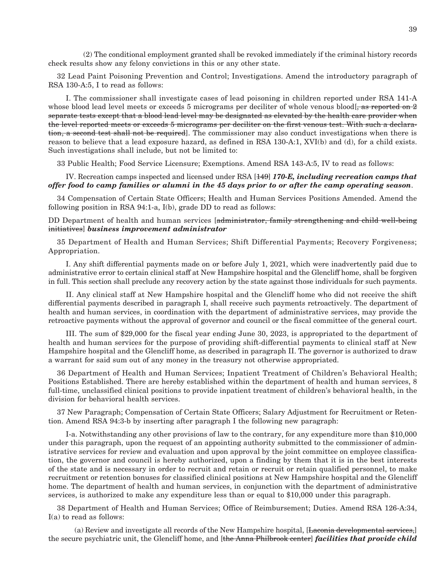(2) The conditional employment granted shall be revoked immediately if the criminal history records check results show any felony convictions in this or any other state.

32 Lead Paint Poisoning Prevention and Control; Investigations. Amend the introductory paragraph of RSA 130-A:5, I to read as follows:

 I. The commissioner shall investigate cases of lead poisoning in children reported under RSA 141-A whose blood lead level meets or exceeds 5 micrograms per deciliter of whole venous blood[ $\frac{1}{2}$  as reported on 2 separate tests except that a blood lead level may be designated as elevated by the health care provider when the level reported meets or exceeds 5 micrograms per deciliter on the first venous test. With such a declaration, a second test shall not be required]. The commissioner may also conduct investigations when there is reason to believe that a lead exposure hazard, as defined in RSA 130-A:1, XVI(b) and (d), for a child exists. Such investigations shall include, but not be limited to:

33 Public Health; Food Service Licensure; Exemptions. Amend RSA 143-A:5, IV to read as follows:

#### IV. Recreation camps inspected and licensed under RSA [149] *170-E, including recreation camps that offer food to camp families or alumni in the 45 days prior to or after the camp operating season*.

34 Compensation of Certain State Officers; Health and Human Services Positions Amended. Amend the following position in RSA 94:1-a, I(b), grade DD to read as follows:

DD Department of health and human services [administrator, family strengthening and child well-being initiatives] *business improvement administrator*

35 Department of Health and Human Services; Shift Differential Payments; Recovery Forgiveness; Appropriation.

 I. Any shift differential payments made on or before July 1, 2021, which were inadvertently paid due to administrative error to certain clinical staff at New Hampshire hospital and the Glencliff home, shall be forgiven in full. This section shall preclude any recovery action by the state against those individuals for such payments.

 II. Any clinical staff at New Hampshire hospital and the Glencliff home who did not receive the shift differential payments described in paragraph I, shall receive such payments retroactively. The department of health and human services, in coordination with the department of administrative services, may provide the retroactive payments without the approval of governor and council or the fiscal committee of the general court.

 III. The sum of \$29,000 for the fiscal year ending June 30, 2023, is appropriated to the department of health and human services for the purpose of providing shift-differential payments to clinical staff at New Hampshire hospital and the Glencliff home, as described in paragraph II. The governor is authorized to draw a warrant for said sum out of any money in the treasury not otherwise appropriated.

36 Department of Health and Human Services; Inpatient Treatment of Children's Behavioral Health; Positions Established. There are hereby established within the department of health and human services, 8 full-time, unclassified clinical positions to provide inpatient treatment of children's behavioral health, in the division for behavioral health services.

37 New Paragraph; Compensation of Certain State Officers; Salary Adjustment for Recruitment or Retention. Amend RSA 94:3-b by inserting after paragraph I the following new paragraph:

 I-a. Notwithstanding any other provisions of law to the contrary, for any expenditure more than \$10,000 under this paragraph, upon the request of an appointing authority submitted to the commissioner of administrative services for review and evaluation and upon approval by the joint committee on employee classification, the governor and council is hereby authorized, upon a finding by them that it is in the best interests of the state and is necessary in order to recruit and retain or recruit or retain qualified personnel, to make recruitment or retention bonuses for classified clinical positions at New Hampshire hospital and the Glencliff home. The department of health and human services, in conjunction with the department of administrative services, is authorized to make any expenditure less than or equal to \$10,000 under this paragraph.

38 Department of Health and Human Services; Office of Reimbursement; Duties. Amend RSA 126-A:34, I(a) to read as follows:

(a) Review and investigate all records of the New Hampshire hospital, [Laconia developmental services,] the secure psychiatric unit, the Glencliff home, and [the Anna Philbrook center] *facilities that provide child*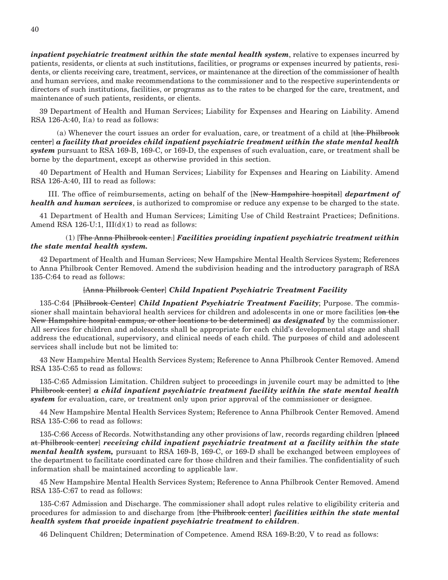*inpatient psychiatric treatment within the state mental health system*, relative to expenses incurred by patients, residents, or clients at such institutions, facilities, or programs or expenses incurred by patients, residents, or clients receiving care, treatment, services, or maintenance at the direction of the commissioner of health and human services, and make recommendations to the commissioner and to the respective superintendents or directors of such institutions, facilities, or programs as to the rates to be charged for the care, treatment, and maintenance of such patients, residents, or clients.

39 Department of Health and Human Services; Liability for Expenses and Hearing on Liability. Amend RSA 126-A:40, I(a) to read as follows:

 (a) Whenever the court issues an order for evaluation, care, or treatment of a child at [the Philbrook center] *a facility that provides child inpatient psychiatric treatment within the state mental health system* pursuant to RSA 169-B, 169-C, or 169-D, the expenses of such evaluation, care, or treatment shall be borne by the department, except as otherwise provided in this section.

40 Department of Health and Human Services; Liability for Expenses and Hearing on Liability. Amend RSA 126-A:40, III to read as follows:

 III. The office of reimbursements, acting on behalf of the [New Hampshire hospital] *department of health and human services*, is authorized to compromise or reduce any expense to be charged to the state.

41 Department of Health and Human Services; Limiting Use of Child Restraint Practices; Definitions. Amend RSA 126-U:1,  $III(d)(1)$  to read as follows:

#### (1) [The Anna Philbrook center.] *Facilities providing inpatient psychiatric treatment within the state mental health system.*

42 Department of Health and Human Services; New Hampshire Mental Health Services System; References to Anna Philbrook Center Removed. Amend the subdivision heading and the introductory paragraph of RSA 135-C:64 to read as follows:

#### [Anna Philbrook Center] *Child Inpatient Psychiatric Treatment Facility*

135-C:64 [Philbrook Center] *Child Inpatient Psychiatric Treatment Facility*; Purpose. The commissioner shall maintain behavioral health services for children and adolescents in one or more facilities [on the New Hampshire hospital campus, or other locations to be determined] *as designated* by the commissioner. All services for children and adolescents shall be appropriate for each child's developmental stage and shall address the educational, supervisory, and clinical needs of each child. The purposes of child and adolescent services shall include but not be limited to:

43 New Hampshire Mental Health Services System; Reference to Anna Philbrook Center Removed. Amend RSA 135-C:65 to read as follows:

135-C:65 Admission Limitation. Children subject to proceedings in juvenile court may be admitted to [the Philbrook center] *a child inpatient psychiatric treatment facility within the state mental health system* for evaluation, care, or treatment only upon prior approval of the commissioner or designee.

44 New Hampshire Mental Health Services System; Reference to Anna Philbrook Center Removed. Amend RSA 135-C:66 to read as follows:

135-C:66 Access of Records. Notwithstanding any other provisions of law, records regarding children [placed] at Philbrook center] *receiving child inpatient psychiatric treatment at a facility within the state mental health system,* pursuant to RSA 169-B, 169-C, or 169-D shall be exchanged between employees of the department to facilitate coordinated care for those children and their families. The confidentiality of such information shall be maintained according to applicable law.

45 New Hampshire Mental Health Services System; Reference to Anna Philbrook Center Removed. Amend RSA 135-C:67 to read as follows:

135-C:67 Admission and Discharge. The commissioner shall adopt rules relative to eligibility criteria and procedures for admission to and discharge from [the Philbrook center] *facilities within the state mental health system that provide inpatient psychiatric treatment to children*.

46 Delinquent Children; Determination of Competence. Amend RSA 169-B:20, V to read as follows: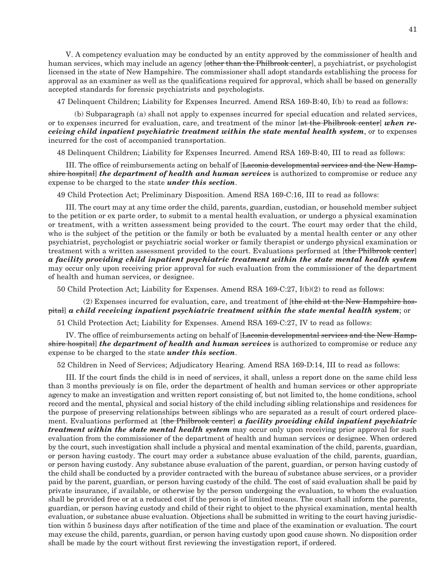V. A competency evaluation may be conducted by an entity approved by the commissioner of health and human services, which may include an agency [other than the Philbrook center], a psychiatrist, or psychologist licensed in the state of New Hampshire. The commissioner shall adopt standards establishing the process for approval as an examiner as well as the qualifications required for approval, which shall be based on generally accepted standards for forensic psychiatrists and psychologists.

47 Delinquent Children; Liability for Expenses Incurred. Amend RSA 169-B:40, I(b) to read as follows:

 (b) Subparagraph (a) shall not apply to expenses incurred for special education and related services, or to expenses incurred for evaluation, care, and treatment of the minor [at the Philbrook center] *when receiving child inpatient psychiatric treatment within the state mental health system*, or to expenses incurred for the cost of accompanied transportation.

48 Delinquent Children; Liability for Expenses Incurred. Amend RSA 169-B:40, III to read as follows:

III. The office of reimbursements acting on behalf of [Laconia developmental services and the New Hampshire hospital] *the department of health and human services* is authorized to compromise or reduce any expense to be charged to the state *under this section*.

49 Child Protection Act; Preliminary Disposition. Amend RSA 169-C:16, III to read as follows:

 III. The court may at any time order the child, parents, guardian, custodian, or household member subject to the petition or ex parte order, to submit to a mental health evaluation, or undergo a physical examination or treatment, with a written assessment being provided to the court. The court may order that the child, who is the subject of the petition or the family or both be evaluated by a mental health center or any other psychiatrist, psychologist or psychiatric social worker or family therapist or undergo physical examination or treatment with a written assessment provided to the court. Evaluations performed at [the Philbrook center] *a facility providing child inpatient psychiatric treatment within the state mental health system* may occur only upon receiving prior approval for such evaluation from the commissioner of the department of health and human services, or designee.

50 Child Protection Act; Liability for Expenses. Amend RSA 169-C:27, I(b)(2) to read as follows:

 (2) Expenses incurred for evaluation, care, and treatment of [the child at the New Hampshire hospital] *a child receiving inpatient psychiatric treatment within the state mental health system*; or

51 Child Protection Act; Liability for Expenses. Amend RSA 169-C:27, IV to read as follows:

IV. The office of reimbursements acting on behalf of [Laconia developmental services and the New Hampshire hospital] *the department of health and human services* is authorized to compromise or reduce any expense to be charged to the state *under this section*.

52 Children in Need of Services; Adjudicatory Hearing. Amend RSA 169-D:14, III to read as follows:

 III. If the court finds the child is in need of services, it shall, unless a report done on the same child less than 3 months previously is on file, order the department of health and human services or other appropriate agency to make an investigation and written report consisting of, but not limited to, the home conditions, school record and the mental, physical and social history of the child including sibling relationships and residences for the purpose of preserving relationships between siblings who are separated as a result of court ordered placement. Evaluations performed at [the Philbrook center] *a facility providing child inpatient psychiatric treatment within the state mental health system* may occur only upon receiving prior approval for such evaluation from the commissioner of the department of health and human services or designee. When ordered by the court, such investigation shall include a physical and mental examination of the child, parents, guardian, or person having custody. The court may order a substance abuse evaluation of the child, parents, guardian, or person having custody. Any substance abuse evaluation of the parent, guardian, or person having custody of the child shall be conducted by a provider contracted with the bureau of substance abuse services, or a provider paid by the parent, guardian, or person having custody of the child. The cost of said evaluation shall be paid by private insurance, if available, or otherwise by the person undergoing the evaluation, to whom the evaluation shall be provided free or at a reduced cost if the person is of limited means. The court shall inform the parents, guardian, or person having custody and child of their right to object to the physical examination, mental health evaluation, or substance abuse evaluation. Objections shall be submitted in writing to the court having jurisdiction within 5 business days after notification of the time and place of the examination or evaluation. The court may excuse the child, parents, guardian, or person having custody upon good cause shown. No disposition order shall be made by the court without first reviewing the investigation report, if ordered.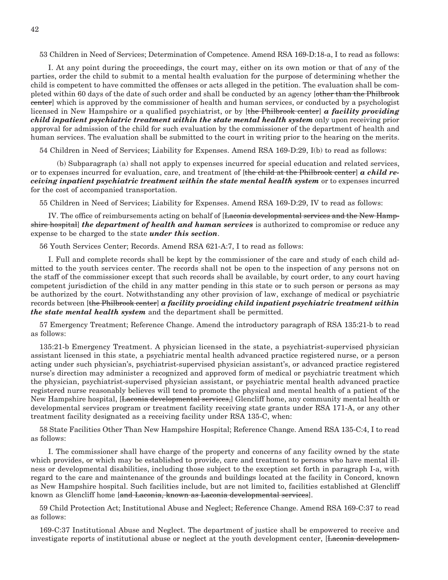53 Children in Need of Services; Determination of Competence. Amend RSA 169-D:18-a, I to read as follows:

 I. At any point during the proceedings, the court may, either on its own motion or that of any of the parties, order the child to submit to a mental health evaluation for the purpose of determining whether the child is competent to have committed the offenses or acts alleged in the petition. The evaluation shall be completed within 60 days of the date of such order and shall be conducted by an agency [other than the Philbrook center] which is approved by the commissioner of health and human services, or conducted by a psychologist licensed in New Hampshire or a qualified psychiatrist, or by [the Philbrook center] *a facility providing child inpatient psychiatric treatment within the state mental health system* only upon receiving prior approval for admission of the child for such evaluation by the commissioner of the department of health and human services. The evaluation shall be submitted to the court in writing prior to the hearing on the merits.

54 Children in Need of Services; Liability for Expenses. Amend RSA 169-D:29, I(b) to read as follows:

 (b) Subparagraph (a) shall not apply to expenses incurred for special education and related services, or to expenses incurred for evaluation, care, and treatment of [the child at the Philbrook center] *a child receiving inpatient psychiatric treatment within the state mental health system or to expenses incurred* for the cost of accompanied transportation.

55 Children in Need of Services; Liability for Expenses. Amend RSA 169-D:29, IV to read as follows:

IV. The office of reimbursements acting on behalf of [Laconia developmental services and the New Hampshire hospital] *the department of health and human services* is authorized to compromise or reduce any expense to be charged to the state *under this section*.

56 Youth Services Center; Records. Amend RSA 621-A:7, I to read as follows:

 I. Full and complete records shall be kept by the commissioner of the care and study of each child admitted to the youth services center. The records shall not be open to the inspection of any persons not on the staff of the commissioner except that such records shall be available, by court order, to any court having competent jurisdiction of the child in any matter pending in this state or to such person or persons as may be authorized by the court. Notwithstanding any other provision of law, exchange of medical or psychiatric records between [the Philbrook center] *a facility providing child inpatient psychiatric treatment within the state mental health system* and the department shall be permitted.

57 Emergency Treatment; Reference Change. Amend the introductory paragraph of RSA 135:21-b to read as follows:

135:21-b Emergency Treatment. A physician licensed in the state, a psychiatrist-supervised physician assistant licensed in this state, a psychiatric mental health advanced practice registered nurse, or a person acting under such physician's, psychiatrist-supervised physician assistant's, or advanced practice registered nurse's direction may administer a recognized and approved form of medical or psychiatric treatment which the physician, psychiatrist-supervised physician assistant, or psychiatric mental health advanced practice registered nurse reasonably believes will tend to promote the physical and mental health of a patient of the New Hampshire hospital, [Laconia developmental services,] Glencliff home, any community mental health or developmental services program or treatment facility receiving state grants under RSA 171-A, or any other treatment facility designated as a receiving facility under RSA 135-C, when:

58 State Facilities Other Than New Hampshire Hospital; Reference Change. Amend RSA 135-C:4, I to read as follows:

 I. The commissioner shall have charge of the property and concerns of any facility owned by the state which provides, or which may be established to provide, care and treatment to persons who have mental illness or developmental disabilities, including those subject to the exception set forth in paragraph I-a, with regard to the care and maintenance of the grounds and buildings located at the facility in Concord, known as New Hampshire hospital. Such facilities include, but are not limited to, facilities established at Glencliff known as Glencliff home [and Laconia, known as Laconia developmental services].

59 Child Protection Act; Institutional Abuse and Neglect; Reference Change. Amend RSA 169-C:37 to read as follows:

169-C:37 Institutional Abuse and Neglect. The department of justice shall be empowered to receive and investigate reports of institutional abuse or neglect at the youth development center, [Laconia developmen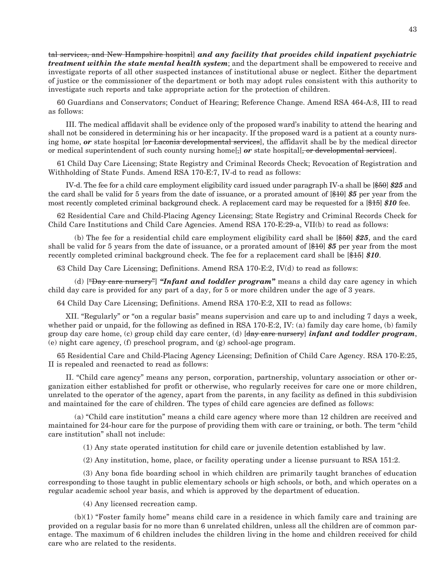tal services, and New Hampshire hospital] *and any facility that provides child inpatient psychiatric treatment within the state mental health system*; and the department shall be empowered to receive and investigate reports of all other suspected instances of institutional abuse or neglect. Either the department of justice or the commissioner of the department or both may adopt rules consistent with this authority to investigate such reports and take appropriate action for the protection of children.

60 Guardians and Conservators; Conduct of Hearing; Reference Change. Amend RSA 464-A:8, III to read as follows:

 III. The medical affidavit shall be evidence only of the proposed ward's inability to attend the hearing and shall not be considered in determining his or her incapacity. If the proposed ward is a patient at a county nursing home, *or* state hospital [or Laconia developmental services], the affidavit shall be by the medical director or medical superintendent of such county nursing home[,] or state hospital[, or developmental services].

61 Child Day Care Licensing; State Registry and Criminal Records Check; Revocation of Registration and Withholding of State Funds. Amend RSA 170-E:7, IV-d to read as follows:

 IV-d. The fee for a child care employment eligibility card issued under paragraph IV-a shall be [\$50] *\$25* and the card shall be valid for 5 years from the date of issuance, or a prorated amount of [\$10] *\$5* per year from the most recently completed criminal background check. A replacement card may be requested for a [\$15] *\$10* fee.

62 Residential Care and Child-Placing Agency Licensing; State Registry and Criminal Records Check for Child Care Institutions and Child Care Agencies. Amend RSA 170-E:29-a, VII(b) to read as follows:

 (b) The fee for a residential child care employment eligibility card shall be [\$50] *\$25*, and the card shall be valid for 5 years from the date of issuance, or a prorated amount of [\$10] *\$5* per year from the most recently completed criminal background check. The fee for a replacement card shall be [\$15] *\$10*.

63 Child Day Care Licensing; Definitions. Amend RSA 170-E:2, IV(d) to read as follows:

 (d) ["Day care nursery"] *"Infant and toddler program"* means a child day care agency in which child day care is provided for any part of a day, for 5 or more children under the age of 3 years.

64 Child Day Care Licensing; Definitions. Amend RSA 170-E:2, XII to read as follows:

 XII. "Regularly" or "on a regular basis" means supervision and care up to and including 7 days a week, whether paid or unpaid, for the following as defined in RSA 170-E:2, IV: (a) family day care home, (b) family group day care home, (c) group child day care center, (d) [day care nursery] *infant and toddler program*, (e) night care agency, (f) preschool program, and (g) school-age program.

65 Residential Care and Child-Placing Agency Licensing; Definition of Child Care Agency. RSA 170-E:25, II is repealed and reenacted to read as follows:

 II. "Child care agency" means any person, corporation, partnership, voluntary association or other organization either established for profit or otherwise, who regularly receives for care one or more children, unrelated to the operator of the agency, apart from the parents, in any facility as defined in this subdivision and maintained for the care of children. The types of child care agencies are defined as follows:

 (a) "Child care institution" means a child care agency where more than 12 children are received and maintained for 24-hour care for the purpose of providing them with care or training, or both. The term "child care institution" shall not include:

(1) Any state operated institution for child care or juvenile detention established by law.

(2) Any institution, home, place, or facility operating under a license pursuant to RSA 151:2.

 (3) Any bona fide boarding school in which children are primarily taught branches of education corresponding to those taught in public elementary schools or high schools, or both, and which operates on a regular academic school year basis, and which is approved by the department of education.

(4) Any licensed recreation camp.

 (b)(1) "Foster family home" means child care in a residence in which family care and training are provided on a regular basis for no more than 6 unrelated children, unless all the children are of common parentage. The maximum of 6 children includes the children living in the home and children received for child care who are related to the residents.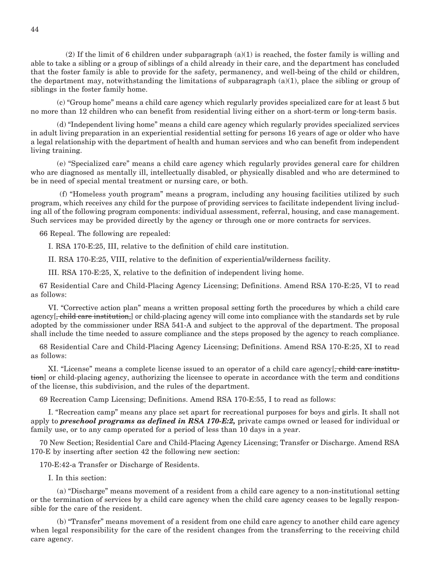(2) If the limit of 6 children under subparagraph (a)(1) is reached, the foster family is willing and able to take a sibling or a group of siblings of a child already in their care, and the department has concluded that the foster family is able to provide for the safety, permanency, and well-being of the child or children, the department may, notwithstanding the limitations of subparagraph (a)(1), place the sibling or group of siblings in the foster family home.

 (c) "Group home" means a child care agency which regularly provides specialized care for at least 5 but no more than 12 children who can benefit from residential living either on a short-term or long-term basis.

 (d) "Independent living home" means a child care agency which regularly provides specialized services in adult living preparation in an experiential residential setting for persons 16 years of age or older who have a legal relationship with the department of health and human services and who can benefit from independent living training.

 (e) "Specialized care" means a child care agency which regularly provides general care for children who are diagnosed as mentally ill, intellectually disabled, or physically disabled and who are determined to be in need of special mental treatment or nursing care, or both.

 (f) "Homeless youth program" means a program, including any housing facilities utilized by such program, which receives any child for the purpose of providing services to facilitate independent living including all of the following program components: individual assessment, referral, housing, and case management. Such services may be provided directly by the agency or through one or more contracts for services.

66 Repeal. The following are repealed:

I. RSA 170-E:25, III, relative to the definition of child care institution.

II. RSA 170-E:25, VIII, relative to the definition of experiential/wilderness facility.

III. RSA 170-E:25, X, relative to the definition of independent living home.

67 Residential Care and Child-Placing Agency Licensing; Definitions. Amend RSA 170-E:25, VI to read as follows:

 VI. "Corrective action plan" means a written proposal setting forth the procedures by which a child care agency [, child care institution,] or child-placing agency will come into compliance with the standards set by rule adopted by the commissioner under RSA 541-A and subject to the approval of the department. The proposal shall include the time needed to assure compliance and the steps proposed by the agency to reach compliance.

68 Residential Care and Child-Placing Agency Licensing; Definitions. Amend RSA 170-E:25, XI to read as follows:

 XI. "License" means a complete license issued to an operator of a child care agency[, child care institution] or child-placing agency, authorizing the licensee to operate in accordance with the term and conditions of the license, this subdivision, and the rules of the department.

69 Recreation Camp Licensing; Definitions. Amend RSA 170-E:55, I to read as follows:

 I. "Recreation camp" means any place set apart for recreational purposes for boys and girls. It shall not apply to *preschool programs as defined in RSA 170-E:2,* private camps owned or leased for individual or family use, or to any camp operated for a period of less than 10 days in a year.

70 New Section; Residential Care and Child-Placing Agency Licensing; Transfer or Discharge. Amend RSA 170-E by inserting after section 42 the following new section:

170-E:42-a Transfer or Discharge of Residents.

I. In this section:

 (a) "Discharge" means movement of a resident from a child care agency to a non-institutional setting or the termination of services by a child care agency when the child care agency ceases to be legally responsible for the care of the resident.

 (b) "Transfer" means movement of a resident from one child care agency to another child care agency when legal responsibility for the care of the resident changes from the transferring to the receiving child care agency.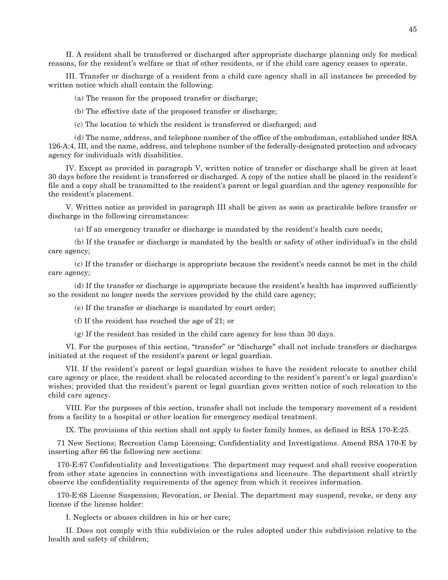II. A resident shall be transferred or discharged after appropriate discharge planning only for medical reasons, for the resident's welfare or that of other residents, or if the child care agency ceases to operate.

 III. Transfer or discharge of a resident from a child care agency shall in all instances be preceded by written notice which shall contain the following:

(a) The reason for the proposed transfer or discharge;

(b) The effective date of the proposed transfer or discharge;

(c) The location to which the resident is transferred or discharged; and

 (d) The name, address, and telephone number of the office of the ombudsman, established under RSA 126-A:4, III, and the name, address, and telephone number of the federally-designated protection and advocacy agency for individuals with disabilities.

 IV. Except as provided in paragraph V, written notice of transfer or discharge shall be given at least 30 days before the resident is transferred or discharged. A copy of the notice shall be placed in the resident's file and a copy shall be transmitted to the resident's parent or legal guardian and the agency responsible for the resident's placement.

 V. Written notice as provided in paragraph III shall be given as soon as practicable before transfer or discharge in the following circumstances:

(a) If an emergency transfer or discharge is mandated by the resident's health care needs;

 (b) If the transfer or discharge is mandated by the health or safety of other individual's in the child care agency;

 (c) If the transfer or discharge is appropriate because the resident's needs cannot be met in the child care agency;

 (d) If the transfer or discharge is appropriate because the resident's health has improved sufficiently so the resident no longer needs the services provided by the child care agency;

(e) If the transfer or discharge is mandated by court order;

(f) If the resident has reached the age of 21; or

(g) If the resident has resided in the child care agency for less than 30 days.

 VI. For the purposes of this section, "transfer" or "discharge" shall not include transfers or discharges initiated at the request of the resident's parent or legal guardian.

 VII. If the resident's parent or legal guardian wishes to have the resident relocate to another child care agency or place, the resident shall be relocated according to the resident's parent's or legal guardian's wishes; provided that the resident's parent or legal guardian gives written notice of such relocation to the child care agency.

 VIII. For the purposes of this section, transfer shall not include the temporary movement of a resident from a facility to a hospital or other location for emergency medical treatment.

IX. The provisions of this section shall not apply to foster family homes, as defined in RSA 170-E:25.

71 New Sections; Recreation Camp Licensing; Confidentiality and Investigations. Amend RSA 170-E by inserting after 66 the following new sections:

170-E:67 Confidentiality and Investigations. The department may request and shall receive cooperation from other state agencies in connection with investigations and licensure. The department shall strictly observe the confidentiality requirements of the agency from which it receives information.

170-E:68 License Suspension, Revocation, or Denial. The department may suspend, revoke, or deny any license if the license holder:

I. Neglects or abuses children in his or her care;

 II. Does not comply with this subdivision or the rules adopted under this subdivision relative to the health and safety of children;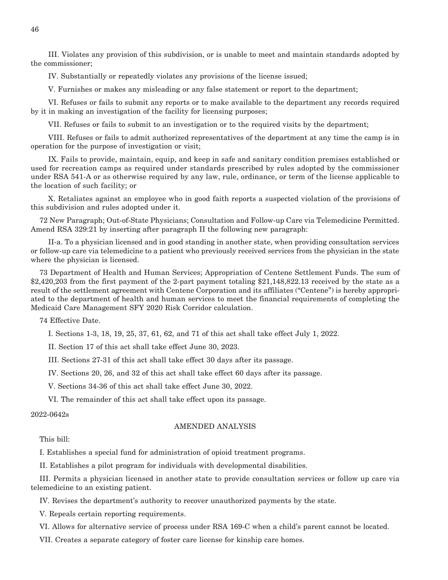III. Violates any provision of this subdivision, or is unable to meet and maintain standards adopted by the commissioner;

IV. Substantially or repeatedly violates any provisions of the license issued;

V. Furnishes or makes any misleading or any false statement or report to the department;

 VI. Refuses or fails to submit any reports or to make available to the department any records required by it in making an investigation of the facility for licensing purposes;

VII. Refuses or fails to submit to an investigation or to the required visits by the department;

 VIII. Refuses or fails to admit authorized representatives of the department at any time the camp is in operation for the purpose of investigation or visit;

 IX. Fails to provide, maintain, equip, and keep in safe and sanitary condition premises established or used for recreation camps as required under standards prescribed by rules adopted by the commissioner under RSA 541-A or as otherwise required by any law, rule, ordinance, or term of the license applicable to the location of such facility; or

 X. Retaliates against an employee who in good faith reports a suspected violation of the provisions of this subdivision and rules adopted under it.

72 New Paragraph; Out-of-State Physicians; Consultation and Follow-up Care via Telemedicine Permitted. Amend RSA 329:21 by inserting after paragraph II the following new paragraph:

 II-a. To a physician licensed and in good standing in another state, when providing consultation services or follow-up care via telemedicine to a patient who previously received services from the physician in the state where the physician is licensed.

73 Department of Health and Human Services; Appropriation of Centene Settlement Funds. The sum of \$2,420,203 from the first payment of the 2-part payment totaling \$21,148,822.13 received by the state as a result of the settlement agreement with Centene Corporation and its affiliates ("Centene") is hereby appropriated to the department of health and human services to meet the financial requirements of completing the Medicaid Care Management SFY 2020 Risk Corridor calculation.

74 Effective Date.

I. Sections 1-3, 18, 19, 25, 37, 61, 62, and 71 of this act shall take effect July 1, 2022.

II. Section 17 of this act shall take effect June 30, 2023.

III. Sections 27-31 of this act shall take effect 30 days after its passage.

IV. Sections 20, 26, and 32 of this act shall take effect 60 days after its passage.

V. Sections 34-36 of this act shall take effect June 30, 2022.

VI. The remainder of this act shall take effect upon its passage.

#### 2022-0642s

#### AMENDED ANALYSIS

#### This bill:

I. Establishes a special fund for administration of opioid treatment programs.

II. Establishes a pilot program for individuals with developmental disabilities.

III. Permits a physician licensed in another state to provide consultation services or follow up care via telemedicine to an existing patient.

IV. Revises the department's authority to recover unauthorized payments by the state.

V. Repeals certain reporting requirements.

VI. Allows for alternative service of process under RSA 169-C when a child's parent cannot be located.

VII. Creates a separate category of foster care license for kinship care homes.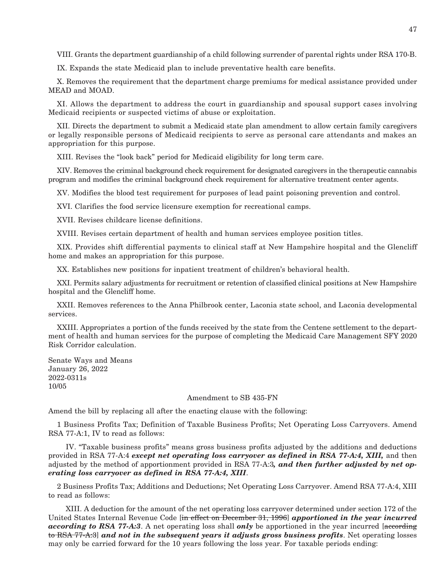VIII. Grants the department guardianship of a child following surrender of parental rights under RSA 170-B.

IX. Expands the state Medicaid plan to include preventative health care benefits.

X. Removes the requirement that the department charge premiums for medical assistance provided under MEAD and MOAD.

XI. Allows the department to address the court in guardianship and spousal support cases involving Medicaid recipients or suspected victims of abuse or exploitation.

XII. Directs the department to submit a Medicaid state plan amendment to allow certain family caregivers or legally responsible persons of Medicaid recipients to serve as personal care attendants and makes an appropriation for this purpose.

XIII. Revises the "look back" period for Medicaid eligibility for long term care.

XIV. Removes the criminal background check requirement for designated caregivers in the therapeutic cannabis program and modifies the criminal background check requirement for alternative treatment center agents.

XV. Modifies the blood test requirement for purposes of lead paint poisoning prevention and control.

XVI. Clarifies the food service licensure exemption for recreational camps.

XVII. Revises childcare license definitions.

XVIII. Revises certain department of health and human services employee position titles.

XIX. Provides shift differential payments to clinical staff at New Hampshire hospital and the Glencliff home and makes an appropriation for this purpose.

XX. Establishes new positions for inpatient treatment of children's behavioral health.

XXI. Permits salary adjustments for recruitment or retention of classified clinical positions at New Hampshire hospital and the Glencliff home.

XXII. Removes references to the Anna Philbrook center, Laconia state school, and Laconia developmental services.

XXIII. Appropriates a portion of the funds received by the state from the Centene settlement to the department of health and human services for the purpose of completing the Medicaid Care Management SFY 2020 Risk Corridor calculation.

Senate Ways and Means January 26, 2022 2022-0311s 10/05

#### Amendment to SB 435-FN

Amend the bill by replacing all after the enacting clause with the following:

1 Business Profits Tax; Definition of Taxable Business Profits; Net Operating Loss Carryovers. Amend RSA 77-A:1, IV to read as follows:

 IV. "Taxable business profits" means gross business profits adjusted by the additions and deductions provided in RSA 77-A:4 *except net operating loss carryover as defined in RSA 77-A:4, XIII,* and then adjusted by the method of apportionment provided in RSA 77-A:3*, and then further adjusted by net operating loss carryover as defined in RSA 77-A:4, XIII*.

2 Business Profits Tax; Additions and Deductions; Net Operating Loss Carryover. Amend RSA 77-A:4, XIII to read as follows:

 XIII. A deduction for the amount of the net operating loss carryover determined under section 172 of the United States Internal Revenue Code [in effect on December 31, 1996] *apportioned in the year incurred according to RSA 77-A:3*. A net operating loss shall *only* be apportioned in the year incurred [according to RSA 77-A:3] *and not in the subsequent years it adjusts gross business profits*. Net operating losses may only be carried forward for the 10 years following the loss year. For taxable periods ending: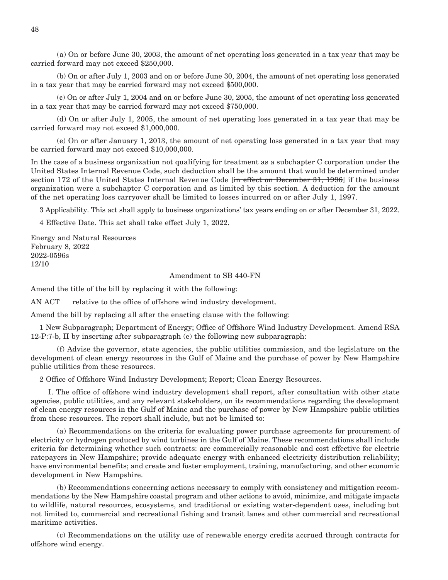(a) On or before June 30, 2003, the amount of net operating loss generated in a tax year that may be carried forward may not exceed \$250,000.

 (b) On or after July 1, 2003 and on or before June 30, 2004, the amount of net operating loss generated in a tax year that may be carried forward may not exceed \$500,000.

 (c) On or after July 1, 2004 and on or before June 30, 2005, the amount of net operating loss generated in a tax year that may be carried forward may not exceed \$750,000.

 (d) On or after July 1, 2005, the amount of net operating loss generated in a tax year that may be carried forward may not exceed \$1,000,000.

 (e) On or after January 1, 2013, the amount of net operating loss generated in a tax year that may be carried forward may not exceed \$10,000,000.

In the case of a business organization not qualifying for treatment as a subchapter C corporation under the United States Internal Revenue Code, such deduction shall be the amount that would be determined under section 172 of the United States Internal Revenue Code [in effect on December 31, 1996] if the business organization were a subchapter C corporation and as limited by this section. A deduction for the amount of the net operating loss carryover shall be limited to losses incurred on or after July 1, 1997.

3 Applicability. This act shall apply to business organizations' tax years ending on or after December 31, 2022.

4 Effective Date. This act shall take effect July 1, 2022.

Energy and Natural Resources February 8, 2022 2022-0596s 12/10

#### Amendment to SB 440-FN

Amend the title of the bill by replacing it with the following:

AN ACT relative to the office of offshore wind industry development.

Amend the bill by replacing all after the enacting clause with the following:

1 New Subparagraph; Department of Energy; Office of Offshore Wind Industry Development. Amend RSA 12-P:7-b, II by inserting after subparagraph (e) the following new subparagraph:

 (f) Advise the governor, state agencies, the public utilities commission, and the legislature on the development of clean energy resources in the Gulf of Maine and the purchase of power by New Hampshire public utilities from these resources.

2 Office of Offshore Wind Industry Development; Report; Clean Energy Resources.

 I. The office of offshore wind industry development shall report, after consultation with other state agencies, public utilities, and any relevant stakeholders, on its recommendations regarding the development of clean energy resources in the Gulf of Maine and the purchase of power by New Hampshire public utilities from these resources. The report shall include, but not be limited to:

 (a) Recommendations on the criteria for evaluating power purchase agreements for procurement of electricity or hydrogen produced by wind turbines in the Gulf of Maine. These recommendations shall include criteria for determining whether such contracts: are commercially reasonable and cost effective for electric ratepayers in New Hampshire; provide adequate energy with enhanced electricity distribution reliability; have environmental benefits; and create and foster employment, training, manufacturing, and other economic development in New Hampshire.

 (b) Recommendations concerning actions necessary to comply with consistency and mitigation recommendations by the New Hampshire coastal program and other actions to avoid, minimize, and mitigate impacts to wildlife, natural resources, ecosystems, and traditional or existing water-dependent uses, including but not limited to, commercial and recreational fishing and transit lanes and other commercial and recreational maritime activities.

 (c) Recommendations on the utility use of renewable energy credits accrued through contracts for offshore wind energy.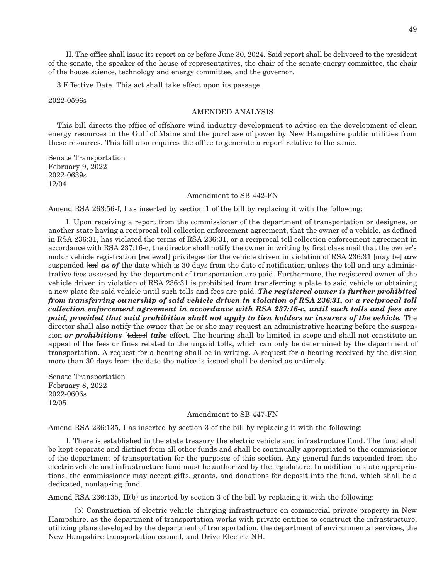II. The office shall issue its report on or before June 30, 2024. Said report shall be delivered to the president of the senate, the speaker of the house of representatives, the chair of the senate energy committee, the chair of the house science, technology and energy committee, and the governor.

3 Effective Date. This act shall take effect upon its passage.

2022-0596s

#### AMENDED ANALYSIS

This bill directs the office of offshore wind industry development to advise on the development of clean energy resources in the Gulf of Maine and the purchase of power by New Hampshire public utilities from these resources. This bill also requires the office to generate a report relative to the same.

Senate Transportation February 9, 2022 2022-0639s 12/04

#### Amendment to SB 442-FN

Amend RSA 263:56-f, I as inserted by section 1 of the bill by replacing it with the following:

 I. Upon receiving a report from the commissioner of the department of transportation or designee, or another state having a reciprocal toll collection enforcement agreement, that the owner of a vehicle, as defined in RSA 236:31, has violated the terms of RSA 236:31, or a reciprocal toll collection enforcement agreement in accordance with RSA 237:16-c, the director shall notify the owner in writing by first class mail that the owner's motor vehicle registration [renewal] privileges for the vehicle driven in violation of RSA 236:31 [may be] *are*  suspended [on] **as of** the date which is 30 days from the date of notification unless the toll and any administrative fees assessed by the department of transportation are paid. Furthermore, the registered owner of the vehicle driven in violation of RSA 236:31 is prohibited from transferring a plate to said vehicle or obtaining a new plate for said vehicle until such tolls and fees are paid. *The registered owner is further prohibited from transferring ownership of said vehicle driven in violation of RSA 236:31, or a reciprocal toll collection enforcement agreement in accordance with RSA 237:16-c, until such tolls and fees are paid, provided that said prohibition shall not apply to lien holders or insurers of the vehicle.* The director shall also notify the owner that he or she may request an administrative hearing before the suspension *or prohibitions* [takes] *take* effect. The hearing shall be limited in scope and shall not constitute an appeal of the fees or fines related to the unpaid tolls, which can only be determined by the department of transportation. A request for a hearing shall be in writing. A request for a hearing received by the division more than 30 days from the date the notice is issued shall be denied as untimely.

Senate Transportation February 8, 2022 2022-0606s 12/05

#### Amendment to SB 447-FN

Amend RSA 236:135, I as inserted by section 3 of the bill by replacing it with the following:

 I. There is established in the state treasury the electric vehicle and infrastructure fund. The fund shall be kept separate and distinct from all other funds and shall be continually appropriated to the commissioner of the department of transportation for the purposes of this section. Any general funds expended from the electric vehicle and infrastructure fund must be authorized by the legislature. In addition to state appropriations, the commissioner may accept gifts, grants, and donations for deposit into the fund, which shall be a dedicated, nonlapsing fund.

Amend RSA 236:135, II(b) as inserted by section 3 of the bill by replacing it with the following:

 (b) Construction of electric vehicle charging infrastructure on commercial private property in New Hampshire, as the department of transportation works with private entities to construct the infrastructure, utilizing plans developed by the department of transportation, the department of environmental services, the New Hampshire transportation council, and Drive Electric NH.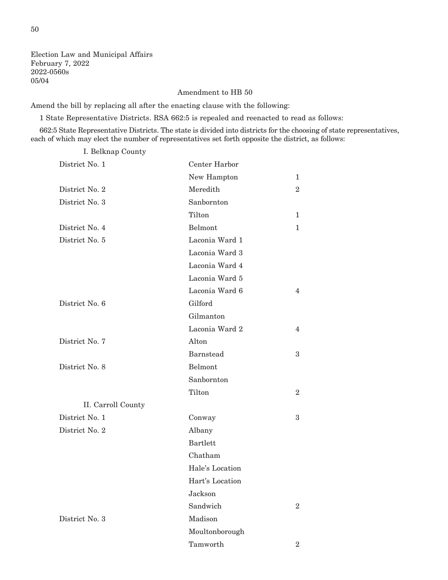Election Law and Municipal Affairs February 7, 2022 2022-0560s 05/04

#### Amendment to HB 50

Amend the bill by replacing all after the enacting clause with the following:

1 State Representative Districts. RSA 662:5 is repealed and reenacted to read as follows:

662:5 State Representative Districts. The state is divided into districts for the choosing of state representatives, each of which may elect the number of representatives set forth opposite the district, as follows:

I. Belknap County

| District No. 1     | Center Harbor    |                |
|--------------------|------------------|----------------|
|                    | New Hampton      | 1              |
| District No. 2     | Meredith         | $\overline{2}$ |
| District No. 3     | Sanbornton       |                |
|                    | Tilton           | 1              |
| District No. 4     | Belmont          | 1              |
| District No. 5     | Laconia Ward 1   |                |
|                    | Laconia Ward 3   |                |
|                    | Laconia Ward 4   |                |
|                    | Laconia Ward 5   |                |
|                    | Laconia Ward 6   | 4              |
| District No. 6     | Gilford          |                |
|                    | Gilmanton        |                |
|                    | Laconia Ward 2   | 4              |
| District No. 7     | Alton            |                |
|                    | <b>Barnstead</b> | 3              |
| District No. 8     | Belmont          |                |
|                    | Sanbornton       |                |
|                    | Tilton           | $\overline{2}$ |
| II. Carroll County |                  |                |
| District No. 1     | Conway           | 3              |
| District No. 2     | Albany           |                |
|                    | <b>Bartlett</b>  |                |
|                    | Chatham          |                |
|                    | Hale's Location  |                |
|                    | Hart's Location  |                |
|                    | Jackson          |                |
|                    | Sandwich         | $\overline{2}$ |
| District No. 3     | Madison          |                |
|                    | Moultonborough   |                |
|                    | Tamworth         | $\overline{2}$ |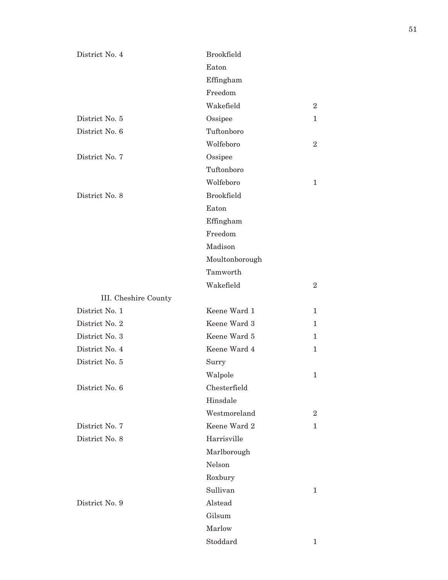| District No. 4       | <b>Brookfield</b> |                |
|----------------------|-------------------|----------------|
|                      | Eaton             |                |
|                      | Effingham         |                |
|                      | Freedom           |                |
|                      | Wakefield         | $\overline{2}$ |
| District No. 5       | Ossipee           | $\mathbf{1}$   |
| District No. 6       | Tuftonboro        |                |
|                      | Wolfeboro         | $\overline{2}$ |
| District No. 7       | Ossipee           |                |
|                      | Tuftonboro        |                |
|                      | Wolfeboro         | 1              |
| District No. 8       | <b>Brookfield</b> |                |
|                      | Eaton             |                |
|                      | Effingham         |                |
|                      | Freedom           |                |
|                      | Madison           |                |
|                      | Moultonborough    |                |
|                      | Tamworth          |                |
|                      | Wakefield         | $\overline{2}$ |
| III. Cheshire County |                   |                |
| District No. 1       | Keene Ward 1      | $\mathbf{1}$   |
| District No. 2       | Keene Ward 3      | 1              |
| District No. 3       | Keene Ward 5      | 1              |
| District No. 4       | Keene Ward 4      | $\mathbf{1}$   |
| District No. 5       | Surry             |                |
|                      | Walpole           | 1              |
| District No. 6       | Chesterfield      |                |
|                      | Hinsdale          |                |
|                      | Westmoreland      | $\overline{2}$ |
| District No. 7       | Keene Ward 2      | 1              |
| District No. 8       | Harrisville       |                |
|                      | Marlborough       |                |
|                      | Nelson            |                |
|                      | Roxbury           |                |
|                      | Sullivan          | 1              |
| District No. 9       | Alstead           |                |
|                      | Gilsum            |                |
|                      | Marlow            |                |
|                      | Stoddard          | 1              |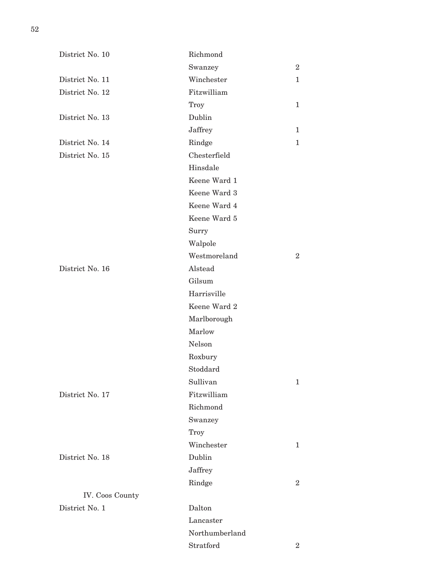| District No. 10 | Richmond       |                |
|-----------------|----------------|----------------|
|                 | Swanzey        | $\overline{2}$ |
| District No. 11 | Winchester     | $\mathbf{1}$   |
| District No. 12 | Fitzwilliam    |                |
|                 | Troy           | $\mathbf{1}$   |
| District No. 13 | Dublin         |                |
|                 | Jaffrey        | $\mathbf{1}$   |
| District No. 14 | Rindge         | $\mathbf{1}$   |
| District No. 15 | Chesterfield   |                |
|                 | Hinsdale       |                |
|                 | Keene Ward 1   |                |
|                 | Keene Ward 3   |                |
|                 | Keene Ward 4   |                |
|                 | Keene Ward 5   |                |
|                 | Surry          |                |
|                 | Walpole        |                |
|                 | Westmoreland   | $\overline{2}$ |
| District No. 16 | Alstead        |                |
|                 | Gilsum         |                |
|                 | Harrisville    |                |
|                 | Keene Ward 2   |                |
|                 | Marlborough    |                |
|                 | Marlow         |                |
|                 | Nelson         |                |
|                 | Roxbury        |                |
|                 | Stoddard       |                |
|                 | Sullivan       | 1              |
| District No. 17 | Fitzwilliam    |                |
|                 | Richmond       |                |
|                 | Swanzey        |                |
|                 | Troy           |                |
|                 | Winchester     | $\mathbf{1}$   |
| District No. 18 | Dublin         |                |
|                 | Jaffrey        |                |
|                 | Rindge         | $\overline{2}$ |
| IV. Coos County |                |                |
| District No. 1  | Dalton         |                |
|                 | Lancaster      |                |
|                 | Northumberland |                |
|                 | Stratford      | $\overline{2}$ |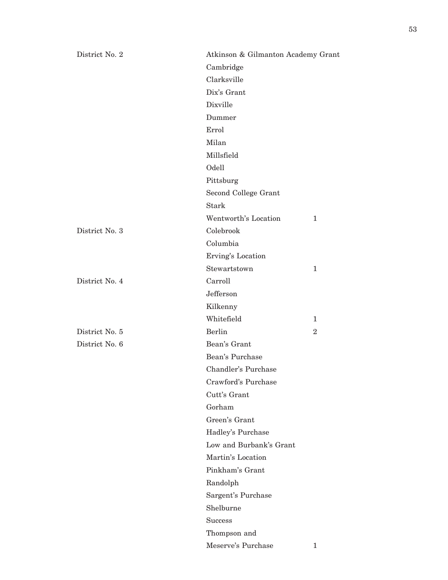| District No. 2 | Atkinson & Gilmanton Academy Grant |                |
|----------------|------------------------------------|----------------|
|                | Cambridge                          |                |
|                | Clarksville                        |                |
|                | Dix's Grant                        |                |
|                | Dixville                           |                |
|                | Dummer                             |                |
|                | Errol                              |                |
|                | Milan                              |                |
|                | Millsfield                         |                |
|                | Odell                              |                |
|                | Pittsburg                          |                |
|                | Second College Grant               |                |
|                | <b>Stark</b>                       |                |
|                | Wentworth's Location               | 1              |
| District No. 3 | Colebrook                          |                |
|                | Columbia                           |                |
|                | Erving's Location                  |                |
|                | Stewartstown                       | $\mathbf{1}$   |
| District No. 4 | Carroll                            |                |
|                | Jefferson                          |                |
|                | Kilkenny                           |                |
|                | Whitefield                         | 1              |
| District No. 5 | <b>Berlin</b>                      | $\overline{2}$ |
| District No. 6 | Bean's Grant                       |                |
|                | Bean's Purchase                    |                |
|                | Chandler's Purchase                |                |
|                | Crawford's Purchase                |                |
|                | Cutt's Grant                       |                |
|                | Gorham                             |                |
|                | Green's Grant                      |                |
|                | Hadley's Purchase                  |                |
|                | Low and Burbank's Grant            |                |
|                | Martin's Location                  |                |
|                | Pinkham's Grant                    |                |
|                | Randolph                           |                |
|                | Sargent's Purchase                 |                |
|                | Shelburne                          |                |
|                | <b>Success</b>                     |                |
|                | Thompson and                       |                |
|                | Meserve's Purchase                 | $\mathbf{1}$   |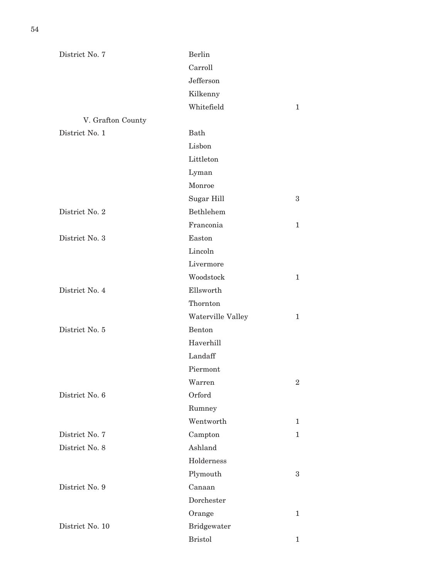| District No. 7    | <b>Berlin</b>      |                  |
|-------------------|--------------------|------------------|
|                   | Carroll            |                  |
|                   | Jefferson          |                  |
|                   | Kilkenny           |                  |
|                   | Whitefield         | $\mathbf{1}$     |
| V. Grafton County |                    |                  |
| District No. 1    | Bath               |                  |
|                   | Lisbon             |                  |
|                   | Littleton          |                  |
|                   | Lyman              |                  |
|                   | Monroe             |                  |
|                   | Sugar Hill         | 3                |
| District No. 2    | <b>Bethlehem</b>   |                  |
|                   | Franconia          | $\mathbf{1}$     |
| District No. 3    | Easton             |                  |
|                   | Lincoln            |                  |
|                   | Livermore          |                  |
|                   | Woodstock          | $\mathbf{1}$     |
| District No. 4    | Ellsworth          |                  |
|                   | Thornton           |                  |
|                   | Waterville Valley  | $\mathbf{1}$     |
| District No. 5    | Benton             |                  |
|                   | Haverhill          |                  |
|                   | Landaff            |                  |
|                   | Piermont           |                  |
|                   | Warren             | $\boldsymbol{2}$ |
| District No. 6    | Orford             |                  |
|                   | Rumney             |                  |
|                   | Wentworth          | 1                |
| District No. 7    | Campton            | $\mathbf 1$      |
| District No. 8    | Ashland            |                  |
|                   | Holderness         |                  |
|                   | Plymouth           | $\boldsymbol{3}$ |
| District No. 9    | Canaan             |                  |
|                   | Dorchester         |                  |
|                   | Orange             | $\mathbf{1}$     |
| District No. 10   | <b>Bridgewater</b> |                  |
|                   | <b>Bristol</b>     | 1                |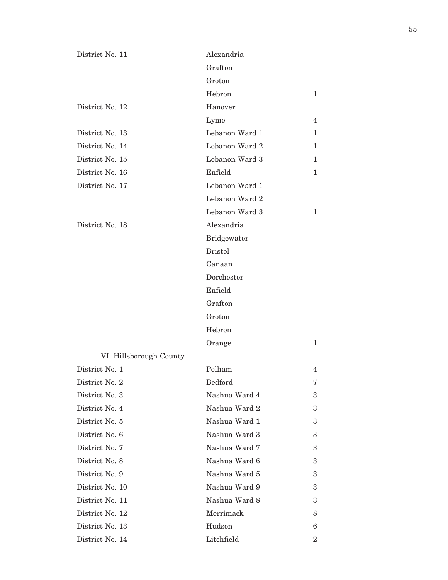| District No. 11         | Alexandria         |                |
|-------------------------|--------------------|----------------|
|                         | Grafton            |                |
|                         | Groton             |                |
|                         | Hebron             | $\mathbf{1}$   |
| District No. 12         | Hanover            |                |
|                         | Lyme               | 4              |
| District No. 13         | Lebanon Ward 1     | 1              |
| District No. 14         | Lebanon Ward 2     | 1              |
| District No. 15         | Lebanon Ward 3     | 1              |
| District No. 16         | Enfield            | 1              |
| District No. 17         | Lebanon Ward 1     |                |
|                         | Lebanon Ward 2     |                |
|                         | Lebanon Ward 3     | 1              |
| District No. 18         | Alexandria         |                |
|                         | <b>Bridgewater</b> |                |
|                         | <b>Bristol</b>     |                |
|                         | Canaan             |                |
|                         | Dorchester         |                |
|                         | Enfield            |                |
|                         | Grafton            |                |
|                         | Groton             |                |
|                         | Hebron             |                |
|                         | Orange             | 1              |
| VI. Hillsborough County |                    |                |
| District No. 1          | Pelham             | 4              |
| District No. 2          | Bedford            | 7              |
| District No. 3          | Nashua Ward 4      | 3              |
| District No. 4          | Nashua Ward 2      | 3              |
| District No. 5          | Nashua Ward 1      | 3              |
| District No. 6          | Nashua Ward 3      | 3              |
| District No. 7          | Nashua Ward 7      | 3              |
| District No. 8          | Nashua Ward 6      | 3              |
| District No. 9          | Nashua Ward 5      | 3              |
| District No. 10         | Nashua Ward 9      | 3              |
| District No. 11         | Nashua Ward 8      | 3              |
| District No. 12         | Merrimack          | 8              |
| District No. 13         | Hudson             | 6              |
| District No. 14         | Litchfield         | $\overline{2}$ |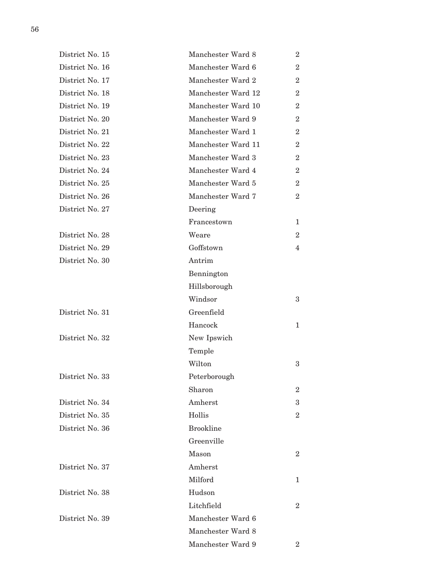| District No. 15 | Manchester Ward 8  | $\overline{2}$   |
|-----------------|--------------------|------------------|
| District No. 16 | Manchester Ward 6  | $\overline{2}$   |
| District No. 17 | Manchester Ward 2  | $\overline{2}$   |
| District No. 18 | Manchester Ward 12 | $\overline{2}$   |
| District No. 19 | Manchester Ward 10 | $\overline{2}$   |
| District No. 20 | Manchester Ward 9  | $\overline{2}$   |
| District No. 21 | Manchester Ward 1  | $\overline{2}$   |
| District No. 22 | Manchester Ward 11 | $\overline{2}$   |
| District No. 23 | Manchester Ward 3  | $\overline{2}$   |
| District No. 24 | Manchester Ward 4  | $\boldsymbol{2}$ |
| District No. 25 | Manchester Ward 5  | $\overline{2}$   |
| District No. 26 | Manchester Ward 7  | $\overline{2}$   |
| District No. 27 | Deering            |                  |
|                 | Francestown        | $\mathbf 1$      |
| District No. 28 | Weare              | $\overline{2}$   |
| District No. 29 | Goffstown          | $\overline{4}$   |
| District No. 30 | Antrim             |                  |
|                 | Bennington         |                  |
|                 | Hillsborough       |                  |
|                 | Windsor            | 3                |
| District No. 31 | Greenfield         |                  |
|                 | Hancock            | $\mathbf{1}$     |
| District No. 32 | New Ipswich        |                  |
|                 | Temple             |                  |
|                 | Wilton             | 3                |
| District No. 33 | Peterborough       |                  |
|                 | Sharon             | $\overline{2}$   |
| District No. 34 | Amherst            | 3                |
| District No. 35 | Hollis             | $\overline{2}$   |
| District No. 36 | <b>Brookline</b>   |                  |
|                 | Greenville         |                  |
|                 | Mason              | $\boldsymbol{2}$ |
| District No. 37 | Amherst            |                  |
|                 | Milford            | 1                |
| District No. 38 | Hudson             |                  |
|                 | Litchfield         | $\overline{2}$   |
| District No. 39 | Manchester Ward 6  |                  |
|                 | Manchester Ward 8  |                  |
|                 | Manchester Ward 9  | $\overline{2}$   |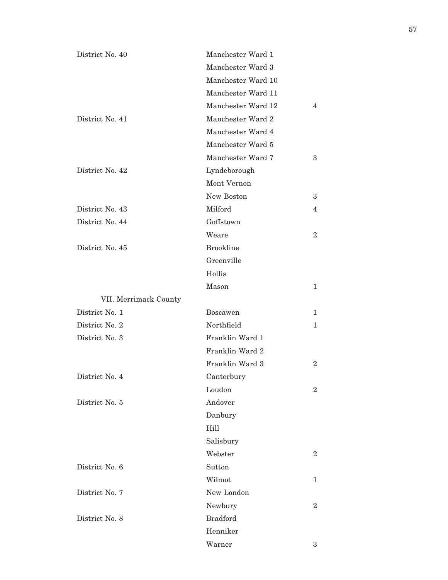| District No. 40       | Manchester Ward 1  |                |
|-----------------------|--------------------|----------------|
|                       | Manchester Ward 3  |                |
|                       | Manchester Ward 10 |                |
|                       | Manchester Ward 11 |                |
|                       | Manchester Ward 12 | 4              |
| District No. 41       | Manchester Ward 2  |                |
|                       | Manchester Ward 4  |                |
|                       | Manchester Ward 5  |                |
|                       | Manchester Ward 7  | 3              |
| District No. 42       | Lyndeborough       |                |
|                       | Mont Vernon        |                |
|                       | New Boston         | 3              |
| District No. 43       | Milford            | 4              |
| District No. 44       | Goffstown          |                |
|                       | Weare              | $\overline{2}$ |
| District No. 45       | <b>Brookline</b>   |                |
|                       | Greenville         |                |
|                       | Hollis             |                |
|                       | Mason              | $\mathbf{1}$   |
| VII. Merrimack County |                    |                |
| District No. 1        | <b>Boscawen</b>    | $\mathbf{1}$   |
| District No. 2        | Northfield         | 1              |
| District No. 3        | Franklin Ward 1    |                |
|                       | Franklin Ward 2    |                |
|                       | Franklin Ward 3    | $\overline{2}$ |
| District No. 4        | Canterbury         |                |
|                       | Loudon             | $\overline{2}$ |
| District No. 5        | Andover            |                |
|                       | Danbury            |                |
|                       | Hill               |                |
|                       | Salisbury          |                |
|                       | Webster            | $\overline{2}$ |
| District No. 6        | Sutton             |                |
|                       | Wilmot             | 1              |
| District No. 7        | New London         |                |
|                       | Newbury            | $\overline{2}$ |
| District No. 8        | <b>Bradford</b>    |                |
|                       | Henniker           |                |
|                       | Warner             | 3              |

57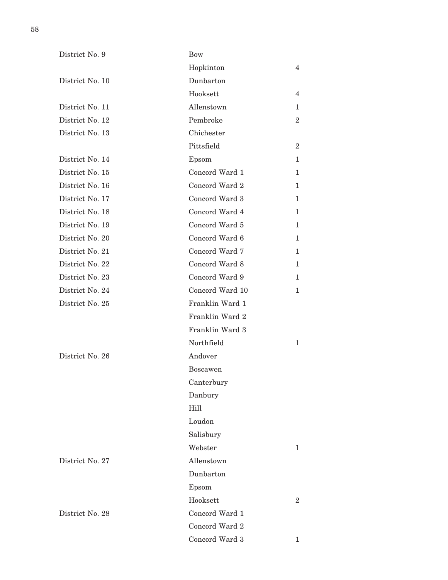| District No. 9  | Bow             |                |
|-----------------|-----------------|----------------|
|                 | Hopkinton       | 4              |
| District No. 10 | Dunbarton       |                |
|                 | Hooksett        | 4              |
| District No. 11 | Allenstown      | 1              |
| District No. 12 | Pembroke        | $\overline{2}$ |
| District No. 13 | Chichester      |                |
|                 | Pittsfield      | $\overline{2}$ |
| District No. 14 | Epsom           | 1              |
| District No. 15 | Concord Ward 1  | 1              |
| District No. 16 | Concord Ward 2  | 1              |
| District No. 17 | Concord Ward 3  | 1              |
| District No. 18 | Concord Ward 4  | 1              |
| District No. 19 | Concord Ward 5  | 1              |
| District No. 20 | Concord Ward 6  | 1              |
| District No. 21 | Concord Ward 7  | 1              |
| District No. 22 | Concord Ward 8  | 1              |
| District No. 23 | Concord Ward 9  | 1              |
| District No. 24 | Concord Ward 10 | 1              |
| District No. 25 | Franklin Ward 1 |                |
|                 | Franklin Ward 2 |                |
|                 | Franklin Ward 3 |                |
|                 | Northfield      | 1              |
| District No. 26 | Andover         |                |
|                 | <b>Boscawen</b> |                |
|                 | Canterbury      |                |
|                 | Danbury         |                |
|                 | Hill            |                |
|                 | Loudon          |                |
|                 | Salisbury       |                |
|                 | Webster         | 1              |
| District No. 27 | Allenstown      |                |
|                 | Dunbarton       |                |
|                 | Epsom           |                |
|                 | Hooksett        | $\overline{2}$ |
| District No. 28 | Concord Ward 1  |                |
|                 | Concord Ward 2  |                |
|                 | Concord Ward 3  | 1              |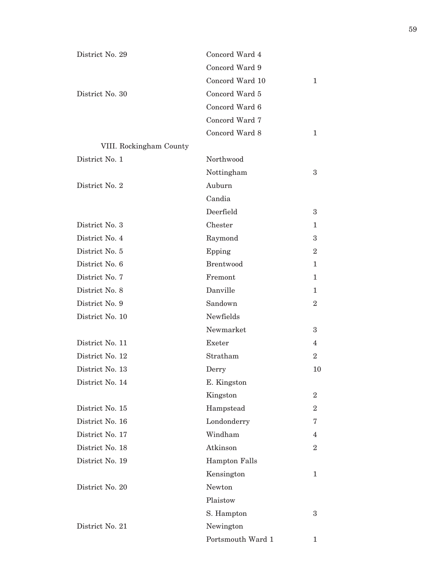| District No. 29 |                         | Concord Ward 4       |                |
|-----------------|-------------------------|----------------------|----------------|
|                 |                         | Concord Ward 9       |                |
|                 |                         | Concord Ward 10      | 1              |
| District No. 30 |                         | Concord Ward 5       |                |
|                 |                         | Concord Ward 6       |                |
|                 |                         | Concord Ward 7       |                |
|                 |                         | Concord Ward 8       | 1              |
|                 | VIII. Rockingham County |                      |                |
| District No. 1  |                         | Northwood            |                |
|                 |                         | Nottingham           | 3              |
| District No. 2  |                         | Auburn               |                |
|                 |                         | Candia               |                |
|                 |                         | Deerfield            | 3              |
| District No. 3  |                         | Chester              | 1              |
| District No. 4  |                         | Raymond              | 3              |
| District No. 5  |                         | Epping               | $\overline{2}$ |
| District No. 6  |                         | <b>Brentwood</b>     | 1              |
| District No. 7  |                         | Fremont              | 1              |
| District No. 8  |                         | Danville             | 1              |
| District No. 9  |                         | Sandown              | $\overline{2}$ |
| District No. 10 |                         | Newfields            |                |
|                 |                         | Newmarket            | 3              |
| District No. 11 |                         | Exeter               | 4              |
| District No. 12 |                         | Stratham             | $\overline{2}$ |
| District No. 13 |                         | Derry                | 10             |
| District No. 14 |                         | E. Kingston          |                |
|                 |                         | Kingston             | $\overline{2}$ |
| District No. 15 |                         | Hampstead            | $\overline{2}$ |
| District No. 16 |                         | Londonderry          | 7              |
| District No. 17 |                         | Windham              | 4              |
| District No. 18 |                         | Atkinson             | $\overline{2}$ |
| District No. 19 |                         | <b>Hampton Falls</b> |                |
|                 |                         | Kensington           | 1              |
| District No. 20 |                         | Newton               |                |
|                 |                         | Plaistow             |                |
|                 |                         | S. Hampton           | 3              |
| District No. 21 |                         | Newington            |                |
|                 |                         | Portsmouth Ward 1    | 1              |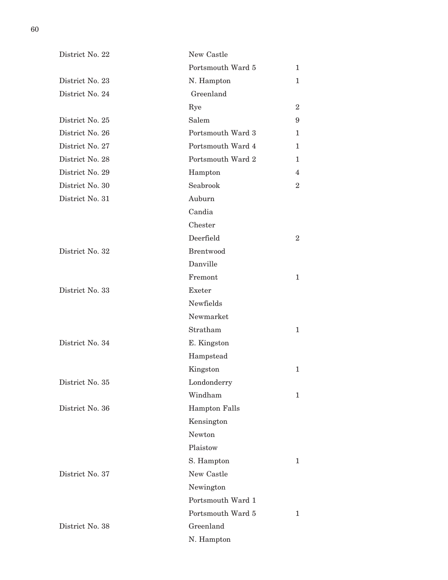| District No. 22 | New Castle           |                |
|-----------------|----------------------|----------------|
|                 | Portsmouth Ward 5    | 1              |
| District No. 23 | N. Hampton           | $\mathbf 1$    |
| District No. 24 | Greenland            |                |
|                 | Rye                  | $\overline{2}$ |
| District No. 25 | Salem                | 9              |
| District No. 26 | Portsmouth Ward 3    | 1              |
| District No. 27 | Portsmouth Ward 4    | 1              |
| District No. 28 | Portsmouth Ward 2    | 1              |
| District No. 29 | Hampton              | 4              |
| District No. 30 | Seabrook             | $\overline{2}$ |
| District No. 31 | Auburn               |                |
|                 | Candia               |                |
|                 | Chester              |                |
|                 | Deerfield            | $\overline{2}$ |
| District No. 32 | <b>Brentwood</b>     |                |
|                 | Danville             |                |
|                 | Fremont              | $\mathbf{1}$   |
| District No. 33 | Exeter               |                |
|                 | Newfields            |                |
|                 | Newmarket            |                |
|                 | Stratham             | 1              |
| District No. 34 | E. Kingston          |                |
|                 | Hampstead            |                |
|                 | Kingston             | $\mathbf{1}$   |
| District No. 35 | Londonderry          |                |
|                 | Windham              | 1              |
| District No. 36 | <b>Hampton Falls</b> |                |
|                 | Kensington           |                |
|                 | Newton               |                |
|                 | Plaistow             |                |
|                 | S. Hampton           | 1              |
| District No. 37 | New Castle           |                |
|                 | Newington            |                |
|                 | Portsmouth Ward 1    |                |
|                 | Portsmouth Ward 5    | 1              |
| District No. 38 | Greenland            |                |
|                 | N. Hampton           |                |
|                 |                      |                |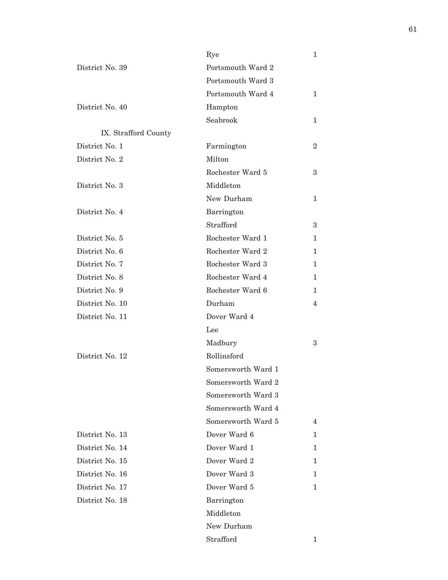| Portsmouth Ward 2<br>Portsmouth Ward 3<br>Portsmouth Ward 4<br>Hampton<br>Seabrook<br>Farmington<br>Milton<br>Rochester Ward 5<br>Middleton<br>New Durham<br>Barrington<br>Strafford<br>Rochester Ward 1<br>1<br>Rochester Ward 2 | 1<br>1<br>$\overline{2}$<br>3<br>1<br>3 |
|-----------------------------------------------------------------------------------------------------------------------------------------------------------------------------------------------------------------------------------|-----------------------------------------|
|                                                                                                                                                                                                                                   |                                         |
|                                                                                                                                                                                                                                   |                                         |
|                                                                                                                                                                                                                                   |                                         |
|                                                                                                                                                                                                                                   |                                         |
|                                                                                                                                                                                                                                   |                                         |
|                                                                                                                                                                                                                                   |                                         |
|                                                                                                                                                                                                                                   |                                         |
|                                                                                                                                                                                                                                   |                                         |
|                                                                                                                                                                                                                                   |                                         |
|                                                                                                                                                                                                                                   |                                         |
|                                                                                                                                                                                                                                   |                                         |
|                                                                                                                                                                                                                                   |                                         |
|                                                                                                                                                                                                                                   |                                         |
|                                                                                                                                                                                                                                   |                                         |
|                                                                                                                                                                                                                                   | 1                                       |
|                                                                                                                                                                                                                                   | 1                                       |
| Rochester Ward 4                                                                                                                                                                                                                  | 1                                       |
| Rochester Ward 6                                                                                                                                                                                                                  | 1                                       |
| Durham                                                                                                                                                                                                                            | 4                                       |
| Dover Ward 4                                                                                                                                                                                                                      |                                         |
| Lee                                                                                                                                                                                                                               |                                         |
| Madbury                                                                                                                                                                                                                           | 3                                       |
| Rollinsford                                                                                                                                                                                                                       |                                         |
| Somersworth Ward 1                                                                                                                                                                                                                |                                         |
| Somersworth Ward 2                                                                                                                                                                                                                |                                         |
| Somersworth Ward 3                                                                                                                                                                                                                |                                         |
| Somersworth Ward 4                                                                                                                                                                                                                |                                         |
| Somersworth Ward 5                                                                                                                                                                                                                | 4                                       |
| Dover Ward 6                                                                                                                                                                                                                      | 1                                       |
| Dover Ward 1                                                                                                                                                                                                                      | 1.                                      |
| Dover Ward 2                                                                                                                                                                                                                      | 1                                       |
| Dover Ward 3                                                                                                                                                                                                                      | 1.                                      |
| Dover Ward 5                                                                                                                                                                                                                      | 1                                       |
| Barrington                                                                                                                                                                                                                        |                                         |
| Middleton                                                                                                                                                                                                                         |                                         |
| New Durham                                                                                                                                                                                                                        |                                         |
| Strafford                                                                                                                                                                                                                         | 1                                       |
|                                                                                                                                                                                                                                   | Rochester Ward 3                        |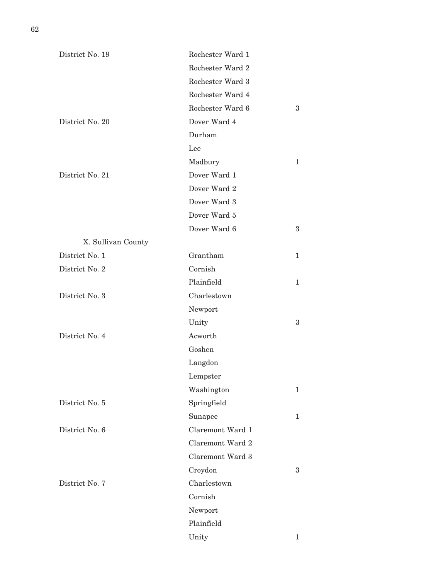| District No. 19    | Rochester Ward 1 |              |
|--------------------|------------------|--------------|
|                    | Rochester Ward 2 |              |
|                    | Rochester Ward 3 |              |
|                    | Rochester Ward 4 |              |
|                    | Rochester Ward 6 | 3            |
| District No. 20    | Dover Ward 4     |              |
|                    | Durham           |              |
|                    | Lee              |              |
|                    | Madbury          | 1            |
| District No. 21    | Dover Ward 1     |              |
|                    | Dover Ward 2     |              |
|                    | Dover Ward 3     |              |
|                    | Dover Ward 5     |              |
|                    | Dover Ward 6     | 3            |
| X. Sullivan County |                  |              |
| District No. 1     | Grantham         | 1            |
| District No. 2     | Cornish          |              |
|                    | Plainfield       | 1            |
| District No. 3     | Charlestown      |              |
|                    | Newport          |              |
|                    | Unity            | 3            |
| District No. 4     | Acworth          |              |
|                    | Goshen           |              |
|                    | Langdon          |              |
|                    | Lempster         |              |
|                    | Washington       | $\mathbf{1}$ |
| District No. 5     | Springfield      |              |
|                    | Sunapee          | $\mathbf 1$  |
| District No. 6     | Claremont Ward 1 |              |
|                    | Claremont Ward 2 |              |
|                    | Claremont Ward 3 |              |
|                    | Croydon          | 3            |
| District No. 7     | Charlestown      |              |
|                    | Cornish          |              |
|                    | Newport          |              |
|                    | Plainfield       |              |
|                    | Unity            | 1            |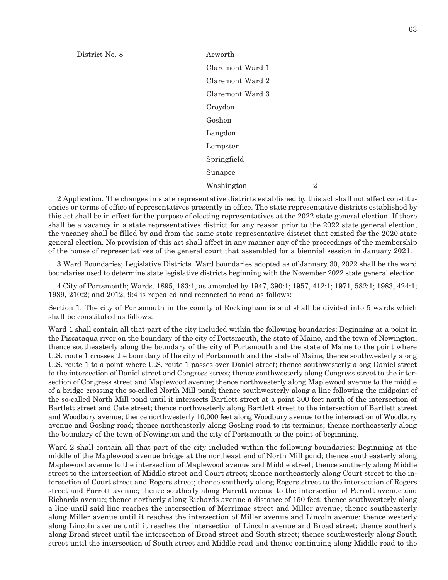District No. 8 Acworth

Claremont Ward 1 Claremont Ward 2 Claremont Ward 3 Croydon Goshen Langdon Lempster Springfield Sunapee Washington 2

2 Application. The changes in state representative districts established by this act shall not affect constituencies or terms of office of representatives presently in office. The state representative districts established by this act shall be in effect for the purpose of electing representatives at the 2022 state general election. If there shall be a vacancy in a state representatives district for any reason prior to the 2022 state general election, the vacancy shall be filled by and from the same state representative district that existed for the 2020 state general election. No provision of this act shall affect in any manner any of the proceedings of the membership of the house of representatives of the general court that assembled for a biennial session in January 2021.

3 Ward Boundaries; Legislative Districts. Ward boundaries adopted as of January 30, 2022 shall be the ward boundaries used to determine state legislative districts beginning with the November 2022 state general election.

4 City of Portsmouth; Wards. 1895, 183:1, as amended by 1947, 390:1; 1957, 412:1; 1971, 582:1; 1983, 424:1; 1989, 210:2; and 2012, 9:4 is repealed and reenacted to read as follows:

Section 1. The city of Portsmouth in the county of Rockingham is and shall be divided into 5 wards which shall be constituted as follows:

Ward 1 shall contain all that part of the city included within the following boundaries: Beginning at a point in the Piscataqua river on the boundary of the city of Portsmouth, the state of Maine, and the town of Newington; thence southeasterly along the boundary of the city of Portsmouth and the state of Maine to the point where U.S. route 1 crosses the boundary of the city of Portsmouth and the state of Maine; thence southwesterly along U.S. route 1 to a point where U.S. route 1 passes over Daniel street; thence southwesterly along Daniel street to the intersection of Daniel street and Congress street; thence southwesterly along Congress street to the intersection of Congress street and Maplewood avenue; thence northwesterly along Maplewood avenue to the middle of a bridge crossing the so-called North Mill pond; thence southwesterly along a line following the midpoint of the so-called North Mill pond until it intersects Bartlett street at a point 300 feet north of the intersection of Bartlett street and Cate street; thence northwesterly along Bartlett street to the intersection of Bartlett street and Woodbury avenue; thence northwesterly 10,000 feet along Woodbury avenue to the intersection of Woodbury avenue and Gosling road; thence northeasterly along Gosling road to its terminus; thence northeasterly along the boundary of the town of Newington and the city of Portsmouth to the point of beginning.

Ward 2 shall contain all that part of the city included within the following boundaries: Beginning at the middle of the Maplewood avenue bridge at the northeast end of North Mill pond; thence southeasterly along Maplewood avenue to the intersection of Maplewood avenue and Middle street; thence southerly along Middle street to the intersection of Middle street and Court street; thence northeasterly along Court street to the intersection of Court street and Rogers street; thence southerly along Rogers street to the intersection of Rogers street and Parrott avenue; thence southerly along Parrott avenue to the intersection of Parrott avenue and Richards avenue; thence northerly along Richards avenue a distance of 150 feet; thence southwesterly along a line until said line reaches the intersection of Merrimac street and Miller avenue; thence southeasterly along Miller avenue until it reaches the intersection of Miller avenue and Lincoln avenue; thence westerly along Lincoln avenue until it reaches the intersection of Lincoln avenue and Broad street; thence southerly along Broad street until the intersection of Broad street and South street; thence southwesterly along South street until the intersection of South street and Middle road and thence continuing along Middle road to the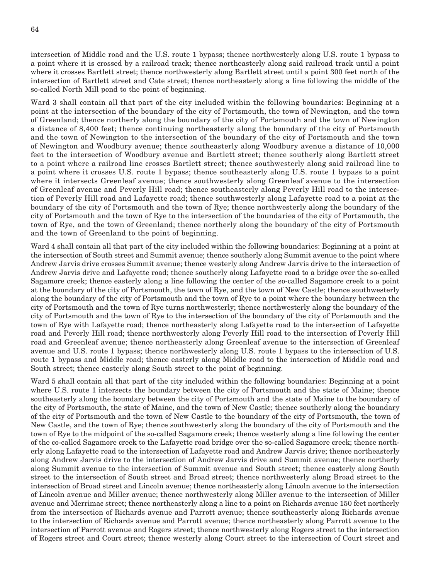intersection of Middle road and the U.S. route 1 bypass; thence northwesterly along U.S. route 1 bypass to a point where it is crossed by a railroad track; thence northeasterly along said railroad track until a point where it crosses Bartlett street; thence northwesterly along Bartlett street until a point 300 feet north of the intersection of Bartlett street and Cate street; thence northeasterly along a line following the middle of the so-called North Mill pond to the point of beginning.

Ward 3 shall contain all that part of the city included within the following boundaries: Beginning at a point at the intersection of the boundary of the city of Portsmouth, the town of Newington, and the town of Greenland; thence northerly along the boundary of the city of Portsmouth and the town of Newington a distance of 8,400 feet; thence continuing northeasterly along the boundary of the city of Portsmouth and the town of Newington to the intersection of the boundary of the city of Portsmouth and the town of Newington and Woodbury avenue; thence southeasterly along Woodbury avenue a distance of 10,000 feet to the intersection of Woodbury avenue and Bartlett street; thence southerly along Bartlett street to a point where a railroad line crosses Bartlett street; thence southwesterly along said railroad line to a point where it crosses U.S. route 1 bypass; thence southeasterly along U.S. route 1 bypass to a point where it intersects Greenleaf avenue; thence southwesterly along Greenleaf avenue to the intersection of Greenleaf avenue and Peverly Hill road; thence southeasterly along Peverly Hill road to the intersection of Peverly Hill road and Lafayette road; thence southwesterly along Lafayette road to a point at the boundary of the city of Portsmouth and the town of Rye; thence northwesterly along the boundary of the city of Portsmouth and the town of Rye to the intersection of the boundaries of the city of Portsmouth, the town of Rye, and the town of Greenland; thence northerly along the boundary of the city of Portsmouth and the town of Greenland to the point of beginning.

Ward 4 shall contain all that part of the city included within the following boundaries: Beginning at a point at the intersection of South street and Summit avenue; thence southerly along Summit avenue to the point where Andrew Jarvis drive crosses Summit avenue; thence westerly along Andrew Jarvis drive to the intersection of Andrew Jarvis drive and Lafayette road; thence southerly along Lafayette road to a bridge over the so-called Sagamore creek; thence easterly along a line following the center of the so-called Sagamore creek to a point at the boundary of the city of Portsmouth, the town of Rye, and the town of New Castle; thence southwesterly along the boundary of the city of Portsmouth and the town of Rye to a point where the boundary between the city of Portsmouth and the town of Rye turns northwesterly; thence northwesterly along the boundary of the city of Portsmouth and the town of Rye to the intersection of the boundary of the city of Portsmouth and the town of Rye with Lafayette road; thence northeasterly along Lafayette road to the intersection of Lafayette road and Peverly Hill road; thence northwesterly along Peverly Hill road to the intersection of Peverly Hill road and Greenleaf avenue; thence northeasterly along Greenleaf avenue to the intersection of Greenleaf avenue and U.S. route 1 bypass; thence northwesterly along U.S. route 1 bypass to the intersection of U.S. route 1 bypass and Middle road; thence easterly along Middle road to the intersection of Middle road and South street; thence easterly along South street to the point of beginning.

Ward 5 shall contain all that part of the city included within the following boundaries: Beginning at a point where U.S. route 1 intersects the boundary between the city of Portsmouth and the state of Maine; thence southeasterly along the boundary between the city of Portsmouth and the state of Maine to the boundary of the city of Portsmouth, the state of Maine, and the town of New Castle; thence southerly along the boundary of the city of Portsmouth and the town of New Castle to the boundary of the city of Portsmouth, the town of New Castle, and the town of Rye; thence southwesterly along the boundary of the city of Portsmouth and the town of Rye to the midpoint of the so-called Sagamore creek; thence westerly along a line following the center of the co-called Sagamore creek to the Lafayette road bridge over the so-called Sagamore creek; thence northerly along Lafayette road to the intersection of Lafayette road and Andrew Jarvis drive; thence northeasterly along Andrew Jarvis drive to the intersection of Andrew Jarvis drive and Summit avenue; thence northerly along Summit avenue to the intersection of Summit avenue and South street; thence easterly along South street to the intersection of South street and Broad street; thence northwesterly along Broad street to the intersection of Broad street and Lincoln avenue; thence northeasterly along Lincoln avenue to the intersection of Lincoln avenue and Miller avenue; thence northwesterly along Miller avenue to the intersection of Miller avenue and Merrimac street; thence northeasterly along a line to a point on Richards avenue 150 feet northerly from the intersection of Richards avenue and Parrott avenue; thence southeasterly along Richards avenue to the intersection of Richards avenue and Parrott avenue; thence northeasterly along Parrott avenue to the intersection of Parrott avenue and Rogers street; thence northwesterly along Rogers street to the intersection of Rogers street and Court street; thence westerly along Court street to the intersection of Court street and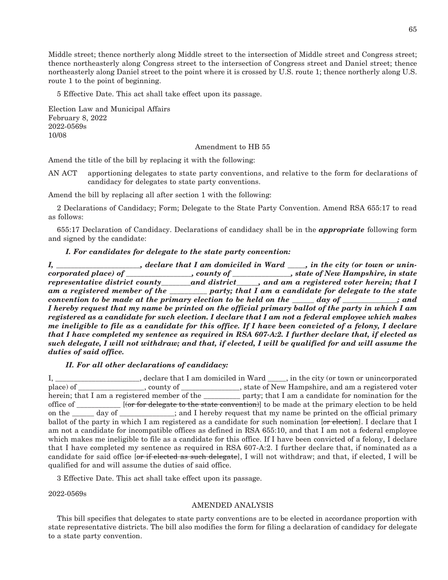Middle street; thence northerly along Middle street to the intersection of Middle street and Congress street; thence northeasterly along Congress street to the intersection of Congress street and Daniel street; thence northeasterly along Daniel street to the point where it is crossed by U.S. route 1; thence northerly along U.S. route 1 to the point of beginning.

5 Effective Date. This act shall take effect upon its passage.

Election Law and Municipal Affairs February 8, 2022 2022-0569s 10/08

#### Amendment to HB 55

Amend the title of the bill by replacing it with the following:

AN ACT apportioning delegates to state party conventions, and relative to the form for declarations of candidacy for delegates to state party conventions.

Amend the bill by replacing all after section 1 with the following:

2 Declarations of Candidacy; Form; Delegate to the State Party Convention. Amend RSA 655:17 to read as follows:

655:17 Declaration of Candidacy. Declarations of candidacy shall be in the *appropriate* following form and signed by the candidate:

#### *I. For candidates for delegate to the state party convention:*

*I*, \_\_\_\_\_\_\_\_\_\_\_\_\_\_\_\_\_\_\_\_, declare that I am domiciled in Ward \_\_\_\_, in the city (or town or unin*corporated place) of \_\_\_\_\_\_\_\_\_\_\_\_\_\_\_\_\_\_, county of \_\_\_\_\_\_\_\_\_\_\_\_\_\_\_\_, state of New Hampshire, in state representative district county\_\_\_\_\_\_\_\_and district\_\_\_\_\_\_, and am a registered voter herein; that I am a registered member of the \_\_\_\_\_\_\_\_\_\_ party; that I am a candidate for delegate to the state convention to be made at the primary election to be held on the \_\_\_\_\_\_ day of \_\_\_\_\_\_\_\_\_\_\_\_\_\_\_; and I hereby request that my name be printed on the official primary ballot of the party in which I am registered as a candidate for such election. I declare that I am not a federal employee which makes me ineligible to file as a candidate for this office. If I have been convicted of a felony, I declare that I have completed my sentence as required in RSA 607-A:2. I further declare that, if elected as such delegate, I will not withdraw; and that, if elected, I will be qualified for and will assume the duties of said office.*

#### *II. For all other declarations of candidacy:*

|  |                                                          | I, ______________________, declare that I am domiciled in Ward _____, in the city (or town or unincorporated      |
|--|----------------------------------------------------------|-------------------------------------------------------------------------------------------------------------------|
|  |                                                          | place) of ________________, county of _____________, state of New Hampshire, and am a registered voter            |
|  |                                                          | herein; that I am a registered member of the <u>same party; that I am a candidate</u> for nomination for the      |
|  |                                                          | office of [(or for delegate to the state convention)] to be made at the primary election to be held               |
|  |                                                          | on the <u>same day of second-second</u> and I hereby request that my name be printed on the official primary      |
|  |                                                          | ballot of the party in which I am registered as a candidate for such nomination [or election]. I declare that I   |
|  |                                                          | am not a candidate for incompatible offices as defined in RSA 655:10, and that I am not a federal employee        |
|  |                                                          | which makes me ineligible to file as a candidate for this office. If I have been convicted of a felony, I declare |
|  |                                                          | that I have completed my sentence as required in RSA 607-A:2. I further declare that, if nominated as a           |
|  |                                                          | candidate for said office for if elected as such delegate, I will not withdraw; and that, if elected, I will be   |
|  | qualified for and will assume the duties of said office. |                                                                                                                   |

3 Effective Date. This act shall take effect upon its passage.

2022-0569s

#### AMENDED ANALYSIS

This bill specifies that delegates to state party conventions are to be elected in accordance proportion with state representative districts. The bill also modifies the form for filing a declaration of candidacy for delegate to a state party convention.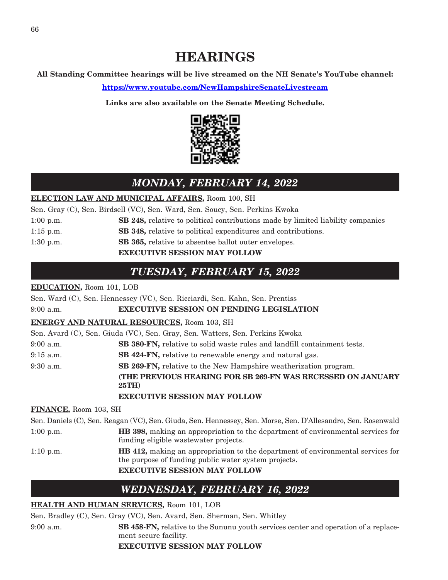# **HEARINGS**

**All Standing Committee hearings will be live streamed on the NH Senate's YouTube channel:**

**<https://www.youtube.com/NewHampshireSenateLivestream>**

**Links are also available on the Senate Meeting Schedule.**



# *MONDAY, FEBRUARY 14, 2022*

### **ELECTION LAW AND MUNICIPAL AFFAIRS,** Room 100, SH

Sen. Gray (C), Sen. Birdsell (VC), Sen. Ward, Sen. Soucy, Sen. Perkins Kwoka

- 1:00 p.m. **SB 248,** relative to political contributions made by limited liability companies
- 1:15 p.m. **SB 348,** relative to political expenditures and contributions.
- 1:30 p.m. **SB 365,** relative to absentee ballot outer envelopes.

### **EXECUTIVE SESSION MAY FOLLOW**

# *TUESDAY, FEBRUARY 15, 2022*

### **EDUCATION,** Room 101, LOB

Sen. Ward (C), Sen. Hennessey (VC), Sen. Ricciardi, Sen. Kahn, Sen. Prentiss 9:00 a.m. **EXECUTIVE SESSION ON PENDING LEGISLATION ENERGY AND NATURAL RESOURCES,** Room 103, SH Sen. Avard (C), Sen. Giuda (VC), Sen. Gray, Sen. Watters, Sen. Perkins Kwoka 9:00 a.m. **SB 380-FN,** relative to solid waste rules and landfill containment tests. 9:15 a.m. **SB 424-FN,** relative to renewable energy and natural gas. 9:30 a.m. **SB 269-FN,** relative to the New Hampshire weatherization program. **(THE PREVIOUS HEARING FOR SB 269-FN WAS RECESSED ON JANUARY 25TH) EXECUTIVE SESSION MAY FOLLOW FINANCE,** Room 103, SH

Sen. Daniels (C), Sen. Reagan (VC), Sen. Giuda, Sen. Hennessey, Sen. Morse, Sen. D'Allesandro, Sen. Rosenwald 1:00 p.m. **HB 398,** making an appropriation to the department of environmental services for funding eligible wastewater projects. 1:10 p.m. **HB 412,** making an appropriation to the department of environmental services for the purpose of funding public water system projects. **EXECUTIVE SESSION MAY FOLLOW**

# *WEDNESDAY, FEBRUARY 16, 2022*

### **HEALTH AND HUMAN SERVICES,** Room 101, LOB

Sen. Bradley (C), Sen. Gray (VC), Sen. Avard, Sen. Sherman, Sen. Whitley

9:00 a.m. **SB 458-FN,** relative to the Sununu youth services center and operation of a replacement secure facility.

### **EXECUTIVE SESSION MAY FOLLOW**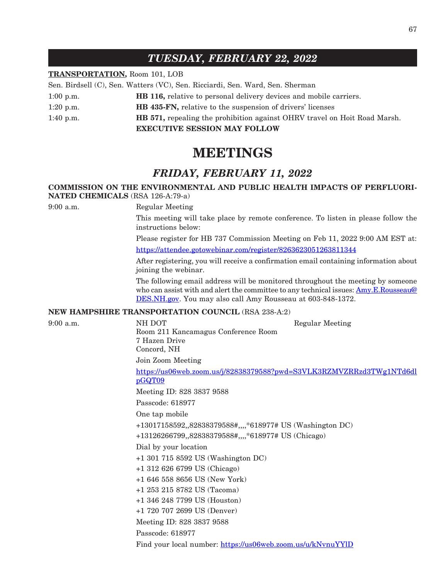# *TUESDAY, FEBRUARY 22, 2022*

### **TRANSPORTATION,** Room 101, LOB

Sen. Birdsell (C), Sen. Watters (VC), Sen. Ricciardi, Sen. Ward, Sen. Sherman

- 1:00 p.m. **HB 116,** relative to personal delivery devices and mobile carriers.
- 1:20 p.m. **HB 435-FN,** relative to the suspension of drivers' licenses
- 1:40 p.m. **HB 571,** repealing the prohibition against OHRV travel on Hoit Road Marsh.

**EXECUTIVE SESSION MAY FOLLOW**

# **MEETINGS**

# *FRIDAY, FEBRUARY 11, 2022*

### **COMMISSION ON THE ENVIRONMENTAL AND PUBLIC HEALTH IMPACTS OF PERFLUORI-NATED CHEMICALS** (RSA 126-A:79-a)

9:00 a.m. Regular Meeting

This meeting will take place by remote conference. To listen in please follow the instructions below:

Please register for HB 737 Commission Meeting on Feb 11, 2022 9:00 AM EST at: <https://attendee.gotowebinar.com/register/8263623051263811344>

After registering, you will receive a confirmation email containing information about joining the webinar.

The following email address will be monitored throughout the meeting by someone who can assist with and alert the committee to any technical issues: [Amy.E.Rousseau@](mailto:Amy.E.Rousseau@DES.NH.gov) [DES.NH.gov](mailto:Amy.E.Rousseau@DES.NH.gov). You may also call Amy Rousseau at 603-848-1372.

#### **NEW HAMPSHIRE TRANSPORTATION COUNCIL** (RSA 238-A:2)

9:00 a.m. NH DOT Regular Meeting Room 211 Kancamagus Conference Room 7 Hazen Drive Concord, NH Join Zoom Meeting [https://us06web.zoom.us/j/82838379588?pwd=S3VLK3RZMVZRRzd3TWg1NTd6dl](https://us06web.zoom.us/j/82838379588?pwd=S3VLK3RZMVZRRzd3TWg1NTd6dlpGQT09) [pGQT09](https://us06web.zoom.us/j/82838379588?pwd=S3VLK3RZMVZRRzd3TWg1NTd6dlpGQT09) Meeting ID: 828 3837 9588 Passcode: 618977 One tap mobile +13017158592,,82838379588#,,,,\*618977# US (Washington DC) +13126266799,,82838379588#,,,,\*618977# US (Chicago) Dial by your location +1 301 715 8592 US (Washington DC) +1 312 626 6799 US (Chicago) +1 646 558 8656 US (New York) +1 253 215 8782 US (Tacoma) +1 346 248 7799 US (Houston) +1 720 707 2699 US (Denver) Meeting ID: 828 3837 9588 Passcode: 618977 Find your local number: <https://us06web.zoom.us/u/kNvnuYYlD>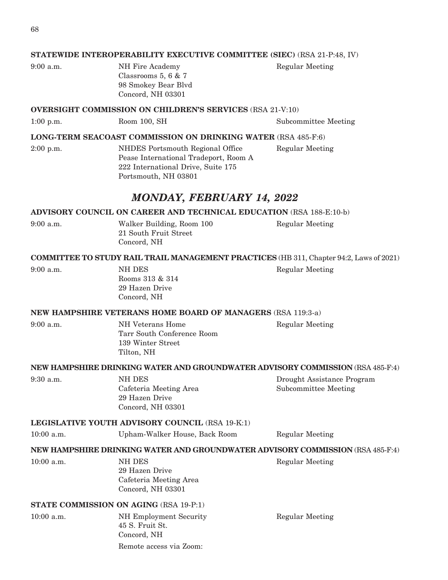| $9:00$ a.m. |  |
|-------------|--|
|             |  |
|             |  |

NH Fire Academy Regular Meeting Classrooms 5, 6 & 7 98 Smokey Bear Blvd Concord, NH 03301

#### **OVERSIGHT COMMISSION ON CHILDREN'S SERVICES** (RSA 21-V:10)

1:00 p.m. Room 100, SH Subcommittee Meeting

#### **LONG-TERM SEACOAST COMMISSION ON DRINKING WATER** (RSA 485-F:6)

2:00 p.m. NHDES Portsmouth Regional Office Regular Meeting Pease International Tradeport, Room A 222 International Drive, Suite 175 Portsmouth, NH 03801

# *MONDAY, FEBRUARY 14, 2022*

#### **ADVISORY COUNCIL ON CAREER AND TECHNICAL EDUCATION** (RSA 188-E:10-b)

21 South Fruit Street Concord, NH

9:00 a.m. Walker Building, Room 100 Regular Meeting

#### **COMMITTEE TO STUDY RAIL TRAIL MANAGEMENT PRACTICES** (HB 311, Chapter 94:2, Laws of 2021)

| 9:00 a.m. |  |  |
|-----------|--|--|
|           |  |  |
|           |  |  |

NH DES Regular Meeting Rooms 313 & 314 29 Hazen Drive Concord, NH

#### **NEW HAMPSHIRE VETERANS HOME BOARD OF MANAGERS** (RSA 119:3-a)

9:00 a.m. NH Veterans Home Regular Meeting Tarr South Conference Room 139 Winter Street Tilton, NH

### **NEW HAMPSHIRE DRINKING WATER AND GROUNDWATER ADVISORY COMMISSION** (RSA 485-F:4)

Cafeteria Meeting Area Subcommittee Meeting Concord, NH 03301

9:30 a.m. NH DES NH DES Drought Assistance Program

Regular Meeting

### **LEGISLATIVE YOUTH ADVISORY COUNCIL** (RSA 19-K:1)

29 Hazen Drive

10:00 a.m. Upham-Walker House, Back Room Regular Meeting

### **NEW HAMPSHIRE DRINKING WATER AND GROUNDWATER ADVISORY COMMISSION** (RSA 485-F:4)

| $10:00$ a.m. | NH DES                 |
|--------------|------------------------|
|              | 29 Hazen Drive         |
|              | Cafeteria Meeting Area |
|              | Concord, NH 03301      |
|              |                        |

### **STATE COMMISSION ON AGING** (RSA 19-P:1)

10:00 a.m. NH Employment Security Regular Meeting 45 S. Fruit St. Concord, NH Remote access via Zoom: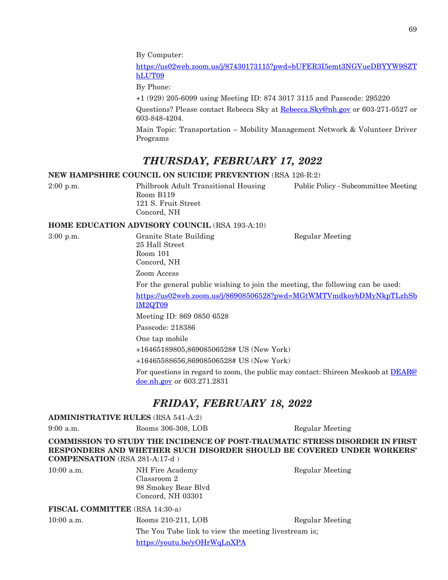[https://us02web.zoom.us/j/87430173115?pwd=bUFER3I5emt3NGVueDBYYW9SZT](https://us02web.zoom.us/j/87430173115?pwd=bUFER3I5emt3NGVueDBYYW9SZThLUT09) [hLUT09](https://us02web.zoom.us/j/87430173115?pwd=bUFER3I5emt3NGVueDBYYW9SZThLUT09)

By Phone:

+1 (929) 205-6099 using Meeting ID: 874 3017 3115 and Passcode: 295220

Questions? Please contact Rebecca Sky at [Rebecca.Sky@nh.gov](mailto:Rebecca.Sky@nh.gov) or 603-271-0527 or 603-848-4204.

Main Topic: Transportation – Mobility Management Network & Volunteer Driver Programs

# *THURSDAY, FEBRUARY 17, 2022*

### **NEW HAMPSHIRE COUNCIL ON SUICIDE PREVENTION** (RSA 126-R:2)

2:00 p.m. Philbrook Adult Transitional Housing Public Policy - Subcommittee Meeting Room B119 121 S. Fruit Street Concord, NH

#### **HOME EDUCATION ADVISORY COUNCIL** (RSA 193-A:10)

3:00 p.m. Granite State Building Regular Meeting 25 Hall Street Room 101 Concord, NH

Zoom Access

For the general public wishing to join the meeting, the following can be used:

[https://us02web.zoom.us/j/86908506528?pwd=MGtWMTVmdkoybDMyNkpTLzhSb](https://urldefense.com/v3/__https:/us02web.zoom.us/j/86908506528?pwd=MGtWMTVmdkoybDMyNkpTLzhSblM2QT09__;!!Oai6dtTQULp8Sw!Au89VIkRKwPgn9HMe5LiP-cfhVgczlEU2WeLCh2whq2iCzSpS1_GanpXa0J9ifBgAv2-54c$) [lM2QT09](https://urldefense.com/v3/__https:/us02web.zoom.us/j/86908506528?pwd=MGtWMTVmdkoybDMyNkpTLzhSblM2QT09__;!!Oai6dtTQULp8Sw!Au89VIkRKwPgn9HMe5LiP-cfhVgczlEU2WeLCh2whq2iCzSpS1_GanpXa0J9ifBgAv2-54c$)

Meeting ID: 869 0850 6528

Passcode: 218386

One tap mobile

+16465189805,86908506528# US (New York)

+16465588656,86908506528# US (New York)

For questions in regard to zoom, the public may contact: Shireen Meskoob at **[DEAR@](mailto:DEAR@doe.nh.gov)** [doe.nh.gov](mailto:DEAR@doe.nh.gov) or 603.271.2831

# *FRIDAY, FEBRUARY 18, 2022*

#### **ADMINISTRATIVE RULES** (RSA 541-A:2)

9:00 a.m. Rooms 306-308, LOB Regular Meeting

**COMMISSION TO STUDY THE INCIDENCE OF POST-TRAUMATIC STRESS DISORDER IN FIRST RESPONDERS AND WHETHER SUCH DISORDER SHOULD BE COVERED UNDER WORKERS' COMPENSATION** (RSA 281-A:17-d )

10:00 a.m. NH Fire Academy Regular Meeting Classroom 2 98 Smokey Bear Blvd Concord, NH 03301

**FISCAL COMMITTEE** (RSA 14:30-a)

10:00 a.m. Rooms 210-211, LOB Regular Meeting

The You Tube link to view the meeting livestream is; <https://youtu.be/yOHrWqLnXPA>

69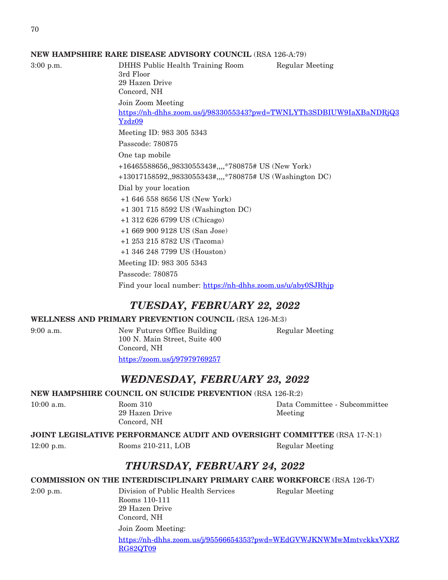#### **NEW HAMPSHIRE RARE DISEASE ADVISORY COUNCIL** (RSA 126-A:79)

3:00 p.m. DHHS Public Health Training Room Regular Meeting 3rd Floor 29 Hazen Drive Concord, NH Join Zoom Meeting [https://nh-dhhs.zoom.us/j/9833055343?pwd=TWNLYTh3SDBIUW9IaXBaNDRjQ3](https://nh-dhhs.zoom.us/j/9833055343?pwd=TWNLYTh3SDBIUW9IaXBaNDRjQ3Yzdz09) [Yzdz09](https://nh-dhhs.zoom.us/j/9833055343?pwd=TWNLYTh3SDBIUW9IaXBaNDRjQ3Yzdz09) Meeting ID: 983 305 5343 Passcode: 780875 One tap mobile +16465588656,,9833055343#,,,,\*780875# US (New York) +13017158592,,9833055343#,,,,\*780875# US (Washington DC) Dial by your location +1 646 558 8656 US (New York) +1 301 715 8592 US (Washington DC) +1 312 626 6799 US (Chicago) +1 669 900 9128 US (San Jose) +1 253 215 8782 US (Tacoma) +1 346 248 7799 US (Houston) Meeting ID: 983 305 5343 Passcode: 780875 Find your local number: <https://nh-dhhs.zoom.us/u/aby0SJRhjp>

## *TUESDAY, FEBRUARY 22, 2022*

#### **WELLNESS AND PRIMARY PREVENTION COUNCIL** (RSA 126-M:3)

9:00 a.m. New Futures Office Building Regular Meeting 100 N. Main Street, Suite 400 Concord, NH

[https://zoom.us/j/97979769257](https://urldefense.com/v3/__https:/zoom.us/j/97979769257__;!!Oai6dtTQULp8Sw!BVC9t65oW5Fs2BqQHCrzQFZCuwCmECGq8-Q-Cl1I-_XOieCwIa3_tejxp-hnU6nRdcNgmA$)

# *WEDNESDAY, FEBRUARY 23, 2022*

#### **NEW HAMPSHIRE COUNCIL ON SUICIDE PREVENTION** (RSA 126-R:2)

29 Hazen Drive Meeting Concord, NH

10:00 a.m. Room 310 Data Committee - Subcommittee

### **JOINT LEGISLATIVE PERFORMANCE AUDIT AND OVERSIGHT COMMITTEE** (RSA 17-N:1)

12:00 p.m. Rooms 210-211, LOB Regular Meeting

# *THURSDAY, FEBRUARY 24, 2022*

#### **COMMISSION ON THE INTERDISCIPLINARY PRIMARY CARE WORKFORCE** (RSA 126-T)

2:00 p.m. Division of Public Health Services Regular Meeting Rooms 110-111 29 Hazen Drive Concord, NH

Join Zoom Meeting: [https://nh-dhhs.zoom.us/j/95566654353?pwd=WEdGVWJKNWMwMmtvckkxVXRZ](https://nh-dhhs.zoom.us/j/95566654353?pwd=WEdGVWJKNWMwMmtvckkxVXRZRG82QT09) [RG82QT09](https://nh-dhhs.zoom.us/j/95566654353?pwd=WEdGVWJKNWMwMmtvckkxVXRZRG82QT09)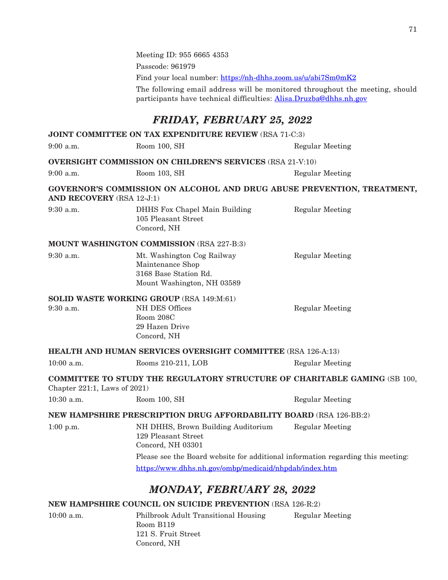Meeting ID: 955 6665 4353 Passcode: 961979 Find your local number: <https://nh-dhhs.zoom.us/u/abi7Sm0mK2> The following email address will be monitored throughout the meeting, should participants have technical difficulties: [Alisa.Druzba@dhhs.nh.gov](mailto:Alisa.Druzba@dhhs.nh.gov) *FRIDAY, FEBRUARY 25, 2022* **JOINT COMMITTEE ON TAX EXPENDITURE REVIEW** (RSA 71-C:3) 9:00 a.m. Room 100, SH Regular Meeting **OVERSIGHT COMMISSION ON CHILDREN'S SERVICES** (RSA 21-V:10) 9:00 a.m. Room 103, SH Regular Meeting **GOVERNOR'S COMMISSION ON ALCOHOL AND DRUG ABUSE PREVENTION, TREATMENT, AND RECOVERY** (RSA 12-J:1) 9:30 a.m. DHHS Fox Chapel Main Building Regular Meeting 105 Pleasant Street Concord, NH **MOUNT WASHINGTON COMMISSION** (RSA 227-B:3) 9:30 a.m. Mt. Washington Cog Railway Regular Meeting Maintenance Shop 3168 Base Station Rd. Mount Washington, NH 03589 **SOLID WASTE WORKING GROUP** (RSA 149:M:61) 9:30 a.m. NH DES Offices Regular Meeting Room 208C 29 Hazen Drive Concord, NH **HEALTH AND HUMAN SERVICES OVERSIGHT COMMITTEE** (RSA 126-A:13) 10:00 a.m. Rooms 210-211, LOB Regular Meeting **COMMITTEE TO STUDY THE REGULATORY STRUCTURE OF CHARITABLE GAMING** (SB 100, Chapter 221:1, Laws of 2021) 10:30 a.m. Room 100, SH Regular Meeting **NEW HAMPSHIRE PRESCRIPTION DRUG AFFORDABILITY BOARD** (RSA 126-BB:2) 1:00 p.m. NH DHHS, Brown Building Auditorium Regular Meeting 129 Pleasant Street Concord, NH 03301 Please see the Board website for additional information regarding this meeting: <https://www.dhhs.nh.gov/ombp/medicaid/nhpdab/index.htm> *MONDAY, FEBRUARY 28, 2022* **NEW HAMPSHIRE COUNCIL ON SUICIDE PREVENTION** (RSA 126-R:2)

10:00 a.m. Philbrook Adult Transitional Housing Regular Meeting Room B119 121 S. Fruit Street Concord, NH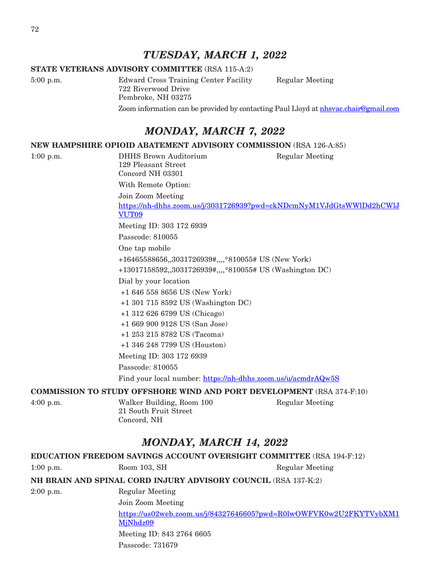# *TUESDAY, MARCH 1, 2022*

#### **STATE VETERANS ADVISORY COMMITTEE** (RSA 115-A:2)

5:00 p.m. Edward Cross Training Center Facility Regular Meeting 722 Riverwood Drive Pembroke, NH 03275

Zoom information can be provided by contacting Paul Lloyd at [nhsvac.chair@gmail.com](mailto:nhsvac.chair@gmail.com)

# *MONDAY, MARCH 7, 2022*

**NEW HAMPSHIRE OPIOID ABATEMENT ADVISORY COMMISSION** (RSA 126-A:85)

1:00 p.m. DHHS Brown Auditorium Regular Meeting 129 Pleasant Street Concord NH 03301 With Remote Option: Join Zoom Meeting [https://nh-dhhs.zoom.us/j/3031726939?pwd=ckNDcmNyM1VJdGtsWWlDd2hCWlJ](https://nh-dhhs.zoom.us/j/3031726939?pwd=ckNDcmNyM1VJdGtsWWlDd2hCWlJVUT09) [VUT09](https://nh-dhhs.zoom.us/j/3031726939?pwd=ckNDcmNyM1VJdGtsWWlDd2hCWlJVUT09) Meeting ID: 303 172 6939 Passcode: 810055 One tap mobile +16465588656,,3031726939#,,,,\*810055# US (New York) +13017158592,,3031726939#,,,,\*810055# US (Washington DC) Dial by your location +1 646 558 8656 US (New York) +1 301 715 8592 US (Washington DC) +1 312 626 6799 US (Chicago) +1 669 900 9128 US (San Jose) +1 253 215 8782 US (Tacoma) +1 346 248 7799 US (Houston) Meeting ID: 303 172 6939 Passcode: 810055 Find your local number: <https://nh-dhhs.zoom.us/u/acmdrAQw5S>

### **COMMISSION TO STUDY OFFSHORE WIND AND PORT DEVELOPMENT** (RSA 374-F:10)

4:00 p.m. Walker Building, Room 100 Regular Meeting 21 South Fruit Street Concord, NH

# *MONDAY, MARCH 14, 2022*

| EDUCATION FREEDOM SAVINGS ACCOUNT OVERSIGHT COMMITTEE (RSA 194-F:12) |                                                                                |                 |  |
|----------------------------------------------------------------------|--------------------------------------------------------------------------------|-----------------|--|
| $1:00$ p.m.                                                          | Room 103, SH                                                                   | Regular Meeting |  |
|                                                                      | NH BRAIN AND SPINAL CORD INJURY ADVISORY COUNCIL (RSA 137-K:2)                 |                 |  |
| $2:00$ p.m.                                                          | Regular Meeting                                                                |                 |  |
|                                                                      | Join Zoom Meeting                                                              |                 |  |
|                                                                      | https://us02web.zoom.us/j/84327646605?pwd=R0lwOWFVK0w2U2FKYTVybXM1<br>MjNhdz09 |                 |  |
|                                                                      | Meeting ID: 843 2764 6605                                                      |                 |  |
|                                                                      | Passcode: 731679                                                               |                 |  |
|                                                                      |                                                                                |                 |  |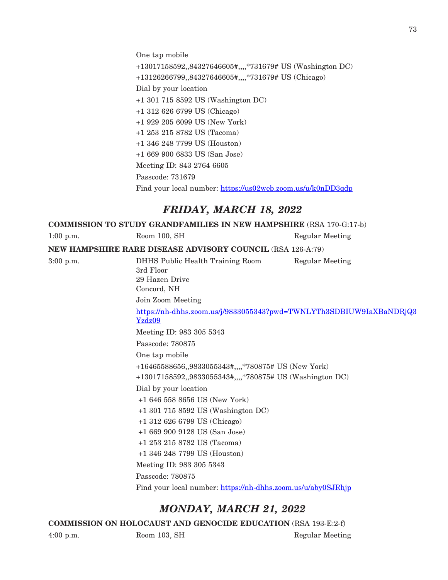One tap mobile

+13017158592,,84327646605#,,,,\*731679# US (Washington DC) +13126266799,,84327646605#,,,,\*731679# US (Chicago) Dial by your location +1 301 715 8592 US (Washington DC) +1 312 626 6799 US (Chicago) +1 929 205 6099 US (New York) +1 253 215 8782 US (Tacoma) +1 346 248 7799 US (Houston) +1 669 900 6833 US (San Jose) Meeting ID: 843 2764 6605 Passcode: 731679 Find your local number: <https://us02web.zoom.us/u/k0nDD3qdp> *FRIDAY, MARCH 18, 2022* **COMMISSION TO STUDY GRANDFAMILIES IN NEW HAMPSHIRE** (RSA 170-G:17-b) 1:00 p.m. Room 100, SH Regular Meeting **NEW HAMPSHIRE RARE DISEASE ADVISORY COUNCIL** (RSA 126-A:79) 3:00 p.m. DHHS Public Health Training Room Regular Meeting 3rd Floor 29 Hazen Drive Concord, NH Join Zoom Meeting [https://nh-dhhs.zoom.us/j/9833055343?pwd=TWNLYTh3SDBIUW9IaXBaNDRjQ3](https://nh-dhhs.zoom.us/j/9833055343?pwd=TWNLYTh3SDBIUW9IaXBaNDRjQ3Yzdz09) [Yzdz09](https://nh-dhhs.zoom.us/j/9833055343?pwd=TWNLYTh3SDBIUW9IaXBaNDRjQ3Yzdz09) Meeting ID: 983 305 5343 Passcode: 780875 One tap mobile +16465588656,,9833055343#,,,,\*780875# US (New York) +13017158592,,9833055343#,,,,\*780875# US (Washington DC) Dial by your location +1 646 558 8656 US (New York) +1 301 715 8592 US (Washington DC) +1 312 626 6799 US (Chicago) +1 669 900 9128 US (San Jose) +1 253 215 8782 US (Tacoma) +1 346 248 7799 US (Houston) Meeting ID: 983 305 5343 Passcode: 780875 Find your local number: <https://nh-dhhs.zoom.us/u/aby0SJRhjp>

## *MONDAY, MARCH 21, 2022*

**COMMISSION ON HOLOCAUST AND GENOCIDE EDUCATION** (RSA 193-E:2-f)

73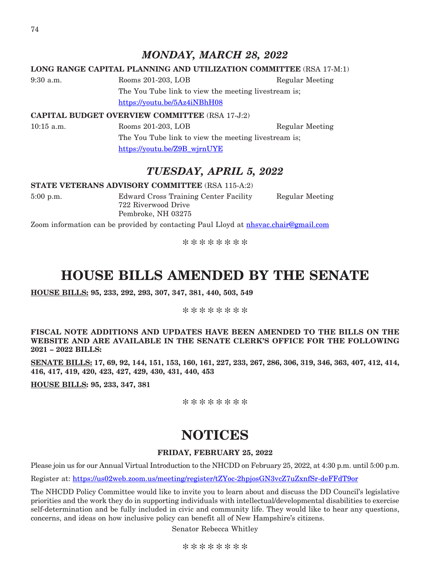74

## *MONDAY, MARCH 28, 2022*

## **LONG RANGE CAPITAL PLANNING AND UTILIZATION COMMITTEE** (RSA 17-M:1)

9:30 a.m. Rooms 201-203, LOB Regular Meeting The You Tube link to view the meeting livestream is;

<https://youtu.be/5Az4iNBhH08>

#### **CAPITAL BUDGET OVERVIEW COMMITTEE** (RSA 17-J:2)

10:15 a.m. Rooms 201-203, LOB Regular Meeting The You Tube link to view the meeting livestream is; [https://youtu.be/Z9B\\_wjrnUYE](https://youtu.be/Z9B_wjrnUYE)

## *TUESDAY, APRIL 5, 2022*

#### **STATE VETERANS ADVISORY COMMITTEE** (RSA 115-A:2)

722 Riverwood Drive Pembroke, NH 03275

5:00 p.m. Edward Cross Training Center Facility Regular Meeting

Zoom information can be provided by contacting Paul Lloyd at [nhsvac.chair@gmail.com](mailto:nhsvac.chair@gmail.com)

\*\*\*\*\*\*\*\*

# **HOUSE BILLS AMENDED BY THE SENATE**

**HOUSE BILLS: 95, 233, 292, 293, 307, 347, 381, 440, 503, 549**

\*\*\*\*\*\*\*\*

**FISCAL NOTE ADDITIONS AND UPDATES HAVE BEEN AMENDED TO THE BILLS ON THE WEBSITE AND ARE AVAILABLE IN THE SENATE CLERK'S OFFICE FOR THE FOLLOWING 2021 – 2022 BILLS:**

**SENATE BILLS: 17, 69, 92, 144, 151, 153, 160, 161, 227, 233, 267, 286, 306, 319, 346, 363, 407, 412, 414, 416, 417, 419, 420, 423, 427, 429, 430, 431, 440, 453**

**HOUSE BILLS: 95, 233, 347, 381**

\*\*\*\*\*\*\*\*

# **NOTICES**

## **FRIDAY, FEBRUARY 25, 2022**

Please join us for our Annual Virtual Introduction to the NHCDD on February 25, 2022, at 4:30 p.m. until 5:00 p.m.

Register at:<https://us02web.zoom.us/meeting/register/tZYoc-2hpjosGN3vcZ7uZxnfSr-deFFdT9or>

The NHCDD Policy Committee would like to invite you to learn about and discuss the DD Council's legislative priorities and the work they do in supporting individuals with intellectual/developmental disabilities to exercise self-determination and be fully included in civic and community life. They would like to hear any questions, concerns, and ideas on how inclusive policy can benefit all of New Hampshire's citizens.

Senator Rebecca Whitley